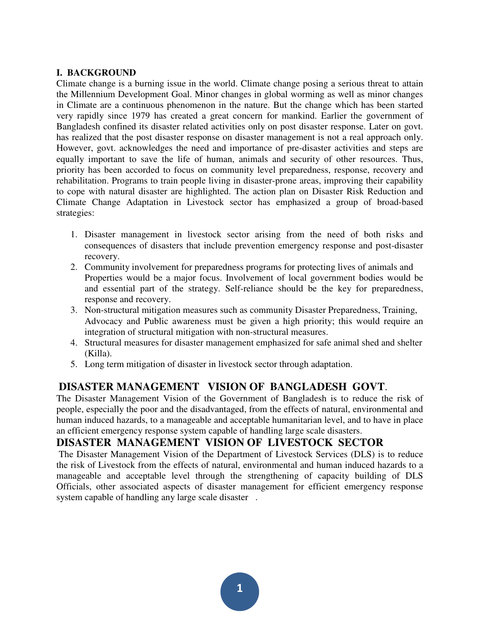#### **I. BACKGROUND**

Climate change is a burning issue in the world. Climate change posing a serious threat to attain the Millennium Development Goal. Minor changes in global worming as well as minor changes in Climate are a continuous phenomenon in the nature. But the change which has been started very rapidly since 1979 has created a great concern for mankind. Earlier the government of Bangladesh confined its disaster related activities only on post disaster response. Later on govt. has realized that the post disaster response on disaster management is not a real approach only. However, govt. acknowledges the need and importance of pre-disaster activities and steps are equally important to save the life of human, animals and security of other resources. Thus, priority has been accorded to focus on community level preparedness, response, recovery and rehabilitation. Programs to train people living in disaster-prone areas, improving their capability to cope with natural disaster are highlighted. The action plan on Disaster Risk Reduction and Climate Change Adaptation in Livestock sector has emphasized a group of broad-based strategies:

- 1. Disaster management in livestock sector arising from the need of both risks and consequences of disasters that include prevention emergency response and post-disaster recovery.
- 2. Community involvement for preparedness programs for protecting lives of animals and Properties would be a major focus. Involvement of local government bodies would be and essential part of the strategy. Self-reliance should be the key for preparedness, response and recovery.
- 3. Non-structural mitigation measures such as community Disaster Preparedness, Training, Advocacy and Public awareness must be given a high priority; this would require an integration of structural mitigation with non-structural measures.
- 4. Structural measures for disaster management emphasized for safe animal shed and shelter (Killa).
- 5. Long term mitigation of disaster in livestock sector through adaptation.

## **DISASTER MANAGEMENT VISION OF BANGLADESH GOVT**.

The Disaster Management Vision of the Government of Bangladesh is to reduce the risk of people, especially the poor and the disadvantaged, from the effects of natural, environmental and human induced hazards, to a manageable and acceptable humanitarian level, and to have in place an efficient emergency response system capable of handling large scale disasters.

## **DISASTER MANAGEMENT VISION OF LIVESTOCK SECTOR**

 The Disaster Management Vision of the Department of Livestock Services (DLS) is to reduce the risk of Livestock from the effects of natural, environmental and human induced hazards to a manageable and acceptable level through the strengthening of capacity building of DLS Officials, other associated aspects of disaster management for efficient emergency response system capable of handling any large scale disaster .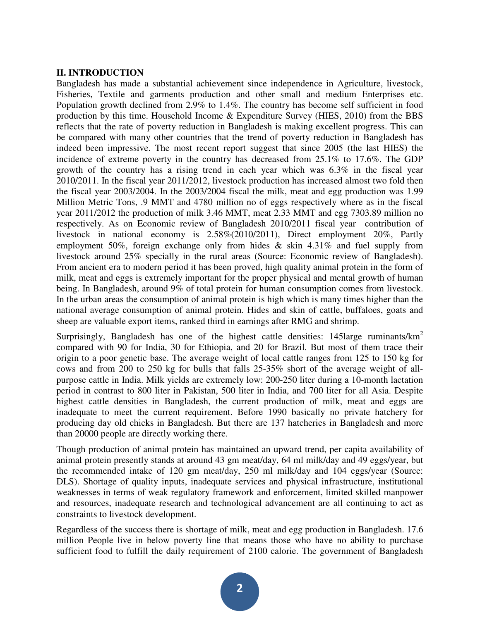#### **II. INTRODUCTION**

Bangladesh has made a substantial achievement since independence in Agriculture, livestock, Fisheries, Textile and garments production and other small and medium Enterprises etc. Population growth declined from 2.9% to 1.4%. The country has become self sufficient in food production by this time. Household Income & Expenditure Survey (HIES, 2010) from the BBS reflects that the rate of poverty reduction in Bangladesh is making excellent progress. This can be compared with many other countries that the trend of poverty reduction in Bangladesh has indeed been impressive. The most recent report suggest that since 2005 (the last HIES) the incidence of extreme poverty in the country has decreased from 25.1% to 17.6%. The GDP growth of the country has a rising trend in each year which was 6.3% in the fiscal year 2010/2011. In the fiscal year 2011/2012, livestock production has increased almost two fold then the fiscal year 2003/2004. In the 2003/2004 fiscal the milk, meat and egg production was 1.99 Million Metric Tons, .9 MMT and 4780 million no of eggs respectively where as in the fiscal year 2011/2012 the production of milk 3.46 MMT, meat 2.33 MMT and egg 7303.89 million no respectively. As on Economic review of Bangladesh 2010/2011 fiscal year contribution of livestock in national economy is 2.58%(2010/2011), Direct employment 20%, Partly employment 50%, foreign exchange only from hides & skin 4.31% and fuel supply from livestock around 25% specially in the rural areas (Source: Economic review of Bangladesh). From ancient era to modern period it has been proved, high quality animal protein in the form of milk, meat and eggs is extremely important for the proper physical and mental growth of human being. In Bangladesh, around 9% of total protein for human consumption comes from livestock. In the urban areas the consumption of animal protein is high which is many times higher than the national average consumption of animal protein. Hides and skin of cattle, buffaloes, goats and sheep are valuable export items, ranked third in earnings after RMG and shrimp.

Surprisingly, Bangladesh has one of the highest cattle densities:  $145$ large ruminants/km<sup>2</sup> compared with 90 for India, 30 for Ethiopia, and 20 for Brazil. But most of them trace their origin to a poor genetic base. The average weight of local cattle ranges from 125 to 150 kg for cows and from 200 to 250 kg for bulls that falls 25-35% short of the average weight of allpurpose cattle in India. Milk yields are extremely low: 200-250 liter during a 10-month lactation period in contrast to 800 liter in Pakistan, 500 liter in India, and 700 liter for all Asia. Despite highest cattle densities in Bangladesh, the current production of milk, meat and eggs are inadequate to meet the current requirement. Before 1990 basically no private hatchery for producing day old chicks in Bangladesh. But there are 137 hatcheries in Bangladesh and more than 20000 people are directly working there.

Though production of animal protein has maintained an upward trend, per capita availability of animal protein presently stands at around 43 gm meat/day, 64 ml milk/day and 49 eggs/year, but the recommended intake of 120 gm meat/day, 250 ml milk/day and 104 eggs/year (Source: DLS). Shortage of quality inputs, inadequate services and physical infrastructure, institutional weaknesses in terms of weak regulatory framework and enforcement, limited skilled manpower and resources, inadequate research and technological advancement are all continuing to act as constraints to livestock development.

Regardless of the success there is shortage of milk, meat and egg production in Bangladesh. 17.6 million People live in below poverty line that means those who have no ability to purchase sufficient food to fulfill the daily requirement of 2100 calorie. The government of Bangladesh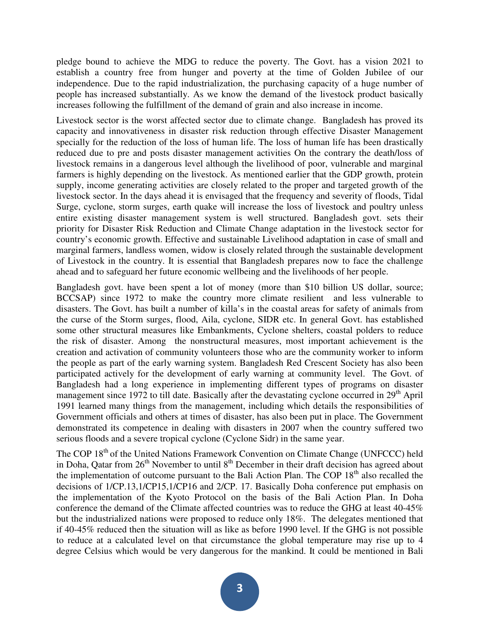pledge bound to achieve the MDG to reduce the poverty. The Govt. has a vision 2021 to establish a country free from hunger and poverty at the time of Golden Jubilee of our independence. Due to the rapid industrialization, the purchasing capacity of a huge number of people has increased substantially. As we know the demand of the livestock product basically increases following the fulfillment of the demand of grain and also increase in income.

Livestock sector is the worst affected sector due to climate change. Bangladesh has proved its capacity and innovativeness in disaster risk reduction through effective Disaster Management specially for the reduction of the loss of human life. The loss of human life has been drastically reduced due to pre and posts disaster management activities On the contrary the death/loss of livestock remains in a dangerous level although the livelihood of poor, vulnerable and marginal farmers is highly depending on the livestock. As mentioned earlier that the GDP growth, protein supply, income generating activities are closely related to the proper and targeted growth of the livestock sector. In the days ahead it is envisaged that the frequency and severity of floods, Tidal Surge, cyclone, storm surges, earth quake will increase the loss of livestock and poultry unless entire existing disaster management system is well structured. Bangladesh govt. sets their priority for Disaster Risk Reduction and Climate Change adaptation in the livestock sector for country's economic growth. Effective and sustainable Livelihood adaptation in case of small and marginal farmers, landless women, widow is closely related through the sustainable development of Livestock in the country. It is essential that Bangladesh prepares now to face the challenge ahead and to safeguard her future economic wellbeing and the livelihoods of her people.

Bangladesh govt. have been spent a lot of money (more than \$10 billion US dollar, source; BCCSAP) since 1972 to make the country more climate resilient and less vulnerable to disasters. The Govt. has built a number of killa's in the coastal areas for safety of animals from the curse of the Storm surges, flood, Aila, cyclone, SIDR etc. In general Govt. has established some other structural measures like Embankments, Cyclone shelters, coastal polders to reduce the risk of disaster. Among the nonstructural measures, most important achievement is the creation and activation of community volunteers those who are the community worker to inform the people as part of the early warning system. Bangladesh Red Crescent Society has also been participated actively for the development of early warning at community level. The Govt. of Bangladesh had a long experience in implementing different types of programs on disaster management since 1972 to till date. Basically after the devastating cyclone occurred in  $29<sup>th</sup>$  April 1991 learned many things from the management, including which details the responsibilities of Government officials and others at times of disaster, has also been put in place. The Government demonstrated its competence in dealing with disasters in 2007 when the country suffered two serious floods and a severe tropical cyclone (Cyclone Sidr) in the same year.

The COP 18<sup>th</sup> of the United Nations Framework Convention on Climate Change (UNFCCC) held in Doha, Qatar from  $26<sup>th</sup>$  November to until  $8<sup>th</sup>$  December in their draft decision has agreed about the implementation of outcome pursuant to the Bali Action Plan. The COP  $18<sup>th</sup>$  also recalled the decisions of 1/CP.13,1/CP15,1/CP16 and 2/CP. 17. Basically Doha conference put emphasis on the implementation of the Kyoto Protocol on the basis of the Bali Action Plan. In Doha conference the demand of the Climate affected countries was to reduce the GHG at least 40-45% but the industrialized nations were proposed to reduce only 18%. The delegates mentioned that if 40-45% reduced then the situation will as like as before 1990 level. If the GHG is not possible to reduce at a calculated level on that circumstance the global temperature may rise up to 4 degree Celsius which would be very dangerous for the mankind. It could be mentioned in Bali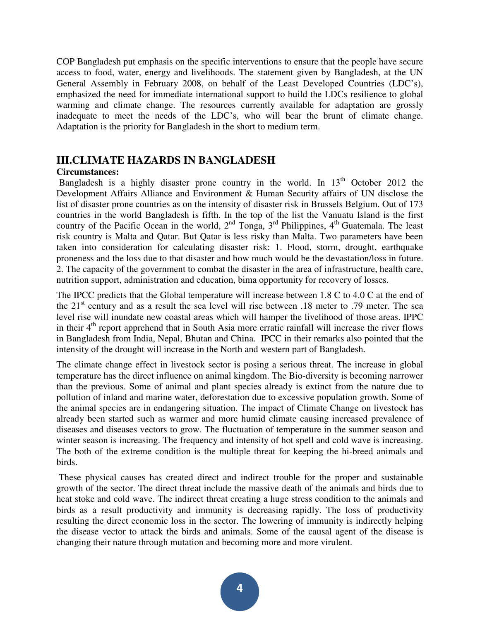COP Bangladesh put emphasis on the specific interventions to ensure that the people have secure access to food, water, energy and livelihoods. The statement given by Bangladesh, at the UN General Assembly in February 2008, on behalf of the Least Developed Countries (LDC's), emphasized the need for immediate international support to build the LDCs resilience to global warming and climate change. The resources currently available for adaptation are grossly inadequate to meet the needs of the LDC's, who will bear the brunt of climate change. Adaptation is the priority for Bangladesh in the short to medium term.

## **III.CLIMATE HAZARDS IN BANGLADESH**

#### **Circumstances:**

Bangladesh is a highly disaster prone country in the world. In 13<sup>th</sup> October 2012 the Development Affairs Alliance and Environment & Human Security affairs of UN disclose the list of disaster prone countries as on the intensity of disaster risk in Brussels Belgium. Out of 173 countries in the world Bangladesh is fifth. In the top of the list the Vanuatu Island is the first country of the Pacific Ocean in the world,  $2<sup>nd</sup>$  Tonga,  $3<sup>rd</sup>$  Philippines,  $4<sup>th</sup>$  Guatemala. The least risk country is Malta and Qatar. But Qatar is less risky than Malta. Two parameters have been taken into consideration for calculating disaster risk: 1. Flood, storm, drought, earthquake proneness and the loss due to that disaster and how much would be the devastation/loss in future. 2. The capacity of the government to combat the disaster in the area of infrastructure, health care, nutrition support, administration and education, bima opportunity for recovery of losses.

The IPCC predicts that the Global temperature will increase between 1.8 C to 4.0 C at the end of the 21<sup>st</sup> century and as a result the sea level will rise between .18 meter to .79 meter. The sea level rise will inundate new coastal areas which will hamper the livelihood of those areas. IPPC in their  $4<sup>th</sup>$  report apprehend that in South Asia more erratic rainfall will increase the river flows in Bangladesh from India, Nepal, Bhutan and China. IPCC in their remarks also pointed that the intensity of the drought will increase in the North and western part of Bangladesh.

The climate change effect in livestock sector is posing a serious threat. The increase in global temperature has the direct influence on animal kingdom. The Bio-diversity is becoming narrower than the previous. Some of animal and plant species already is extinct from the nature due to pollution of inland and marine water, deforestation due to excessive population growth. Some of the animal species are in endangering situation. The impact of Climate Change on livestock has already been started such as warmer and more humid climate causing increased prevalence of diseases and diseases vectors to grow. The fluctuation of temperature in the summer season and winter season is increasing. The frequency and intensity of hot spell and cold wave is increasing. The both of the extreme condition is the multiple threat for keeping the hi-breed animals and birds.

 These physical causes has created direct and indirect trouble for the proper and sustainable growth of the sector. The direct threat include the massive death of the animals and birds due to heat stoke and cold wave. The indirect threat creating a huge stress condition to the animals and birds as a result productivity and immunity is decreasing rapidly. The loss of productivity resulting the direct economic loss in the sector. The lowering of immunity is indirectly helping the disease vector to attack the birds and animals. Some of the causal agent of the disease is changing their nature through mutation and becoming more and more virulent.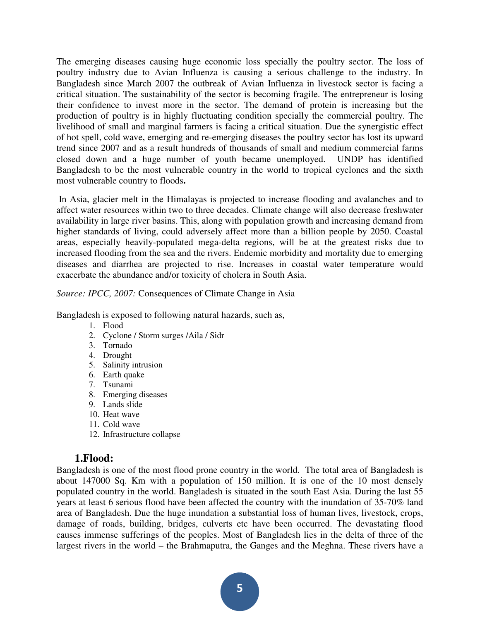The emerging diseases causing huge economic loss specially the poultry sector. The loss of poultry industry due to Avian Influenza is causing a serious challenge to the industry. In Bangladesh since March 2007 the outbreak of Avian Influenza in livestock sector is facing a critical situation. The sustainability of the sector is becoming fragile. The entrepreneur is losing their confidence to invest more in the sector. The demand of protein is increasing but the production of poultry is in highly fluctuating condition specially the commercial poultry. The livelihood of small and marginal farmers is facing a critical situation. Due the synergistic effect of hot spell, cold wave, emerging and re-emerging diseases the poultry sector has lost its upward trend since 2007 and as a result hundreds of thousands of small and medium commercial farms closed down and a huge number of youth became unemployed. UNDP has identified Bangladesh to be the most vulnerable country in the world to tropical cyclones and the sixth most vulnerable country to floods**.** 

 In Asia, glacier melt in the Himalayas is projected to increase flooding and avalanches and to affect water resources within two to three decades. Climate change will also decrease freshwater availability in large river basins. This, along with population growth and increasing demand from higher standards of living, could adversely affect more than a billion people by 2050. Coastal areas, especially heavily-populated mega-delta regions, will be at the greatest risks due to increased flooding from the sea and the rivers. Endemic morbidity and mortality due to emerging diseases and diarrhea are projected to rise. Increases in coastal water temperature would exacerbate the abundance and/or toxicity of cholera in South Asia.

*Source: IPCC, 2007:* Consequences of Climate Change in Asia

Bangladesh is exposed to following natural hazards, such as,

- 1. Flood
- 2. Cyclone / Storm surges /Aila / Sidr
- 3. Tornado
- 4. Drought
- 5. Salinity intrusion
- 6. Earth quake
- 7. Tsunami
- 8. Emerging diseases
- 9. Lands slide
- 10. Heat wave
- 11. Cold wave
- 12. Infrastructure collapse

## **1.Flood:**

Bangladesh is one of the most flood prone country in the world. The total area of Bangladesh is about 147000 Sq. Km with a population of 150 million. It is one of the 10 most densely populated country in the world. Bangladesh is situated in the south East Asia. During the last 55 years at least 6 serious flood have been affected the country with the inundation of 35-70% land area of Bangladesh. Due the huge inundation a substantial loss of human lives, livestock, crops, damage of roads, building, bridges, culverts etc have been occurred. The devastating flood causes immense sufferings of the peoples. Most of Bangladesh lies in the delta of three of the largest rivers in the world – the Brahmaputra, the Ganges and the Meghna. These rivers have a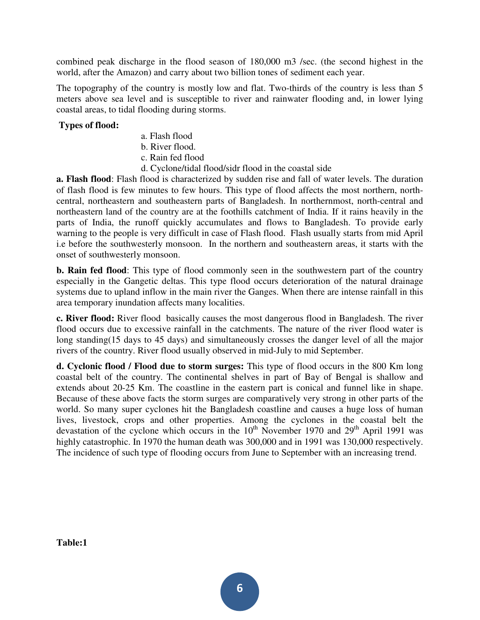combined peak discharge in the flood season of 180,000 m3 /sec. (the second highest in the world, after the Amazon) and carry about two billion tones of sediment each year.

The topography of the country is mostly low and flat. Two-thirds of the country is less than 5 meters above sea level and is susceptible to river and rainwater flooding and, in lower lying coastal areas, to tidal flooding during storms.

#### **Types of flood:**

- a. Flash flood
- b. River flood.
- c. Rain fed flood
- d. Cyclone/tidal flood/sidr flood in the coastal side

**a. Flash flood**: Flash flood is characterized by sudden rise and fall of water levels. The duration of flash flood is few minutes to few hours. This type of flood affects the most northern, northcentral, northeastern and southeastern parts of Bangladesh. In northernmost, north-central and northeastern land of the country are at the foothills catchment of India. If it rains heavily in the parts of India, the runoff quickly accumulates and flows to Bangladesh. To provide early warning to the people is very difficult in case of Flash flood. Flash usually starts from mid April i.e before the southwesterly monsoon. In the northern and southeastern areas, it starts with the onset of southwesterly monsoon.

**b. Rain fed flood**: This type of flood commonly seen in the southwestern part of the country especially in the Gangetic deltas. This type flood occurs deterioration of the natural drainage systems due to upland inflow in the main river the Ganges. When there are intense rainfall in this area temporary inundation affects many localities.

**c. River flood:** River flood basically causes the most dangerous flood in Bangladesh. The river flood occurs due to excessive rainfall in the catchments. The nature of the river flood water is long standing(15 days to 45 days) and simultaneously crosses the danger level of all the major rivers of the country. River flood usually observed in mid-July to mid September.

**d. Cyclonic flood / Flood due to storm surges:** This type of flood occurs in the 800 Km long coastal belt of the country. The continental shelves in part of Bay of Bengal is shallow and extends about 20-25 Km. The coastline in the eastern part is conical and funnel like in shape. Because of these above facts the storm surges are comparatively very strong in other parts of the world. So many super cyclones hit the Bangladesh coastline and causes a huge loss of human lives, livestock, crops and other properties. Among the cyclones in the coastal belt the devastation of the cyclone which occurs in the  $10^{th}$  November 1970 and  $29^{th}$  April 1991 was highly catastrophic. In 1970 the human death was 300,000 and in 1991 was 130,000 respectively. The incidence of such type of flooding occurs from June to September with an increasing trend.

#### **Table:1**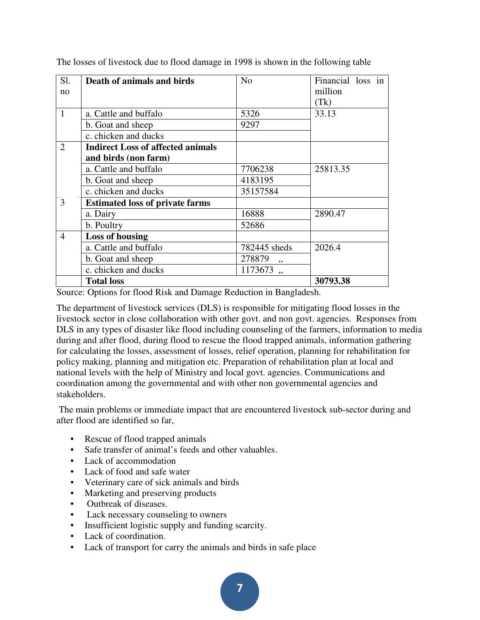| S1.<br>no                | Death of animals and birds               | N <sub>0</sub> | Financial loss in<br>million<br>(Tk) |  |
|--------------------------|------------------------------------------|----------------|--------------------------------------|--|
| $\mathbf{1}$             | a. Cattle and buffalo                    | 5326           | 33.13                                |  |
|                          | b. Goat and sheep                        | 9297           |                                      |  |
|                          | c. chicken and ducks                     |                |                                      |  |
| $\overline{2}$           | <b>Indirect Loss of affected animals</b> |                |                                      |  |
|                          | and birds (non farm)                     |                |                                      |  |
|                          | a. Cattle and buffalo                    | 7706238        | 25813.35                             |  |
|                          | b. Goat and sheep                        | 4183195        |                                      |  |
|                          | c. chicken and ducks                     | 35157584       |                                      |  |
| 3                        | <b>Estimated loss of private farms</b>   |                |                                      |  |
|                          | a. Dairy                                 | 16888          | 2890.47                              |  |
|                          | b. Poultry                               | 52686          |                                      |  |
| $\overline{\mathcal{A}}$ | <b>Loss of housing</b>                   |                |                                      |  |
|                          | a. Cattle and buffalo                    | 782445 sheds   | 2026.4                               |  |
|                          | b. Goat and sheep                        | 278879<br>,,   |                                      |  |
|                          | c. chicken and ducks                     | 1173673        |                                      |  |
|                          | <b>Total loss</b>                        |                | 30793.38                             |  |

The losses of livestock due to flood damage in 1998 is shown in the following table

Source: Options for flood Risk and Damage Reduction in Bangladesh.

The department of livestock services (DLS) is responsible for mitigating flood losses in the livestock sector in close collaboration with other govt. and non govt. agencies. Responses from DLS in any types of disaster like flood including counseling of the farmers, information to media during and after flood, during flood to rescue the flood trapped animals, information gathering for calculating the losses, assessment of losses, relief operation, planning for rehabilitation for policy making, planning and mitigation etc. Preparation of rehabilitation plan at local and national levels with the help of Ministry and local govt. agencies. Communications and coordination among the governmental and with other non governmental agencies and stakeholders.

 The main problems or immediate impact that are encountered livestock sub-sector during and after flood are identified so far,

- Rescue of flood trapped animals
- Safe transfer of animal's feeds and other valuables.
- Lack of accommodation
- Lack of food and safe water
- Veterinary care of sick animals and birds
- Marketing and preserving products
- Outbreak of diseases.
- Lack necessary counseling to owners
- Insufficient logistic supply and funding scarcity.
- Lack of coordination.
- Lack of transport for carry the animals and birds in safe place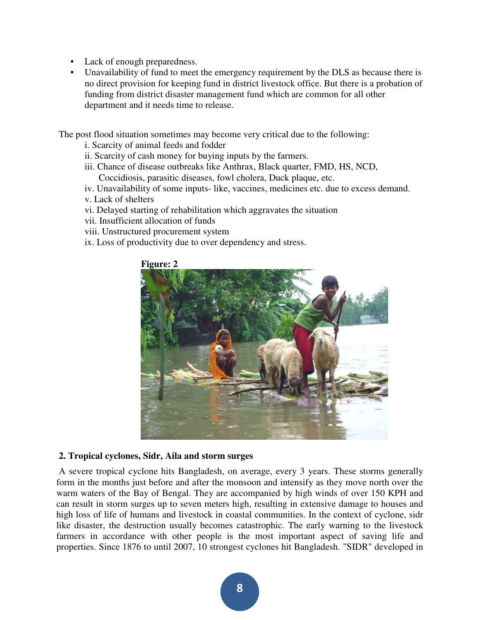- Lack of enough preparedness.
- Unavailability of fund to meet the emergency requirement by the DLS as because there is no direct provision for keeping fund in district livestock office. But there is a probation of funding from district disaster management fund which are common for all other department and it needs time to release.

The post flood situation sometimes may become very critical due to the following:

- i. Scarcity of animal feeds and fodder
- ii. Scarcity of cash money for buying inputs by the farmers.
- iii. Chance of disease outbreaks like Anthrax, Black quarter, FMD, HS, NCD, Coccidiosis, parasitic diseases, fowl cholera, Duck plaque, etc.
- iv. Unavailability of some inputs- like, vaccines, medicines etc. due to excess demand.
- v. Lack of shelters
- vi. Delayed starting of rehabilitation which aggravates the situation
- vii. Insufficient allocation of funds
- viii. Unstructured procurement system
- ix. Loss of productivity due to over dependency and stress.



#### **2. Tropical cyclones, Sidr, Aila and storm surges**

 A severe tropical cyclone hits Bangladesh, on average, every 3 years. These storms generally form in the months just before and after the monsoon and intensify as they move north over the warm waters of the Bay of Bengal. They are accompanied by high winds of over 150 KPH and can result in storm surges up to seven meters high, resulting in extensive damage to houses and high loss of life of humans and livestock in coastal communities. In the context of cyclone, sidr like disaster, the destruction usually becomes catastrophic. The early warning to the livestock farmers in accordance with other people is the most important aspect of saving life and properties. Since 1876 to until 2007, 10 strongest cyclones hit Bangladesh. "SIDR" developed in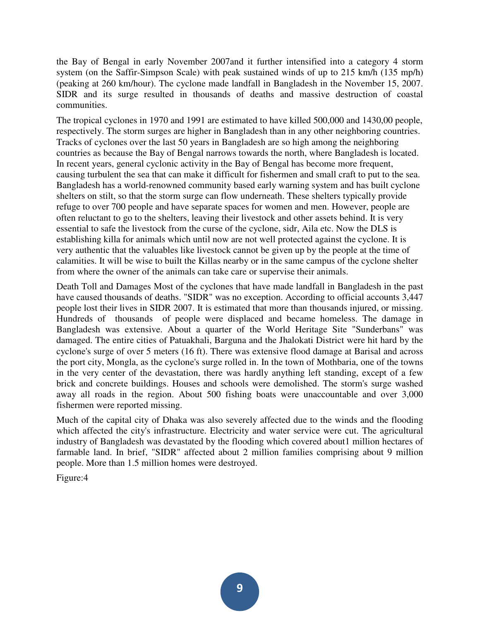the Bay of Bengal in early November 2007and it further intensified into a category 4 storm system (on the Saffir-Simpson Scale) with peak sustained winds of up to 215 km/h (135 mp/h) (peaking at 260 km/hour). The cyclone made landfall in Bangladesh in the November 15, 2007. SIDR and its surge resulted in thousands of deaths and massive destruction of coastal communities.

The tropical cyclones in 1970 and 1991 are estimated to have killed 500,000 and 1430,00 people, respectively. The storm surges are higher in Bangladesh than in any other neighboring countries. Tracks of cyclones over the last 50 years in Bangladesh are so high among the neighboring countries as because the Bay of Bengal narrows towards the north, where Bangladesh is located. In recent years, general cyclonic activity in the Bay of Bengal has become more frequent, causing turbulent the sea that can make it difficult for fishermen and small craft to put to the sea. Bangladesh has a world-renowned community based early warning system and has built cyclone shelters on stilt, so that the storm surge can flow underneath. These shelters typically provide refuge to over 700 people and have separate spaces for women and men. However, people are often reluctant to go to the shelters, leaving their livestock and other assets behind. It is very essential to safe the livestock from the curse of the cyclone, sidr, Aila etc. Now the DLS is establishing killa for animals which until now are not well protected against the cyclone. It is very authentic that the valuables like livestock cannot be given up by the people at the time of calamities. It will be wise to built the Killas nearby or in the same campus of the cyclone shelter from where the owner of the animals can take care or supervise their animals.

Death Toll and Damages Most of the cyclones that have made landfall in Bangladesh in the past have caused thousands of deaths. "SIDR" was no exception. According to official accounts 3,447 people lost their lives in SIDR 2007. It is estimated that more than thousands injured, or missing. Hundreds of thousands of people were displaced and became homeless. The damage in Bangladesh was extensive. About a quarter of the World Heritage Site "Sunderbans" was damaged. The entire cities of Patuakhali, Barguna and the Jhalokati District were hit hard by the cyclone's surge of over 5 meters (16 ft). There was extensive flood damage at Barisal and across the port city, Mongla, as the cyclone's surge rolled in. In the town of Mothbaria, one of the towns in the very center of the devastation, there was hardly anything left standing, except of a few brick and concrete buildings. Houses and schools were demolished. The storm's surge washed away all roads in the region. About 500 fishing boats were unaccountable and over 3,000 fishermen were reported missing.

Much of the capital city of Dhaka was also severely affected due to the winds and the flooding which affected the city's infrastructure. Electricity and water service were cut. The agricultural industry of Bangladesh was devastated by the flooding which covered about1 million hectares of farmable land. In brief, "SIDR" affected about 2 million families comprising about 9 million people. More than 1.5 million homes were destroyed.

Figure:4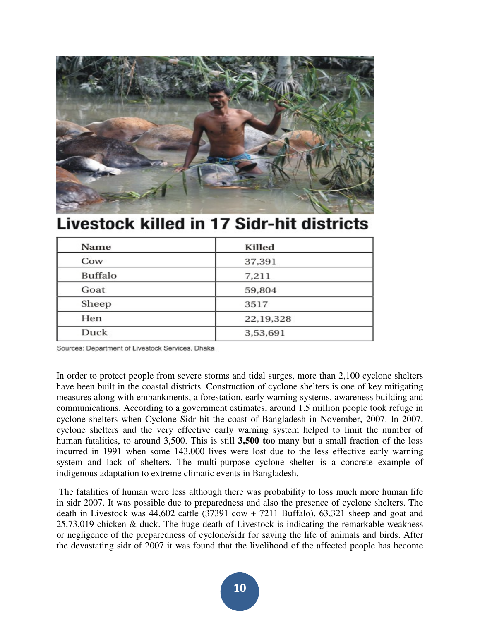

# Livestock killed in 17 Sidr-hit districts

| <b>Killed</b> |
|---------------|
| 37,391        |
| 7,211         |
| 59,804        |
| 3517          |
| 22,19,328     |
| 3,53,691      |
|               |

Sources: Department of Livestock Services, Dhaka

In order to protect people from severe storms and tidal surges, more than 2,100 cyclone shelters have been built in the coastal districts. Construction of cyclone shelters is one of key mitigating measures along with embankments, a forestation, early warning systems, awareness building and communications. According to a government estimates, around 1.5 million people took refuge in cyclone shelters when Cyclone Sidr hit the coast of Bangladesh in November, 2007. In 2007, cyclone shelters and the very effective early warning system helped to limit the number of human fatalities, to around 3,500. This is still **3,500 too** many but a small fraction of the loss incurred in 1991 when some 143,000 lives were lost due to the less effective early warning system and lack of shelters. The multi-purpose cyclone shelter is a concrete example of indigenous adaptation to extreme climatic events in Bangladesh.

 The fatalities of human were less although there was probability to loss much more human life in sidr 2007. It was possible due to preparedness and also the presence of cyclone shelters. The death in Livestock was 44,602 cattle (37391 cow + 7211 Buffalo), 63,321 sheep and goat and 25,73,019 chicken & duck. The huge death of Livestock is indicating the remarkable weakness or negligence of the preparedness of cyclone/sidr for saving the life of animals and birds. After the devastating sidr of 2007 it was found that the livelihood of the affected people has become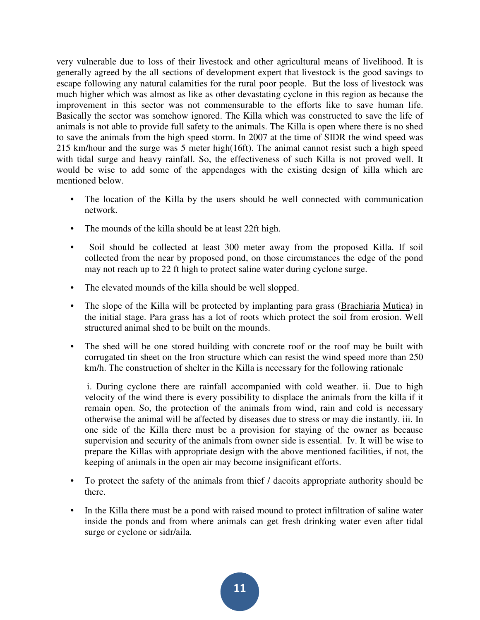very vulnerable due to loss of their livestock and other agricultural means of livelihood. It is generally agreed by the all sections of development expert that livestock is the good savings to escape following any natural calamities for the rural poor people. But the loss of livestock was much higher which was almost as like as other devastating cyclone in this region as because the improvement in this sector was not commensurable to the efforts like to save human life. Basically the sector was somehow ignored. The Killa which was constructed to save the life of animals is not able to provide full safety to the animals. The Killa is open where there is no shed to save the animals from the high speed storm. In 2007 at the time of SIDR the wind speed was 215 km/hour and the surge was 5 meter high(16ft). The animal cannot resist such a high speed with tidal surge and heavy rainfall. So, the effectiveness of such Killa is not proved well. It would be wise to add some of the appendages with the existing design of killa which are mentioned below.

- The location of the Killa by the users should be well connected with communication network.
- The mounds of the killa should be at least 22ft high.
- Soil should be collected at least 300 meter away from the proposed Killa. If soil collected from the near by proposed pond, on those circumstances the edge of the pond may not reach up to 22 ft high to protect saline water during cyclone surge.
- The elevated mounds of the killa should be well slopped.
- The slope of the Killa will be protected by implanting para grass (Brachiaria Mutica) in the initial stage. Para grass has a lot of roots which protect the soil from erosion. Well structured animal shed to be built on the mounds.
- The shed will be one stored building with concrete roof or the roof may be built with corrugated tin sheet on the Iron structure which can resist the wind speed more than 250 km/h. The construction of shelter in the Killa is necessary for the following rationale

 i. During cyclone there are rainfall accompanied with cold weather. ii. Due to high velocity of the wind there is every possibility to displace the animals from the killa if it remain open. So, the protection of the animals from wind, rain and cold is necessary otherwise the animal will be affected by diseases due to stress or may die instantly. iii. In one side of the Killa there must be a provision for staying of the owner as because supervision and security of the animals from owner side is essential. Iv. It will be wise to prepare the Killas with appropriate design with the above mentioned facilities, if not, the keeping of animals in the open air may become insignificant efforts.

- To protect the safety of the animals from thief / dacoits appropriate authority should be there.
- In the Killa there must be a pond with raised mound to protect infiltration of saline water inside the ponds and from where animals can get fresh drinking water even after tidal surge or cyclone or sidr/aila.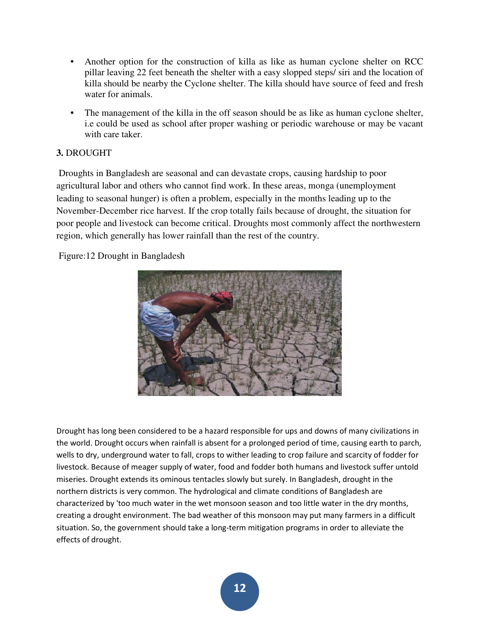- Another option for the construction of killa as like as human cyclone shelter on RCC pillar leaving 22 feet beneath the shelter with a easy slopped steps/ siri and the location of killa should be nearby the Cyclone shelter. The killa should have source of feed and fresh water for animals.
- The management of the killa in the off season should be as like as human cyclone shelter, i.e could be used as school after proper washing or periodic warehouse or may be vacant with care taker.

## **3.** DROUGHT

 Droughts in Bangladesh are seasonal and can devastate crops, causing hardship to poor agricultural labor and others who cannot find work. In these areas, monga (unemployment leading to seasonal hunger) is often a problem, especially in the months leading up to the November-December rice harvest. If the crop totally fails because of drought, the situation for poor people and livestock can become critical. Droughts most commonly affect the northwestern region, which generally has lower rainfall than the rest of the country.

Figure:12 Drought in Bangladesh



Drought has long been considered to be a hazard responsible for ups and downs of many civilizations in the world. Drought occurs when rainfall is absent for a prolonged period of time, causing earth to parch, wells to dry, underground water to fall, crops to wither leading to crop failure and scarcity of fodder for livestock. Because of meager supply of water, food and fodder both humans and livestock suffer untold miseries. Drought extends its ominous tentacles slowly but surely. In Bangladesh, drought in the northern districts is very common. The hydrological and climate conditions of Bangladesh are characterized by 'too much water in the wet monsoon season and too little water in the dry months, creating a drought environment. The bad weather of this monsoon may put many farmers in a difficult situation. So, the government should take a long-term mitigation programs in order to alleviate the effects of drought.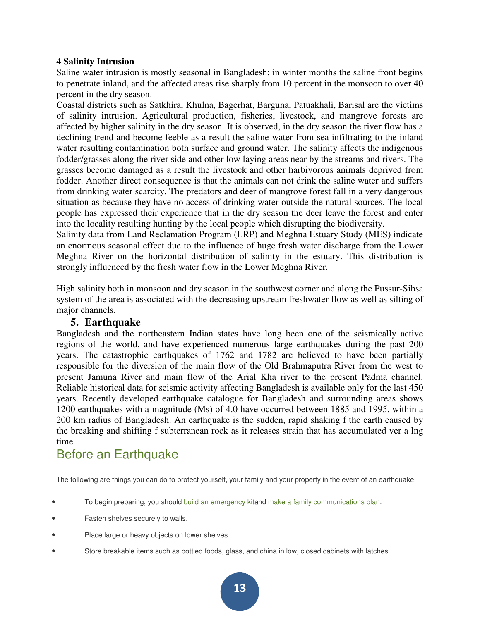#### 4.**Salinity Intrusion**

Saline water intrusion is mostly seasonal in Bangladesh; in winter months the saline front begins to penetrate inland, and the affected areas rise sharply from 10 percent in the monsoon to over 40 percent in the dry season.

Coastal districts such as Satkhira, Khulna, Bagerhat, Barguna, Patuakhali, Barisal are the victims of salinity intrusion. Agricultural production, fisheries, livestock, and mangrove forests are affected by higher salinity in the dry season. It is observed, in the dry season the river flow has a declining trend and become feeble as a result the saline water from sea infiltrating to the inland water resulting contamination both surface and ground water. The salinity affects the indigenous fodder/grasses along the river side and other low laying areas near by the streams and rivers. The grasses become damaged as a result the livestock and other harbivorous animals deprived from fodder. Another direct consequence is that the animals can not drink the saline water and suffers from drinking water scarcity. The predators and deer of mangrove forest fall in a very dangerous situation as because they have no access of drinking water outside the natural sources. The local people has expressed their experience that in the dry season the deer leave the forest and enter into the locality resulting hunting by the local people which disrupting the biodiversity.

Salinity data from Land Reclamation Program (LRP) and Meghna Estuary Study (MES) indicate an enormous seasonal effect due to the influence of huge fresh water discharge from the Lower Meghna River on the horizontal distribution of salinity in the estuary. This distribution is strongly influenced by the fresh water flow in the Lower Meghna River.

High salinity both in monsoon and dry season in the southwest corner and along the Pussur-Sibsa system of the area is associated with the decreasing upstream freshwater flow as well as silting of major channels.

## **5. Earthquake**

Bangladesh and the northeastern Indian states have long been one of the seismically active regions of the world, and have experienced numerous large earthquakes during the past 200 years. The catastrophic earthquakes of 1762 and 1782 are believed to have been partially responsible for the diversion of the main flow of the Old Brahmaputra River from the west to present Jamuna River and main flow of the Arial Kha river to the present Padma channel. Reliable historical data for seismic activity affecting Bangladesh is available only for the last 450 years. Recently developed earthquake catalogue for Bangladesh and surrounding areas shows 1200 earthquakes with a magnitude (Ms) of 4.0 have occurred between 1885 and 1995, within a 200 km radius of Bangladesh. An earthquake is the sudden, rapid shaking f the earth caused by the breaking and shifting f subterranean rock as it releases strain that has accumulated ver a lng time.

# Before an Earthquake

The following are things you can do to protect yourself, your family and your property in the event of an earthquake.

- To begin preparing, you should build an emergency kitand make a family communications plan.
- Fasten shelves securely to walls.
- Place large or heavy objects on lower shelves.
- Store breakable items such as bottled foods, glass, and china in low, closed cabinets with latches.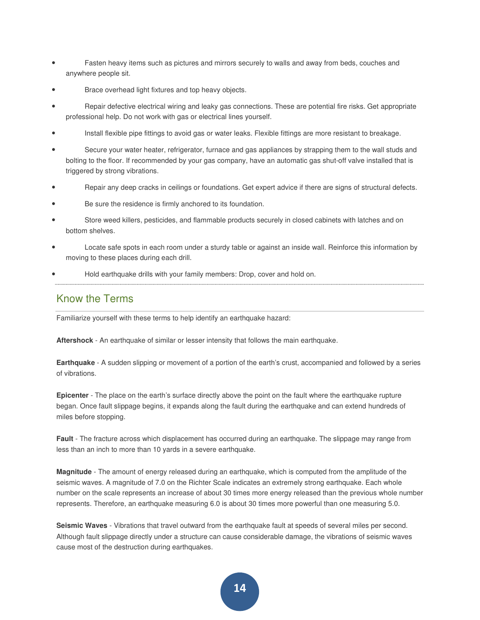- Fasten heavy items such as pictures and mirrors securely to walls and away from beds, couches and anywhere people sit.
- Brace overhead light fixtures and top heavy objects.
- Repair defective electrical wiring and leaky gas connections. These are potential fire risks. Get appropriate professional help. Do not work with gas or electrical lines yourself.
- Install flexible pipe fittings to avoid gas or water leaks. Flexible fittings are more resistant to breakage.
- Secure your water heater, refrigerator, furnace and gas appliances by strapping them to the wall studs and bolting to the floor. If recommended by your gas company, have an automatic gas shut-off valve installed that is triggered by strong vibrations.
- Repair any deep cracks in ceilings or foundations. Get expert advice if there are signs of structural defects.
- Be sure the residence is firmly anchored to its foundation.
- Store weed killers, pesticides, and flammable products securely in closed cabinets with latches and on bottom shelves.
- Locate safe spots in each room under a sturdy table or against an inside wall. Reinforce this information by moving to these places during each drill.
- Hold earthquake drills with your family members: Drop, cover and hold on.

## Know the Terms

Familiarize yourself with these terms to help identify an earthquake hazard:

**Aftershock** - An earthquake of similar or lesser intensity that follows the main earthquake.

**Earthquake** - A sudden slipping or movement of a portion of the earth's crust, accompanied and followed by a series of vibrations.

**Epicenter** - The place on the earth's surface directly above the point on the fault where the earthquake rupture began. Once fault slippage begins, it expands along the fault during the earthquake and can extend hundreds of miles before stopping.

**Fault** - The fracture across which displacement has occurred during an earthquake. The slippage may range from less than an inch to more than 10 yards in a severe earthquake.

**Magnitude** - The amount of energy released during an earthquake, which is computed from the amplitude of the seismic waves. A magnitude of 7.0 on the Richter Scale indicates an extremely strong earthquake. Each whole number on the scale represents an increase of about 30 times more energy released than the previous whole number represents. Therefore, an earthquake measuring 6.0 is about 30 times more powerful than one measuring 5.0.

**Seismic Waves** - Vibrations that travel outward from the earthquake fault at speeds of several miles per second. Although fault slippage directly under a structure can cause considerable damage, the vibrations of seismic waves cause most of the destruction during earthquakes.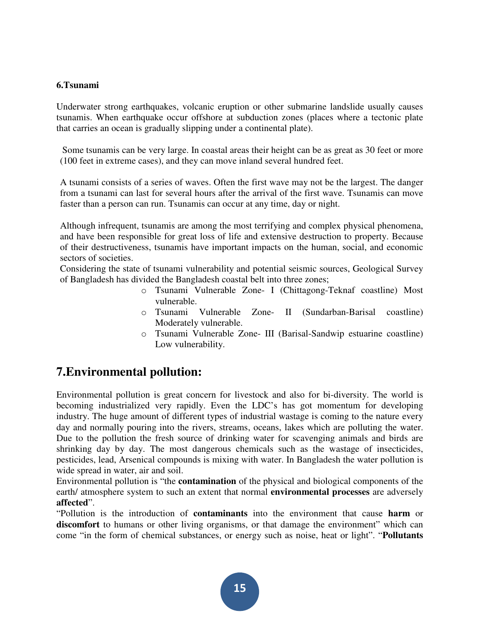#### **6.Tsunami**

Underwater strong earthquakes, volcanic eruption or other submarine landslide usually causes tsunamis. When earthquake occur offshore at subduction zones (places where a tectonic plate that carries an ocean is gradually slipping under a continental plate).

 Some tsunamis can be very large. In coastal areas their height can be as great as 30 feet or more (100 feet in extreme cases), and they can move inland several hundred feet.

A tsunami consists of a series of waves. Often the first wave may not be the largest. The danger from a tsunami can last for several hours after the arrival of the first wave. Tsunamis can move faster than a person can run. Tsunamis can occur at any time, day or night.

Although infrequent, tsunamis are among the most terrifying and complex physical phenomena, and have been responsible for great loss of life and extensive destruction to property. Because of their destructiveness, tsunamis have important impacts on the human, social, and economic sectors of societies.

Considering the state of tsunami vulnerability and potential seismic sources, Geological Survey of Bangladesh has divided the Bangladesh coastal belt into three zones;

- o Tsunami Vulnerable Zone- I (Chittagong-Teknaf coastline) Most vulnerable.
- o Tsunami Vulnerable Zone- II (Sundarban-Barisal coastline) Moderately vulnerable.
- o Tsunami Vulnerable Zone- III (Barisal-Sandwip estuarine coastline) Low vulnerability.

## **7.Environmental pollution:**

Environmental pollution is great concern for livestock and also for bi-diversity. The world is becoming industrialized very rapidly. Even the LDC's has got momentum for developing industry. The huge amount of different types of industrial wastage is coming to the nature every day and normally pouring into the rivers, streams, oceans, lakes which are polluting the water. Due to the pollution the fresh source of drinking water for scavenging animals and birds are shrinking day by day. The most dangerous chemicals such as the wastage of insecticides, pesticides, lead, Arsenical compounds is mixing with water. In Bangladesh the water pollution is wide spread in water, air and soil.

Environmental pollution is "the **contamination** of the physical and biological components of the earth/ atmosphere system to such an extent that normal **environmental processes** are adversely **affected**".

"Pollution is the introduction of **contaminants** into the environment that cause **harm** or discomfort to humans or other living organisms, or that damage the environment" which can come "in the form of chemical substances, or energy such as noise, heat or light". "**Pollutants**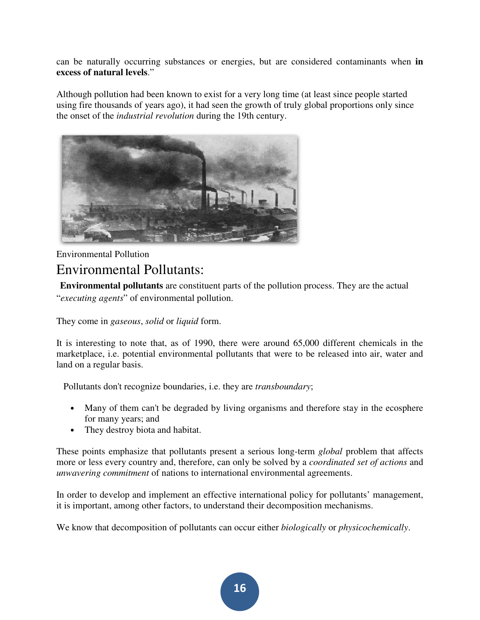can be naturally occurring substances or energies, but are considered contaminants when **in excess of natural levels**."

Although pollution had been known to exist for a very long time (at least since people started using fire thousands of years ago), it had seen the growth of truly global proportions only since the onset of the *industrial revolution* during the 19th century.



# Environmental Pollution Environmental Pollutants:

**Environmental pollutants** are constituent parts of the pollution process. They are the actual "*executing agents*" of environmental pollution.

They come in *gaseous*, *solid* or *liquid* form.

It is interesting to note that, as of 1990, there were around 65,000 different chemicals in the marketplace, i.e. potential environmental pollutants that were to be released into air, water and land on a regular basis.

Pollutants don't recognize boundaries, i.e. they are *transboundary*;

- Many of them can't be degraded by living organisms and therefore stay in the ecosphere for many years; and
- They destroy biota and habitat.

These points emphasize that pollutants present a serious long-term *global* problem that affects more or less every country and, therefore, can only be solved by a *coordinated set of actions* and *unwavering commitment* of nations to international environmental agreements.

In order to develop and implement an effective international policy for pollutants' management, it is important, among other factors, to understand their decomposition mechanisms.

We know that decomposition of pollutants can occur either *biologically* or *physicochemically*.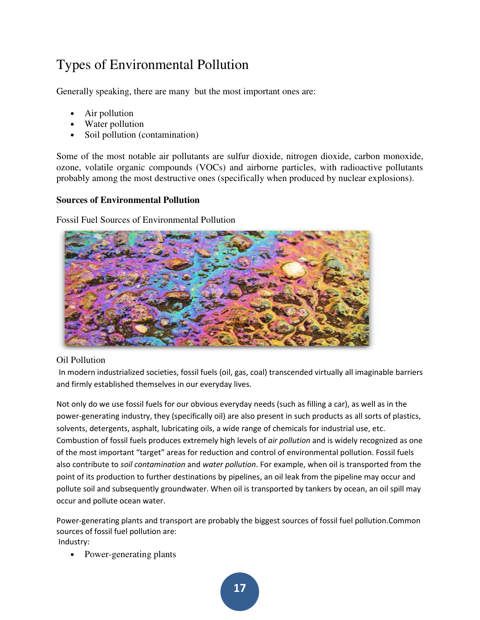# Types of Environmental Pollution

Generally speaking, there are many but the most important ones are:

- Air pollution
- Water pollution
- Soil pollution (contamination)

Some of the most notable air pollutants are sulfur dioxide, nitrogen dioxide, carbon monoxide, ozone, volatile organic compounds (VOCs) and airborne particles, with radioactive pollutants probably among the most destructive ones (specifically when produced by nuclear explosions).

#### **Sources of Environmental Pollution**

Fossil Fuel Sources of Environmental Pollution



#### Oil Pollution

In modern industrialized societies, fossil fuels (oil, gas, coal) transcended virtually all imaginable barriers and firmly established themselves in our everyday lives.

Not only do we use fossil fuels for our obvious everyday needs (such as filling a car), as well as in the power-generating industry, they (specifically oil) are also present in such products as all sorts of plastics, solvents, detergents, asphalt, lubricating oils, a wide range of chemicals for industrial use, etc. Combustion of fossil fuels produces extremely high levels of *air pollution* and is widely recognized as one of the most important "target" areas for reduction and control of environmental pollution. Fossil fuels also contribute to *soil contamination* and *water pollution*. For example, when oil is transported from the point of its production to further destinations by pipelines, an oil leak from the pipeline may occur and pollute soil and subsequently groundwater. When oil is transported by tankers by ocean, an oil spill may occur and pollute ocean water.

Power-generating plants and transport are probably the biggest sources of fossil fuel pollution.Common sources of fossil fuel pollution are: Industry:

• Power-generating plants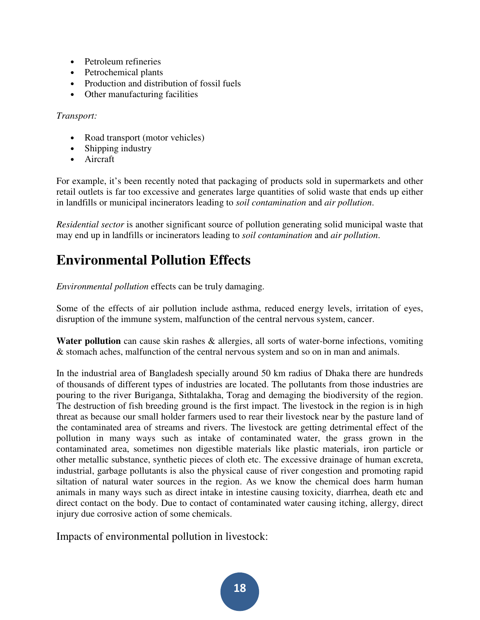- Petroleum refineries
- Petrochemical plants
- Production and distribution of fossil fuels
- Other manufacturing facilities

## *Transport:*

- Road transport (motor vehicles)
- Shipping industry
- Aircraft

For example, it's been recently noted that packaging of products sold in supermarkets and other retail outlets is far too excessive and generates large quantities of solid waste that ends up either in landfills or municipal incinerators leading to *soil contamination* and *air pollution*.

*Residential sector* is another significant source of pollution generating solid municipal waste that may end up in landfills or incinerators leading to *soil contamination* and *air pollution*.

# **Environmental Pollution Effects**

*Environmental pollution* effects can be truly damaging.

Some of the effects of air pollution include asthma, reduced energy levels, irritation of eyes, disruption of the immune system, malfunction of the central nervous system, cancer.

**Water pollution** can cause skin rashes & allergies, all sorts of water-borne infections, vomiting & stomach aches, malfunction of the central nervous system and so on in man and animals.

In the industrial area of Bangladesh specially around 50 km radius of Dhaka there are hundreds of thousands of different types of industries are located. The pollutants from those industries are pouring to the river Buriganga, Sithtalakha, Torag and demaging the biodiversity of the region. The destruction of fish breeding ground is the first impact. The livestock in the region is in high threat as because our small holder farmers used to rear their livestock near by the pasture land of the contaminated area of streams and rivers. The livestock are getting detrimental effect of the pollution in many ways such as intake of contaminated water, the grass grown in the contaminated area, sometimes non digestible materials like plastic materials, iron particle or other metallic substance, synthetic pieces of cloth etc. The excessive drainage of human excreta, industrial, garbage pollutants is also the physical cause of river congestion and promoting rapid siltation of natural water sources in the region. As we know the chemical does harm human animals in many ways such as direct intake in intestine causing toxicity, diarrhea, death etc and direct contact on the body. Due to contact of contaminated water causing itching, allergy, direct injury due corrosive action of some chemicals.

Impacts of environmental pollution in livestock: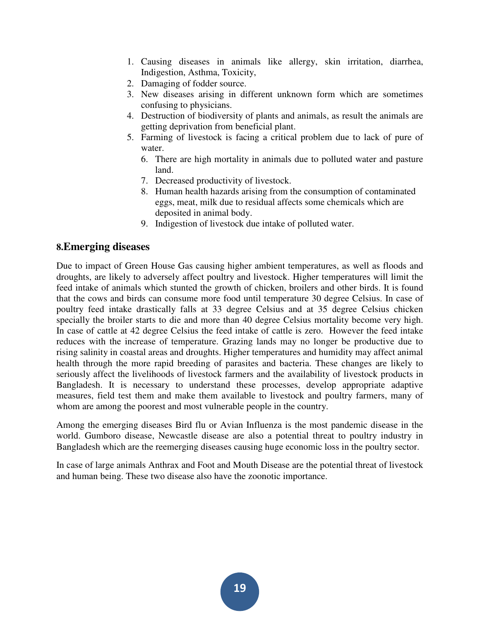- 1. Causing diseases in animals like allergy, skin irritation, diarrhea, Indigestion, Asthma, Toxicity,
- 2. Damaging of fodder source.
- 3. New diseases arising in different unknown form which are sometimes confusing to physicians.
- 4. Destruction of biodiversity of plants and animals, as result the animals are getting deprivation from beneficial plant.
- 5. Farming of livestock is facing a critical problem due to lack of pure of water.
	- 6. There are high mortality in animals due to polluted water and pasture land.
	- 7. Decreased productivity of livestock.
	- 8. Human health hazards arising from the consumption of contaminated eggs, meat, milk due to residual affects some chemicals which are deposited in animal body.
	- 9. Indigestion of livestock due intake of polluted water.

#### **8.Emerging diseases**

Due to impact of Green House Gas causing higher ambient temperatures, as well as floods and droughts, are likely to adversely affect poultry and livestock. Higher temperatures will limit the feed intake of animals which stunted the growth of chicken, broilers and other birds. It is found that the cows and birds can consume more food until temperature 30 degree Celsius. In case of poultry feed intake drastically falls at 33 degree Celsius and at 35 degree Celsius chicken specially the broiler starts to die and more than 40 degree Celsius mortality become very high. In case of cattle at 42 degree Celsius the feed intake of cattle is zero. However the feed intake reduces with the increase of temperature. Grazing lands may no longer be productive due to rising salinity in coastal areas and droughts. Higher temperatures and humidity may affect animal health through the more rapid breeding of parasites and bacteria. These changes are likely to seriously affect the livelihoods of livestock farmers and the availability of livestock products in Bangladesh. It is necessary to understand these processes, develop appropriate adaptive measures, field test them and make them available to livestock and poultry farmers, many of whom are among the poorest and most vulnerable people in the country.

Among the emerging diseases Bird flu or Avian Influenza is the most pandemic disease in the world. Gumboro disease, Newcastle disease are also a potential threat to poultry industry in Bangladesh which are the reemerging diseases causing huge economic loss in the poultry sector.

In case of large animals Anthrax and Foot and Mouth Disease are the potential threat of livestock and human being. These two disease also have the zoonotic importance.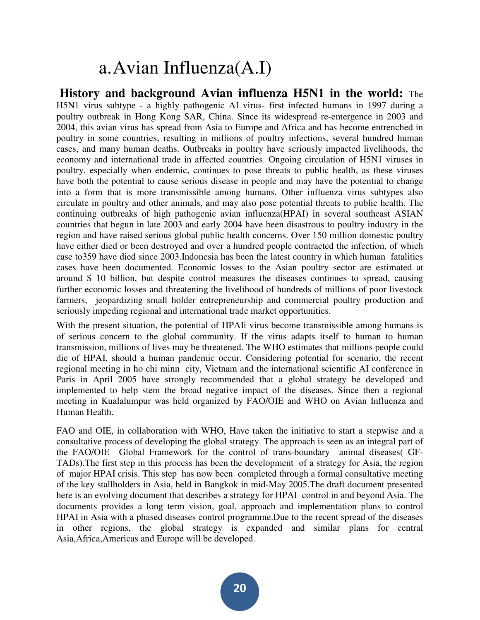# a.Avian Influenza(A.I)

 **History and background Avian influenza H5N1 in the world:** The H5N1 virus subtype - a highly pathogenic AI virus- first infected humans in 1997 during a poultry outbreak in Hong Kong SAR, China. Since its widespread re-emergence in 2003 and 2004, this avian virus has spread from Asia to Europe and Africa and has become entrenched in poultry in some countries, resulting in millions of poultry infections, several hundred human cases, and many human deaths. Outbreaks in poultry have seriously impacted livelihoods, the economy and international trade in affected countries. Ongoing circulation of H5N1 viruses in poultry, especially when endemic, continues to pose threats to public health, as these viruses have both the potential to cause serious disease in people and may have the potential to change into a form that is more transmissible among humans. Other influenza virus subtypes also circulate in poultry and other animals, and may also pose potential threats to public health. The continuing outbreaks of high pathogenic avian influenza(HPAI) in several southeast ASIAN countries that begun in late 2003 and early 2004 have been disastrous to poultry industry in the region and have raised serious global public health concerns. Over 150 million domestic poultry have either died or been destroyed and over a hundred people contracted the infection, of which case to359 have died since 2003.Indonesia has been the latest country in which human fatalities cases have been documented. Economic losses to the Asian poultry sector are estimated at around \$ 10 billion, but despite control measures the diseases continues to spread, causing further economic losses and threatening the livelihood of hundreds of millions of poor livestock farmers, jeopardizing small holder entrepreneurship and commercial poultry production and seriously impeding regional and international trade market opportunities.

With the present situation, the potential of HPAI virus become transmissible among humans is of serious concern to the global community. If the virus adapts itself to human to human transmission, millions of lives may be threatened. The WHO estimates that millions people could die of HPAI, should a human pandemic occur. Considering potential for scenario, the recent regional meeting in ho chi minn city, Vietnam and the international scientific AI conference in Paris in April 2005 have strongly recommended that a global strategy be developed and implemented to help stem the broad negative impact of the diseases. Since then a regional meeting in Kualalumpur was held organized by FAO/OIE and WHO on Avian Influenza and Human Health.

FAO and OIE, in collaboration with WHO, Have taken the initiative to start a stepwise and a consultative process of developing the global strategy. The approach is seen as an integral part of the FAO/OIE Global Framework for the control of trans-boundary animal diseases( GF-TADs).The first step in this process has been the development of a strategy for Asia, the region of major HPAI crisis. This step has now been completed through a formal consultative meeting of the key stallholders in Asia, held in Bangkok in mid-May 2005.The draft document presented here is an evolving document that describes a strategy for HPAI control in and beyond Asia. The documents provides a long term vision, goal, approach and implementation plans to control HPAI in Asia with a phased diseases control programme.Due to the recent spread of the diseases in other regions, the global strategy is expanded and similar plans for central Asia,Africa,Americas and Europe will be developed.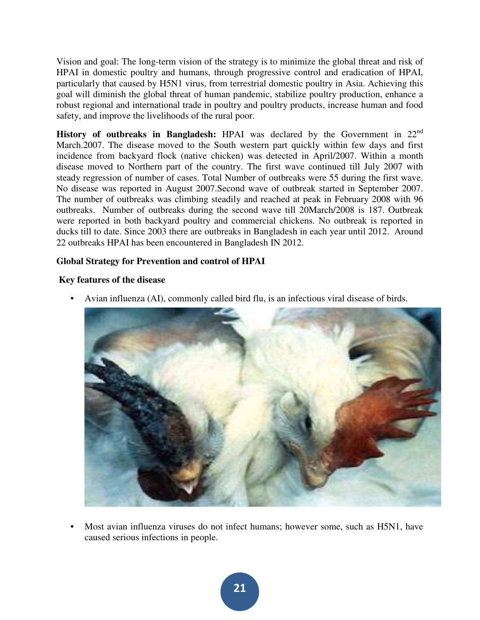Vision and goal: The long-term vision of the strategy is to minimize the global threat and risk of HPAI in domestic poultry and humans, through progressive control and eradication of HPAI, particularly that caused by H5N1 virus, from terrestrial domestic poultry in Asia. Achieving this goal will diminish the global threat of human pandemic, stabilize poultry production, enhance a robust regional and international trade in poultry and poultry products, increase human and food safety, and improve the livelihoods of the rural poor.

**History of outbreaks in Bangladesh:** HPAI was declared by the Government in 22<sup>nd</sup> March.2007. The disease moved to the South western part quickly within few days and first incidence from backyard flock (native chicken) was detected in April/2007. Within a month disease moved to Northern part of the country. The first wave continued till July 2007 with steady regression of number of cases. Total Number of outbreaks were 55 during the first wave. No disease was reported in August 2007.Second wave of outbreak started in September 2007. The number of outbreaks was climbing steadily and reached at peak in February 2008 with 96 outbreaks. Number of outbreaks during the second wave till 20March/2008 is 187. Outbreak were reported in both backyard poultry and commercial chickens. No outbreak is reported in ducks till to date. Since 2003 there are outbreaks in Bangladesh in each year until 2012. Around 22 outbreaks HPAI has been encountered in Bangladesh IN 2012.

#### **Global Strategy for Prevention and control of HPAI**

#### **Key features of the disease**

• Avian influenza (AI), commonly called bird flu, is an infectious viral disease of birds.



• Most avian influenza viruses do not infect humans; however some, such as H5N1, have caused serious infections in people.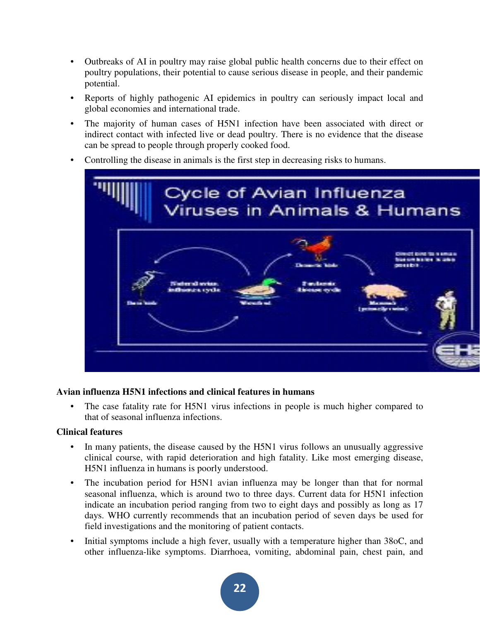- Outbreaks of AI in poultry may raise global public health concerns due to their effect on poultry populations, their potential to cause serious disease in people, and their pandemic potential.
- Reports of highly pathogenic AI epidemics in poultry can seriously impact local and global economies and international trade.
- The majority of human cases of H5N1 infection have been associated with direct or indirect contact with infected live or dead poultry. There is no evidence that the disease can be spread to people through properly cooked food.
- Controlling the disease in animals is the first step in decreasing risks to humans.



## **Avian influenza H5N1 infections and clinical features in humans**

• The case fatality rate for H5N1 virus infections in people is much higher compared to that of seasonal influenza infections.

## **Clinical features**

- In many patients, the disease caused by the H5N1 virus follows an unusually aggressive clinical course, with rapid deterioration and high fatality. Like most emerging disease, H5N1 influenza in humans is poorly understood.
- The incubation period for H5N1 avian influenza may be longer than that for normal seasonal influenza, which is around two to three days. Current data for H5N1 infection indicate an incubation period ranging from two to eight days and possibly as long as 17 days. WHO currently recommends that an incubation period of seven days be used for field investigations and the monitoring of patient contacts.
- Initial symptoms include a high fever, usually with a temperature higher than 38oC, and other influenza-like symptoms. Diarrhoea, vomiting, abdominal pain, chest pain, and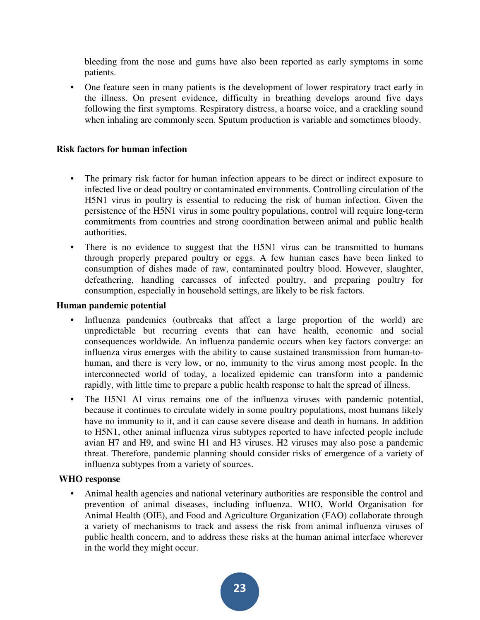bleeding from the nose and gums have also been reported as early symptoms in some patients.

• One feature seen in many patients is the development of lower respiratory tract early in the illness. On present evidence, difficulty in breathing develops around five days following the first symptoms. Respiratory distress, a hoarse voice, and a crackling sound when inhaling are commonly seen. Sputum production is variable and sometimes bloody.

#### **Risk factors for human infection**

- The primary risk factor for human infection appears to be direct or indirect exposure to infected live or dead poultry or contaminated environments. Controlling circulation of the H5N1 virus in poultry is essential to reducing the risk of human infection. Given the persistence of the H5N1 virus in some poultry populations, control will require long-term commitments from countries and strong coordination between animal and public health authorities.
- There is no evidence to suggest that the H5N1 virus can be transmitted to humans through properly prepared poultry or eggs. A few human cases have been linked to consumption of dishes made of raw, contaminated poultry blood. However, slaughter, defeathering, handling carcasses of infected poultry, and preparing poultry for consumption, especially in household settings, are likely to be risk factors.

#### **Human pandemic potential**

- Influenza pandemics (outbreaks that affect a large proportion of the world) are unpredictable but recurring events that can have health, economic and social consequences worldwide. An influenza pandemic occurs when key factors converge: an influenza virus emerges with the ability to cause sustained transmission from human-tohuman, and there is very low, or no, immunity to the virus among most people. In the interconnected world of today, a localized epidemic can transform into a pandemic rapidly, with little time to prepare a public health response to halt the spread of illness.
- The H5N1 AI virus remains one of the influenza viruses with pandemic potential, because it continues to circulate widely in some poultry populations, most humans likely have no immunity to it, and it can cause severe disease and death in humans. In addition to H5N1, other animal influenza virus subtypes reported to have infected people include avian H7 and H9, and swine H1 and H3 viruses. H2 viruses may also pose a pandemic threat. Therefore, pandemic planning should consider risks of emergence of a variety of influenza subtypes from a variety of sources.

#### **WHO response**

• Animal health agencies and national veterinary authorities are responsible the control and prevention of animal diseases, including influenza. WHO, World Organisation for Animal Health (OIE), and Food and Agriculture Organization (FAO) collaborate through a variety of mechanisms to track and assess the risk from animal influenza viruses of public health concern, and to address these risks at the human animal interface wherever in the world they might occur.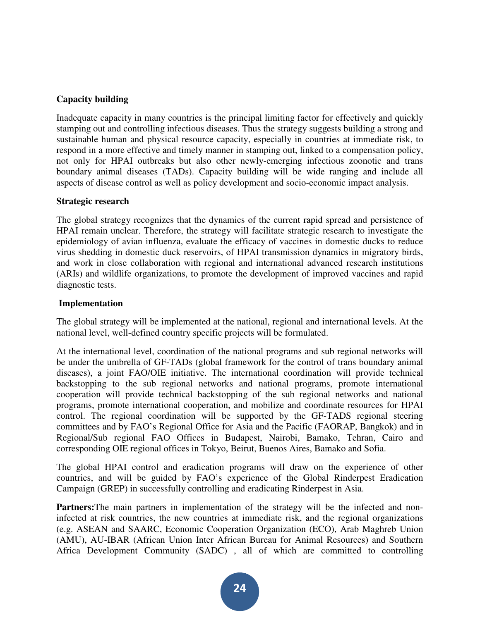#### **Capacity building**

Inadequate capacity in many countries is the principal limiting factor for effectively and quickly stamping out and controlling infectious diseases. Thus the strategy suggests building a strong and sustainable human and physical resource capacity, especially in countries at immediate risk, to respond in a more effective and timely manner in stamping out, linked to a compensation policy, not only for HPAI outbreaks but also other newly-emerging infectious zoonotic and trans boundary animal diseases (TADs). Capacity building will be wide ranging and include all aspects of disease control as well as policy development and socio-economic impact analysis.

#### **Strategic research**

The global strategy recognizes that the dynamics of the current rapid spread and persistence of HPAI remain unclear. Therefore, the strategy will facilitate strategic research to investigate the epidemiology of avian influenza, evaluate the efficacy of vaccines in domestic ducks to reduce virus shedding in domestic duck reservoirs, of HPAI transmission dynamics in migratory birds, and work in close collaboration with regional and international advanced research institutions (ARIs) and wildlife organizations, to promote the development of improved vaccines and rapid diagnostic tests.

#### **Implementation**

The global strategy will be implemented at the national, regional and international levels. At the national level, well-defined country specific projects will be formulated.

At the international level, coordination of the national programs and sub regional networks will be under the umbrella of GF-TADs (global framework for the control of trans boundary animal diseases), a joint FAO/OIE initiative. The international coordination will provide technical backstopping to the sub regional networks and national programs, promote international cooperation will provide technical backstopping of the sub regional networks and national programs, promote international cooperation, and mobilize and coordinate resources for HPAI control. The regional coordination will be supported by the GF-TADS regional steering committees and by FAO's Regional Office for Asia and the Pacific (FAORAP, Bangkok) and in Regional/Sub regional FAO Offices in Budapest, Nairobi, Bamako, Tehran, Cairo and corresponding OIE regional offices in Tokyo, Beirut, Buenos Aires, Bamako and Sofia.

The global HPAI control and eradication programs will draw on the experience of other countries, and will be guided by FAO's experience of the Global Rinderpest Eradication Campaign (GREP) in successfully controlling and eradicating Rinderpest in Asia.

**Partners:** The main partners in implementation of the strategy will be the infected and noninfected at risk countries, the new countries at immediate risk, and the regional organizations (e.g. ASEAN and SAARC, Economic Cooperation Organization (ECO), Arab Maghreb Union (AMU), AU-IBAR (African Union Inter African Bureau for Animal Resources) and Southern Africa Development Community (SADC) , all of which are committed to controlling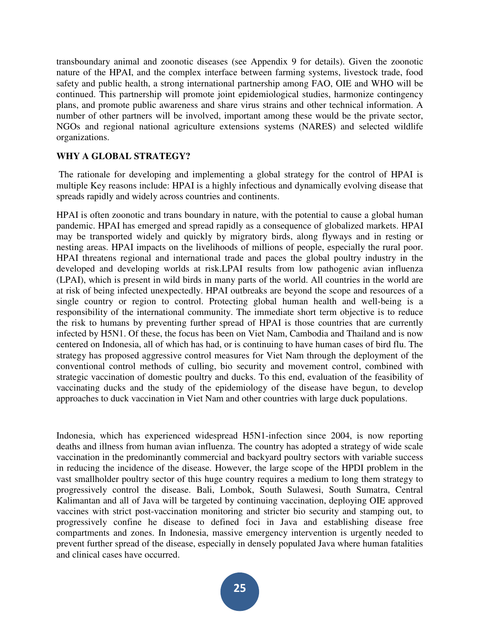transboundary animal and zoonotic diseases (see Appendix 9 for details). Given the zoonotic nature of the HPAI, and the complex interface between farming systems, livestock trade, food safety and public health, a strong international partnership among FAO, OIE and WHO will be continued. This partnership will promote joint epidemiological studies, harmonize contingency plans, and promote public awareness and share virus strains and other technical information. A number of other partners will be involved, important among these would be the private sector, NGOs and regional national agriculture extensions systems (NARES) and selected wildlife organizations.

#### **WHY A GLOBAL STRATEGY?**

 The rationale for developing and implementing a global strategy for the control of HPAI is multiple Key reasons include: HPAI is a highly infectious and dynamically evolving disease that spreads rapidly and widely across countries and continents.

HPAI is often zoonotic and trans boundary in nature, with the potential to cause a global human pandemic. HPAI has emerged and spread rapidly as a consequence of globalized markets. HPAI may be transported widely and quickly by migratory birds, along flyways and in resting or nesting areas. HPAI impacts on the livelihoods of millions of people, especially the rural poor. HPAI threatens regional and international trade and paces the global poultry industry in the developed and developing worlds at risk.LPAI results from low pathogenic avian influenza (LPAI), which is present in wild birds in many parts of the world. All countries in the world are at risk of being infected unexpectedly. HPAI outbreaks are beyond the scope and resources of a single country or region to control. Protecting global human health and well-being is a responsibility of the international community. The immediate short term objective is to reduce the risk to humans by preventing further spread of HPAI is those countries that are currently infected by H5N1. Of these, the focus has been on Viet Nam, Cambodia and Thailand and is now centered on Indonesia, all of which has had, or is continuing to have human cases of bird flu. The strategy has proposed aggressive control measures for Viet Nam through the deployment of the conventional control methods of culling, bio security and movement control, combined with strategic vaccination of domestic poultry and ducks. To this end, evaluation of the feasibility of vaccinating ducks and the study of the epidemiology of the disease have begun, to develop approaches to duck vaccination in Viet Nam and other countries with large duck populations.

Indonesia, which has experienced widespread H5N1-infection since 2004, is now reporting deaths and illness from human avian influenza. The country has adopted a strategy of wide scale vaccination in the predominantly commercial and backyard poultry sectors with variable success in reducing the incidence of the disease. However, the large scope of the HPDI problem in the vast smallholder poultry sector of this huge country requires a medium to long them strategy to progressively control the disease. Bali, Lombok, South Sulawesi, South Sumatra, Central Kalimantan and all of Java will be targeted by continuing vaccination, deploying OIE approved vaccines with strict post-vaccination monitoring and stricter bio security and stamping out, to progressively confine he disease to defined foci in Java and establishing disease free compartments and zones. In Indonesia, massive emergency intervention is urgently needed to prevent further spread of the disease, especially in densely populated Java where human fatalities and clinical cases have occurred.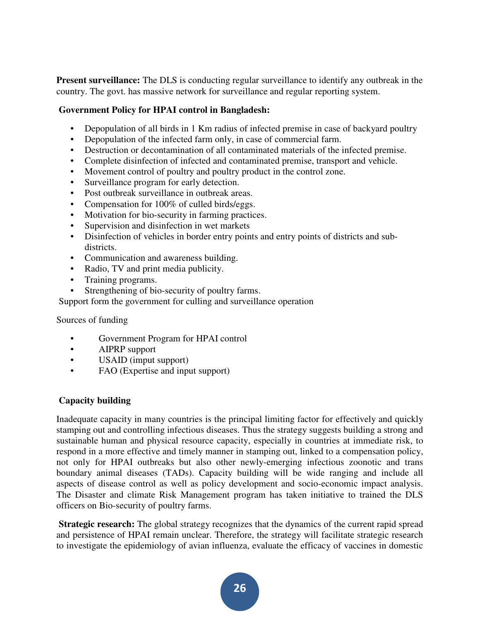**Present surveillance:** The DLS is conducting regular surveillance to identify any outbreak in the country. The govt. has massive network for surveillance and regular reporting system.

#### **Government Policy for HPAI control in Bangladesh:**

- Depopulation of all birds in 1 Km radius of infected premise in case of backyard poultry
- Depopulation of the infected farm only, in case of commercial farm.
- Destruction or decontamination of all contaminated materials of the infected premise.
- Complete disinfection of infected and contaminated premise, transport and vehicle.
- Movement control of poultry and poultry product in the control zone.
- Surveillance program for early detection.
- Post outbreak surveillance in outbreak areas.
- Compensation for 100% of culled birds/eggs.
- Motivation for bio-security in farming practices.
- Supervision and disinfection in wet markets
- Disinfection of vehicles in border entry points and entry points of districts and subdistricts.
- Communication and awareness building.
- Radio, TV and print media publicity.
- Training programs.
- Strengthening of bio-security of poultry farms.

Support form the government for culling and surveillance operation

Sources of funding

- Government Program for HPAI control
- AIPRP support
- USAID (imput support)
- FAO (Expertise and input support)

#### **Capacity building**

Inadequate capacity in many countries is the principal limiting factor for effectively and quickly stamping out and controlling infectious diseases. Thus the strategy suggests building a strong and sustainable human and physical resource capacity, especially in countries at immediate risk, to respond in a more effective and timely manner in stamping out, linked to a compensation policy, not only for HPAI outbreaks but also other newly-emerging infectious zoonotic and trans boundary animal diseases (TADs). Capacity building will be wide ranging and include all aspects of disease control as well as policy development and socio-economic impact analysis. The Disaster and climate Risk Management program has taken initiative to trained the DLS officers on Bio-security of poultry farms.

**Strategic research:** The global strategy recognizes that the dynamics of the current rapid spread and persistence of HPAI remain unclear. Therefore, the strategy will facilitate strategic research to investigate the epidemiology of avian influenza, evaluate the efficacy of vaccines in domestic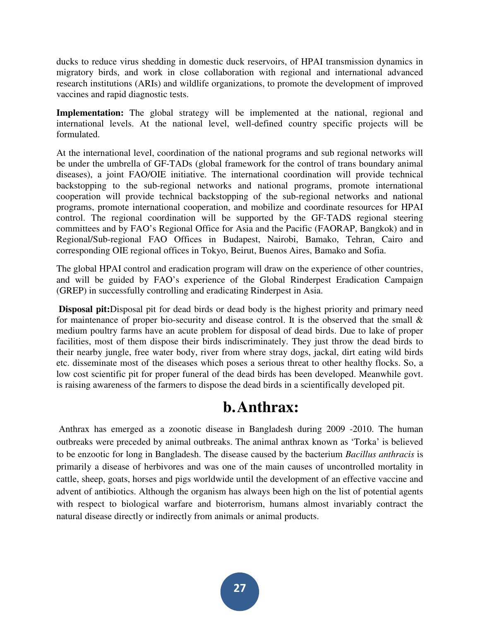ducks to reduce virus shedding in domestic duck reservoirs, of HPAI transmission dynamics in migratory birds, and work in close collaboration with regional and international advanced research institutions (ARIs) and wildlife organizations, to promote the development of improved vaccines and rapid diagnostic tests.

**Implementation:** The global strategy will be implemented at the national, regional and international levels. At the national level, well-defined country specific projects will be formulated.

At the international level, coordination of the national programs and sub regional networks will be under the umbrella of GF-TADs (global framework for the control of trans boundary animal diseases), a joint FAO/OIE initiative. The international coordination will provide technical backstopping to the sub-regional networks and national programs, promote international cooperation will provide technical backstopping of the sub-regional networks and national programs, promote international cooperation, and mobilize and coordinate resources for HPAI control. The regional coordination will be supported by the GF-TADS regional steering committees and by FAO's Regional Office for Asia and the Pacific (FAORAP, Bangkok) and in Regional/Sub-regional FAO Offices in Budapest, Nairobi, Bamako, Tehran, Cairo and corresponding OIE regional offices in Tokyo, Beirut, Buenos Aires, Bamako and Sofia.

The global HPAI control and eradication program will draw on the experience of other countries, and will be guided by FAO's experience of the Global Rinderpest Eradication Campaign (GREP) in successfully controlling and eradicating Rinderpest in Asia.

 **Disposal pit:**Disposal pit for dead birds or dead body is the highest priority and primary need for maintenance of proper bio-security and disease control. It is the observed that the small  $\&$ medium poultry farms have an acute problem for disposal of dead birds. Due to lake of proper facilities, most of them dispose their birds indiscriminately. They just throw the dead birds to their nearby jungle, free water body, river from where stray dogs, jackal, dirt eating wild birds etc. disseminate most of the diseases which poses a serious threat to other healthy flocks. So, a low cost scientific pit for proper funeral of the dead birds has been developed. Meanwhile govt. is raising awareness of the farmers to dispose the dead birds in a scientifically developed pit.

# **b.Anthrax:**

 Anthrax has emerged as a zoonotic disease in Bangladesh during 2009 -2010. The human outbreaks were preceded by animal outbreaks. The animal anthrax known as 'Torka' is believed to be enzootic for long in Bangladesh. The disease caused by the bacterium *Bacillus anthracis* is primarily a disease of herbivores and was one of the main causes of uncontrolled mortality in cattle, sheep, goats, horses and pigs worldwide until the development of an effective vaccine and advent of antibiotics. Although the organism has always been high on the list of potential agents with respect to biological warfare and bioterrorism, humans almost invariably contract the natural disease directly or indirectly from animals or animal products.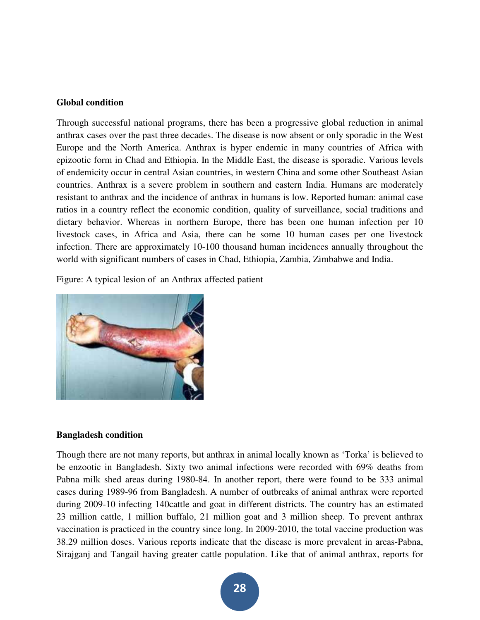#### **Global condition**

Through successful national programs, there has been a progressive global reduction in animal anthrax cases over the past three decades. The disease is now absent or only sporadic in the West Europe and the North America. Anthrax is hyper endemic in many countries of Africa with epizootic form in Chad and Ethiopia. In the Middle East, the disease is sporadic. Various levels of endemicity occur in central Asian countries, in western China and some other Southeast Asian countries. Anthrax is a severe problem in southern and eastern India. Humans are moderately resistant to anthrax and the incidence of anthrax in humans is low. Reported human: animal case ratios in a country reflect the economic condition, quality of surveillance, social traditions and dietary behavior. Whereas in northern Europe, there has been one human infection per 10 livestock cases, in Africa and Asia, there can be some 10 human cases per one livestock infection. There are approximately 10-100 thousand human incidences annually throughout the world with significant numbers of cases in Chad, Ethiopia, Zambia, Zimbabwe and India.

Figure: A typical lesion of an Anthrax affected patient



#### **Bangladesh condition**

Though there are not many reports, but anthrax in animal locally known as 'Torka' is believed to be enzootic in Bangladesh. Sixty two animal infections were recorded with 69% deaths from Pabna milk shed areas during 1980-84. In another report, there were found to be 333 animal cases during 1989-96 from Bangladesh. A number of outbreaks of animal anthrax were reported during 2009-10 infecting 140cattle and goat in different districts. The country has an estimated 23 million cattle, 1 million buffalo, 21 million goat and 3 million sheep. To prevent anthrax vaccination is practiced in the country since long. In 2009-2010, the total vaccine production was 38.29 million doses. Various reports indicate that the disease is more prevalent in areas-Pabna, Sirajganj and Tangail having greater cattle population. Like that of animal anthrax, reports for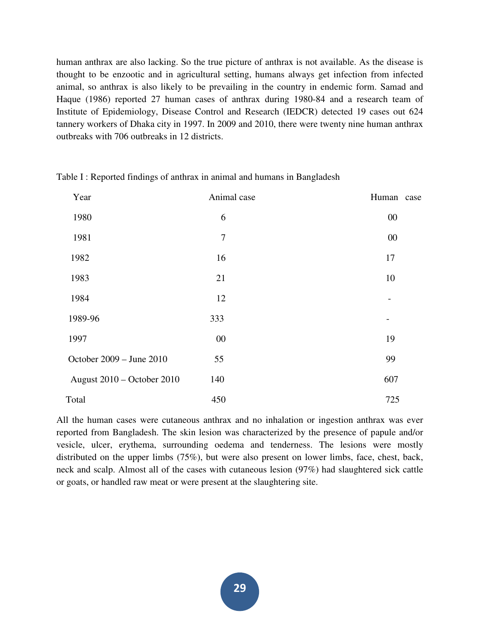human anthrax are also lacking. So the true picture of anthrax is not available. As the disease is thought to be enzootic and in agricultural setting, humans always get infection from infected animal, so anthrax is also likely to be prevailing in the country in endemic form. Samad and Haque (1986) reported 27 human cases of anthrax during 1980-84 and a research team of Institute of Epidemiology, Disease Control and Research (IEDCR) detected 19 cases out 624 tannery workers of Dhaka city in 1997. In 2009 and 2010, there were twenty nine human anthrax outbreaks with 706 outbreaks in 12 districts.

| Year                       | Animal case | Human case               |  |
|----------------------------|-------------|--------------------------|--|
| 1980                       | 6           | $00\,$                   |  |
| 1981                       | $\tau$      | $00\,$                   |  |
| 1982                       | 16          | 17                       |  |
| 1983                       | 21          | 10                       |  |
| 1984                       | 12          | -                        |  |
| 1989-96                    | 333         | $\overline{\phantom{a}}$ |  |
| 1997                       | $00\,$      | 19                       |  |
| October 2009 - June 2010   | 55          | 99                       |  |
| August 2010 - October 2010 | 140         | 607                      |  |
| Total                      | 450         | 725                      |  |

Table I : Reported findings of anthrax in animal and humans in Bangladesh

All the human cases were cutaneous anthrax and no inhalation or ingestion anthrax was ever reported from Bangladesh. The skin lesion was characterized by the presence of papule and/or vesicle, ulcer, erythema, surrounding oedema and tenderness. The lesions were mostly distributed on the upper limbs (75%), but were also present on lower limbs, face, chest, back, neck and scalp. Almost all of the cases with cutaneous lesion (97%) had slaughtered sick cattle or goats, or handled raw meat or were present at the slaughtering site.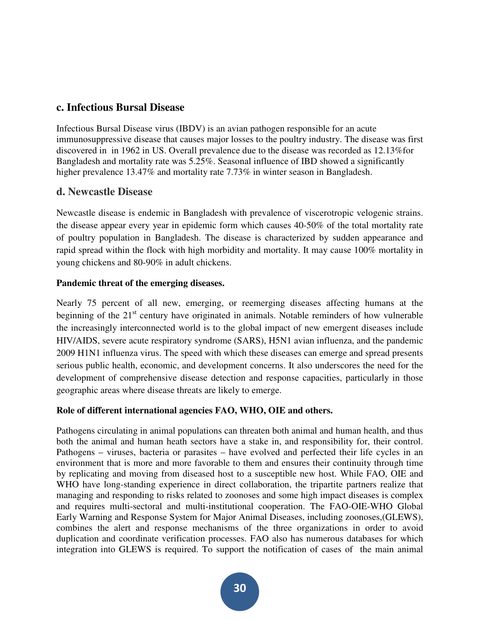## **c. Infectious Bursal Disease**

Infectious Bursal Disease virus (IBDV) is an avian pathogen responsible for an acute immunosuppressive disease that causes major losses to the poultry industry. The disease was first discovered in in 1962 in US. Overall prevalence due to the disease was recorded as 12.13%for Bangladesh and mortality rate was 5.25%. Seasonal influence of IBD showed a significantly higher prevalence 13.47% and mortality rate 7.73% in winter season in Bangladesh.

## **d. Newcastle Disease**

Newcastle disease is endemic in Bangladesh with prevalence of viscerotropic velogenic strains. the disease appear every year in epidemic form which causes 40-50% of the total mortality rate of poultry population in Bangladesh. The disease is characterized by sudden appearance and rapid spread within the flock with high morbidity and mortality. It may cause 100% mortality in young chickens and 80-90% in adult chickens.

#### **Pandemic threat of the emerging diseases.**

Nearly 75 percent of all new, emerging, or reemerging diseases affecting humans at the beginning of the  $21<sup>st</sup>$  century have originated in animals. Notable reminders of how vulnerable the increasingly interconnected world is to the global impact of new emergent diseases include HIV/AIDS, severe acute respiratory syndrome (SARS), H5N1 avian influenza, and the pandemic 2009 H1N1 influenza virus. The speed with which these diseases can emerge and spread presents serious public health, economic, and development concerns. It also underscores the need for the development of comprehensive disease detection and response capacities, particularly in those geographic areas where disease threats are likely to emerge.

## **Role of different international agencies FAO, WHO, OIE and others.**

Pathogens circulating in animal populations can threaten both animal and human health, and thus both the animal and human heath sectors have a stake in, and responsibility for, their control. Pathogens – viruses, bacteria or parasites – have evolved and perfected their life cycles in an environment that is more and more favorable to them and ensures their continuity through time by replicating and moving from diseased host to a susceptible new host. While FAO, OIE and WHO have long-standing experience in direct collaboration, the tripartite partners realize that managing and responding to risks related to zoonoses and some high impact diseases is complex and requires multi-sectoral and multi-institutional cooperation. The FAO-OIE-WHO Global Early Warning and Response System for Major Animal Diseases, including zoonoses,(GLEWS), combines the alert and response mechanisms of the three organizations in order to avoid duplication and coordinate verification processes. FAO also has numerous databases for which integration into GLEWS is required. To support the notification of cases of the main animal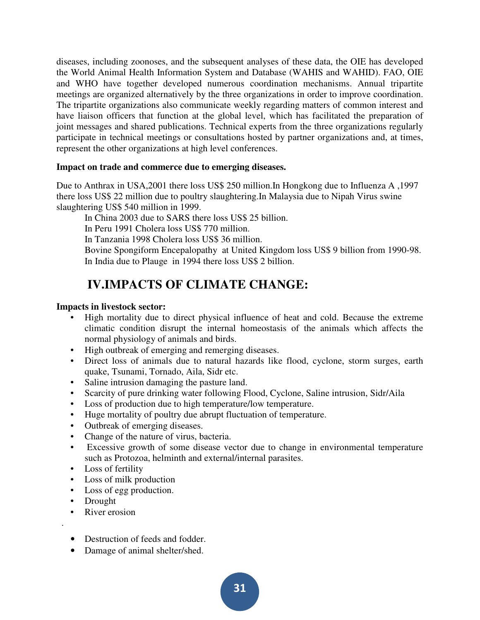diseases, including zoonoses, and the subsequent analyses of these data, the OIE has developed the World Animal Health Information System and Database (WAHIS and WAHID). FAO, OIE and WHO have together developed numerous coordination mechanisms. Annual tripartite meetings are organized alternatively by the three organizations in order to improve coordination. The tripartite organizations also communicate weekly regarding matters of common interest and have liaison officers that function at the global level, which has facilitated the preparation of joint messages and shared publications. Technical experts from the three organizations regularly participate in technical meetings or consultations hosted by partner organizations and, at times, represent the other organizations at high level conferences.

#### **Impact on trade and commerce due to emerging diseases.**

Due to Anthrax in USA,2001 there loss US\$ 250 million.In Hongkong due to Influenza A ,1997 there loss US\$ 22 million due to poultry slaughtering.In Malaysia due to Nipah Virus swine slaughtering US\$ 540 million in 1999.

In China 2003 due to SARS there loss US\$ 25 billion.

In Peru 1991 Cholera loss US\$ 770 million.

In Tanzania 1998 Cholera loss US\$ 36 million.

Bovine Spongiform Encepalopathy at United Kingdom loss US\$ 9 billion from 1990-98. In India due to Plauge in 1994 there loss US\$ 2 billion.

# **IV.IMPACTS OF CLIMATE CHANGE:**

## **Impacts in livestock sector:**

- High mortality due to direct physical influence of heat and cold. Because the extreme climatic condition disrupt the internal homeostasis of the animals which affects the normal physiology of animals and birds.
- High outbreak of emerging and remerging diseases.
- Direct loss of animals due to natural hazards like flood, cyclone, storm surges, earth quake, Tsunami, Tornado, Aila, Sidr etc.
- Saline intrusion damaging the pasture land.
- Scarcity of pure drinking water following Flood, Cyclone, Saline intrusion, Sidr/Aila
- Loss of production due to high temperature/low temperature.
- Huge mortality of poultry due abrupt fluctuation of temperature.
- Outbreak of emerging diseases.
- Change of the nature of virus, bacteria.
- Excessive growth of some disease vector due to change in environmental temperature such as Protozoa, helminth and external/internal parasites.
- Loss of fertility
- Loss of milk production
- Loss of egg production.
- Drought

.

- River erosion
- Destruction of feeds and fodder.
- Damage of animal shelter/shed.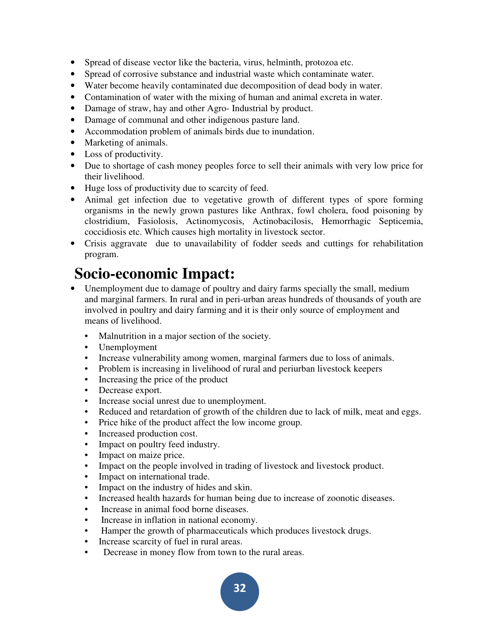- Spread of disease vector like the bacteria, virus, helminth, protozoa etc.
- Spread of corrosive substance and industrial waste which contaminate water.
- Water become heavily contaminated due decomposition of dead body in water.
- Contamination of water with the mixing of human and animal excreta in water.
- Damage of straw, hay and other Agro- Industrial by product.
- Damage of communal and other indigenous pasture land.
- Accommodation problem of animals birds due to inundation.
- Marketing of animals.
- Loss of productivity.
- Due to shortage of cash money peoples force to sell their animals with very low price for their livelihood.
- Huge loss of productivity due to scarcity of feed.
- Animal get infection due to vegetative growth of different types of spore forming organisms in the newly grown pastures like Anthrax, fowl cholera, food poisoning by clostridium, Fasiolosis, Actinomycosis, Actinobacilosis, Hemorrhagic Septicemia, coccidiosis etc. Which causes high mortality in livestock sector.
- Crisis aggravate due to unavailability of fodder seeds and cuttings for rehabilitation program.

# **Socio-economic Impact:**

- Unemployment due to damage of poultry and dairy farms specially the small, medium and marginal farmers. In rural and in peri-urban areas hundreds of thousands of youth are involved in poultry and dairy farming and it is their only source of employment and means of livelihood.
	- Malnutrition in a major section of the society.
	- Unemployment
	- Increase vulnerability among women, marginal farmers due to loss of animals.
	- Problem is increasing in livelihood of rural and periurban livestock keepers
	- Increasing the price of the product
	- Decrease export.
	- Increase social unrest due to unemployment.
	- Reduced and retardation of growth of the children due to lack of milk, meat and eggs.
	- Price hike of the product affect the low income group.
	- Increased production cost.
	- Impact on poultry feed industry.
	- Impact on maize price.
	- Impact on the people involved in trading of livestock and livestock product.
	- Impact on international trade.
	- Impact on the industry of hides and skin.
	- Increased health hazards for human being due to increase of zoonotic diseases.
	- Increase in animal food borne diseases.
	- Increase in inflation in national economy.
	- Hamper the growth of pharmaceuticals which produces livestock drugs.
	- Increase scarcity of fuel in rural areas.
	- Decrease in money flow from town to the rural areas.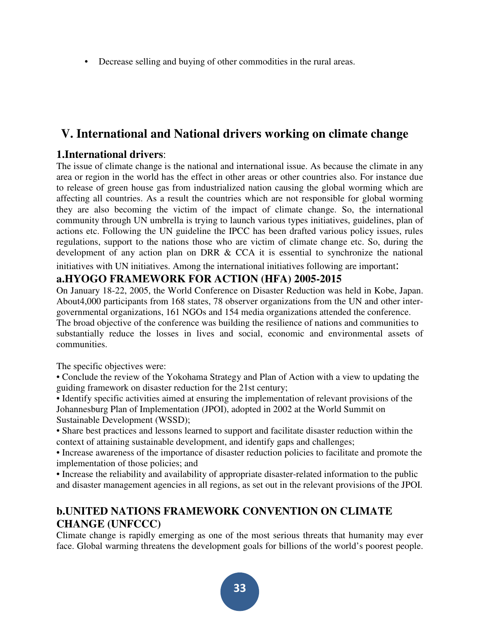• Decrease selling and buying of other commodities in the rural areas.

## **V. International and National drivers working on climate change**

## **1.International drivers**:

The issue of climate change is the national and international issue. As because the climate in any area or region in the world has the effect in other areas or other countries also. For instance due to release of green house gas from industrialized nation causing the global worming which are affecting all countries. As a result the countries which are not responsible for global worming they are also becoming the victim of the impact of climate change. So, the international community through UN umbrella is trying to launch various types initiatives, guidelines, plan of actions etc. Following the UN guideline the IPCC has been drafted various policy issues, rules regulations, support to the nations those who are victim of climate change etc. So, during the development of any action plan on DRR & CCA it is essential to synchronize the national

initiatives with UN initiatives. Among the international initiatives following are important:

## **a.HYOGO FRAMEWORK FOR ACTION (HFA) 2005-2015**

On January 18-22, 2005, the World Conference on Disaster Reduction was held in Kobe, Japan. About4,000 participants from 168 states, 78 observer organizations from the UN and other intergovernmental organizations, 161 NGOs and 154 media organizations attended the conference. The broad objective of the conference was building the resilience of nations and communities to substantially reduce the losses in lives and social, economic and environmental assets of communities.

The specific objectives were:

• Conclude the review of the Yokohama Strategy and Plan of Action with a view to updating the guiding framework on disaster reduction for the 21st century;

• Identify specific activities aimed at ensuring the implementation of relevant provisions of the Johannesburg Plan of Implementation (JPOI), adopted in 2002 at the World Summit on Sustainable Development (WSSD);

• Share best practices and lessons learned to support and facilitate disaster reduction within the context of attaining sustainable development, and identify gaps and challenges;

• Increase awareness of the importance of disaster reduction policies to facilitate and promote the implementation of those policies; and

• Increase the reliability and availability of appropriate disaster-related information to the public and disaster management agencies in all regions, as set out in the relevant provisions of the JPOI.

## **b.UNITED NATIONS FRAMEWORK CONVENTION ON CLIMATE CHANGE (UNFCCC)**

Climate change is rapidly emerging as one of the most serious threats that humanity may ever face. Global warming threatens the development goals for billions of the world's poorest people.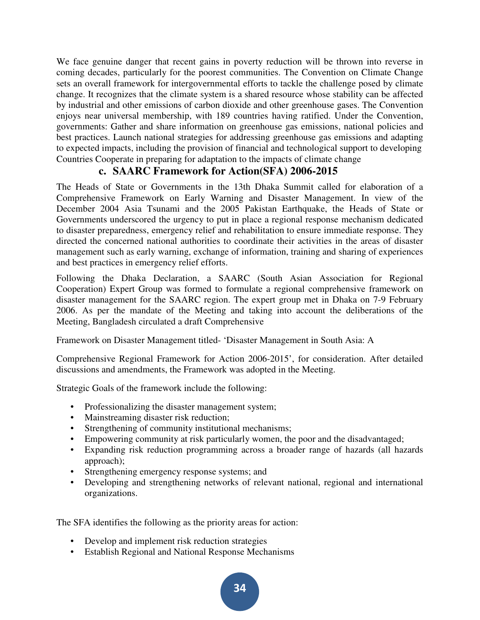We face genuine danger that recent gains in poverty reduction will be thrown into reverse in coming decades, particularly for the poorest communities. The Convention on Climate Change sets an overall framework for intergovernmental efforts to tackle the challenge posed by climate change. It recognizes that the climate system is a shared resource whose stability can be affected by industrial and other emissions of carbon dioxide and other greenhouse gases. The Convention enjoys near universal membership, with 189 countries having ratified. Under the Convention, governments: Gather and share information on greenhouse gas emissions, national policies and best practices. Launch national strategies for addressing greenhouse gas emissions and adapting to expected impacts, including the provision of financial and technological support to developing Countries Cooperate in preparing for adaptation to the impacts of climate change

## **c. SAARC Framework for Action(SFA) 2006-2015**

The Heads of State or Governments in the 13th Dhaka Summit called for elaboration of a Comprehensive Framework on Early Warning and Disaster Management. In view of the December 2004 Asia Tsunami and the 2005 Pakistan Earthquake, the Heads of State or Governments underscored the urgency to put in place a regional response mechanism dedicated to disaster preparedness, emergency relief and rehabilitation to ensure immediate response. They directed the concerned national authorities to coordinate their activities in the areas of disaster management such as early warning, exchange of information, training and sharing of experiences and best practices in emergency relief efforts.

Following the Dhaka Declaration, a SAARC (South Asian Association for Regional Cooperation) Expert Group was formed to formulate a regional comprehensive framework on disaster management for the SAARC region. The expert group met in Dhaka on 7-9 February 2006. As per the mandate of the Meeting and taking into account the deliberations of the Meeting, Bangladesh circulated a draft Comprehensive

Framework on Disaster Management titled- 'Disaster Management in South Asia: A

Comprehensive Regional Framework for Action 2006-2015', for consideration. After detailed discussions and amendments, the Framework was adopted in the Meeting.

Strategic Goals of the framework include the following:

- Professionalizing the disaster management system;
- Mainstreaming disaster risk reduction;
- Strengthening of community institutional mechanisms;
- Empowering community at risk particularly women, the poor and the disadvantaged;
- Expanding risk reduction programming across a broader range of hazards (all hazards approach);
- Strengthening emergency response systems; and
- Developing and strengthening networks of relevant national, regional and international organizations.

The SFA identifies the following as the priority areas for action:

- Develop and implement risk reduction strategies
- Establish Regional and National Response Mechanisms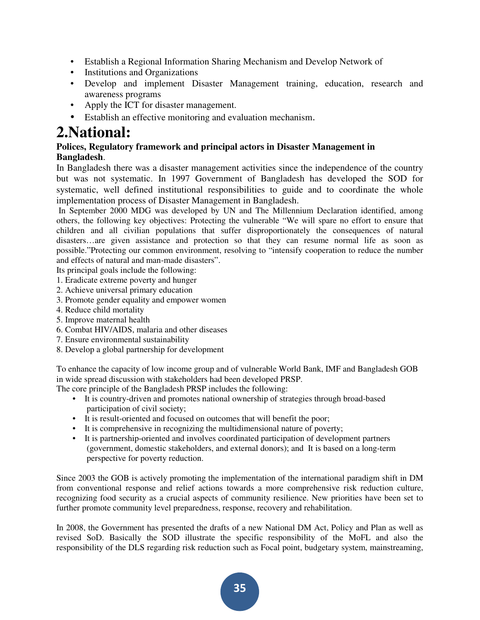- Establish a Regional Information Sharing Mechanism and Develop Network of
- Institutions and Organizations
- Develop and implement Disaster Management training, education, research and awareness programs
- Apply the ICT for disaster management.
- Establish an effective monitoring and evaluation mechanism.

# **2.National:**

## **Polices, Regulatory framework and principal actors in Disaster Management in Bangladesh**.

In Bangladesh there was a disaster management activities since the independence of the country but was not systematic. In 1997 Government of Bangladesh has developed the SOD for systematic, well defined institutional responsibilities to guide and to coordinate the whole implementation process of Disaster Management in Bangladesh.

 In September 2000 MDG was developed by UN and The Millennium Declaration identified, among others, the following key objectives: Protecting the vulnerable "We will spare no effort to ensure that children and all civilian populations that suffer disproportionately the consequences of natural disasters…are given assistance and protection so that they can resume normal life as soon as possible."Protecting our common environment, resolving to "intensify cooperation to reduce the number and effects of natural and man-made disasters".

Its principal goals include the following:

- 1. Eradicate extreme poverty and hunger
- 2. Achieve universal primary education
- 3. Promote gender equality and empower women
- 4. Reduce child mortality
- 5. Improve maternal health
- 6. Combat HIV/AIDS, malaria and other diseases
- 7. Ensure environmental sustainability
- 8. Develop a global partnership for development

To enhance the capacity of low income group and of vulnerable World Bank, IMF and Bangladesh GOB in wide spread discussion with stakeholders had been developed PRSP.

The core principle of the Bangladesh PRSP includes the following:

- It is country-driven and promotes national ownership of strategies through broad-based participation of civil society;
- It is result-oriented and focused on outcomes that will benefit the poor;
- It is comprehensive in recognizing the multidimensional nature of poverty;
- It is partnership-oriented and involves coordinated participation of development partners (government, domestic stakeholders, and external donors); and It is based on a long-term perspective for poverty reduction.

Since 2003 the GOB is actively promoting the implementation of the international paradigm shift in DM from conventional response and relief actions towards a more comprehensive risk reduction culture, recognizing food security as a crucial aspects of community resilience. New priorities have been set to further promote community level preparedness, response, recovery and rehabilitation.

In 2008, the Government has presented the drafts of a new National DM Act, Policy and Plan as well as revised SoD. Basically the SOD illustrate the specific responsibility of the MoFL and also the responsibility of the DLS regarding risk reduction such as Focal point, budgetary system, mainstreaming,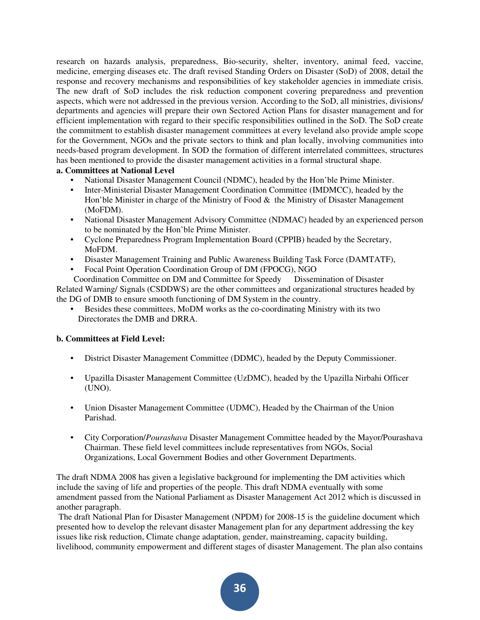research on hazards analysis, preparedness, Bio-security, shelter, inventory, animal feed, vaccine, medicine, emerging diseases etc. The draft revised Standing Orders on Disaster (SoD) of 2008, detail the response and recovery mechanisms and responsibilities of key stakeholder agencies in immediate crisis. The new draft of SoD includes the risk reduction component covering preparedness and prevention aspects, which were not addressed in the previous version. According to the SoD, all ministries, divisions/ departments and agencies will prepare their own Sectored Action Plans for disaster management and for efficient implementation with regard to their specific responsibilities outlined in the SoD. The SoD create the commitment to establish disaster management committees at every leveland also provide ample scope for the Government, NGOs and the private sectors to think and plan locally, involving communities into needs-based program development. In SOD the formation of different interrelated committees, structures has been mentioned to provide the disaster management activities in a formal structural shape.

#### **a. Committees at National Level**

- National Disaster Management Council (NDMC), headed by the Hon'ble Prime Minister.
- Inter-Ministerial Disaster Management Coordination Committee (IMDMCC), headed by the Hon'ble Minister in charge of the Ministry of Food & the Ministry of Disaster Management (MoFDM).
- National Disaster Management Advisory Committee (NDMAC) headed by an experienced person to be nominated by the Hon'ble Prime Minister.
- Cyclone Preparedness Program Implementation Board (CPPIB) headed by the Secretary, MoFDM.
- Disaster Management Training and Public Awareness Building Task Force (DAMTATF),
- Focal Point Operation Coordination Group of DM (FPOCG), NGO

 Coordination Committee on DM and Committee for Speedy Dissemination of Disaster Related Warning/ Signals (CSDDWS) are the other committees and organizational structures headed by the DG of DMB to ensure smooth functioning of DM System in the country.

• Besides these committees, MoDM works as the co-coordinating Ministry with its two Directorates the DMB and DRRA.

#### **b. Committees at Field Level:**

- District Disaster Management Committee (DDMC), headed by the Deputy Commissioner.
- Upazilla Disaster Management Committee (UzDMC), headed by the Upazilla Nirbahi Officer (UNO).
- Union Disaster Management Committee (UDMC), Headed by the Chairman of the Union Parishad.
- City Corporation/*Pourashava* Disaster Management Committee headed by the Mayor/Pourashava Chairman. These field level committees include representatives from NGOs, Social Organizations, Local Government Bodies and other Government Departments.

The draft NDMA 2008 has given a legislative background for implementing the DM activities which include the saving of life and properties of the people. This draft NDMA eventually with some amendment passed from the National Parliament as Disaster Management Act 2012 which is discussed in another paragraph.

 The draft National Plan for Disaster Management (NPDM) for 2008-15 is the guideline document which presented how to develop the relevant disaster Management plan for any department addressing the key issues like risk reduction, Climate change adaptation, gender, mainstreaming, capacity building, livelihood, community empowerment and different stages of disaster Management. The plan also contains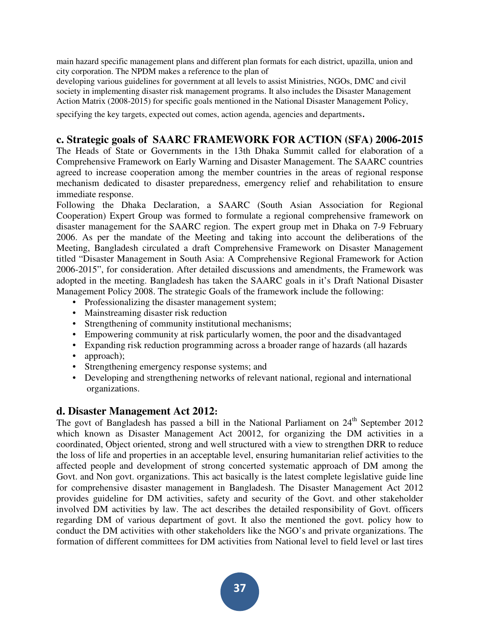main hazard specific management plans and different plan formats for each district, upazilla, union and city corporation. The NPDM makes a reference to the plan of

developing various guidelines for government at all levels to assist Ministries, NGOs, DMC and civil society in implementing disaster risk management programs. It also includes the Disaster Management Action Matrix (2008-2015) for specific goals mentioned in the National Disaster Management Policy,

specifying the key targets, expected out comes, action agenda, agencies and departments.

## **c. Strategic goals of SAARC FRAMEWORK FOR ACTION (SFA) 2006-2015**

The Heads of State or Governments in the 13th Dhaka Summit called for elaboration of a Comprehensive Framework on Early Warning and Disaster Management. The SAARC countries agreed to increase cooperation among the member countries in the areas of regional response mechanism dedicated to disaster preparedness, emergency relief and rehabilitation to ensure immediate response.

Following the Dhaka Declaration, a SAARC (South Asian Association for Regional Cooperation) Expert Group was formed to formulate a regional comprehensive framework on disaster management for the SAARC region. The expert group met in Dhaka on 7-9 February 2006. As per the mandate of the Meeting and taking into account the deliberations of the Meeting, Bangladesh circulated a draft Comprehensive Framework on Disaster Management titled "Disaster Management in South Asia: A Comprehensive Regional Framework for Action 2006-2015", for consideration. After detailed discussions and amendments, the Framework was adopted in the meeting. Bangladesh has taken the SAARC goals in it's Draft National Disaster Management Policy 2008. The strategic Goals of the framework include the following:

- Professionalizing the disaster management system;
- Mainstreaming disaster risk reduction
- Strengthening of community institutional mechanisms;
- Empowering community at risk particularly women, the poor and the disadvantaged
- Expanding risk reduction programming across a broader range of hazards (all hazards
- approach);
- Strengthening emergency response systems; and
- Developing and strengthening networks of relevant national, regional and international organizations.

#### **d. Disaster Management Act 2012:**

The govt of Bangladesh has passed a bill in the National Parliament on  $24<sup>th</sup>$  September 2012 which known as Disaster Management Act 20012, for organizing the DM activities in a coordinated, Object oriented, strong and well structured with a view to strengthen DRR to reduce the loss of life and properties in an acceptable level, ensuring humanitarian relief activities to the affected people and development of strong concerted systematic approach of DM among the Govt. and Non govt. organizations. This act basically is the latest complete legislative guide line for comprehensive disaster management in Bangladesh. The Disaster Management Act 2012 provides guideline for DM activities, safety and security of the Govt. and other stakeholder involved DM activities by law. The act describes the detailed responsibility of Govt. officers regarding DM of various department of govt. It also the mentioned the govt. policy how to conduct the DM activities with other stakeholders like the NGO's and private organizations. The formation of different committees for DM activities from National level to field level or last tires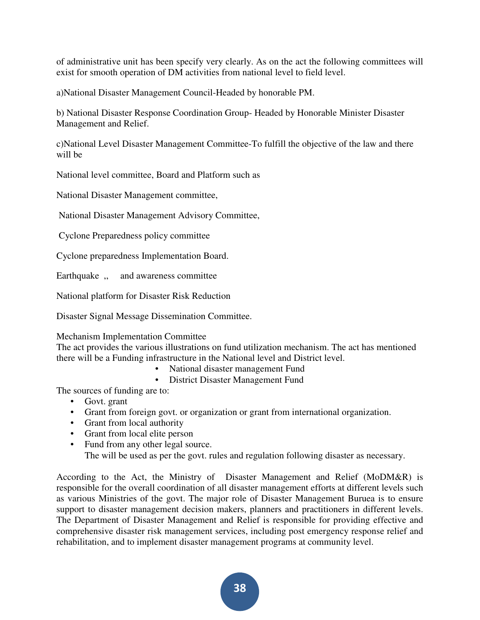of administrative unit has been specify very clearly. As on the act the following committees will exist for smooth operation of DM activities from national level to field level.

a)National Disaster Management Council-Headed by honorable PM.

b) National Disaster Response Coordination Group- Headed by Honorable Minister Disaster Management and Relief.

c)National Level Disaster Management Committee-To fulfill the objective of the law and there will be

National level committee, Board and Platform such as

National Disaster Management committee,

National Disaster Management Advisory Committee,

Cyclone Preparedness policy committee

Cyclone preparedness Implementation Board.

Earthquake ,, and awareness committee

National platform for Disaster Risk Reduction

Disaster Signal Message Dissemination Committee.

#### Mechanism Implementation Committee

The act provides the various illustrations on fund utilization mechanism. The act has mentioned there will be a Funding infrastructure in the National level and District level.

- National disaster management Fund
- District Disaster Management Fund

The sources of funding are to:

- Govt. grant
- Grant from foreign govt. or organization or grant from international organization.
- Grant from local authority
- Grant from local elite person
- Fund from any other legal source.

The will be used as per the govt. rules and regulation following disaster as necessary.

According to the Act, the Ministry of Disaster Management and Relief (MoDM&R) is responsible for the overall coordination of all disaster management efforts at different levels such as various Ministries of the govt. The major role of Disaster Management Buruea is to ensure support to disaster management decision makers, planners and practitioners in different levels. The Department of Disaster Management and Relief is responsible for providing effective and comprehensive disaster risk management services, including post emergency response relief and rehabilitation, and to implement disaster management programs at community level.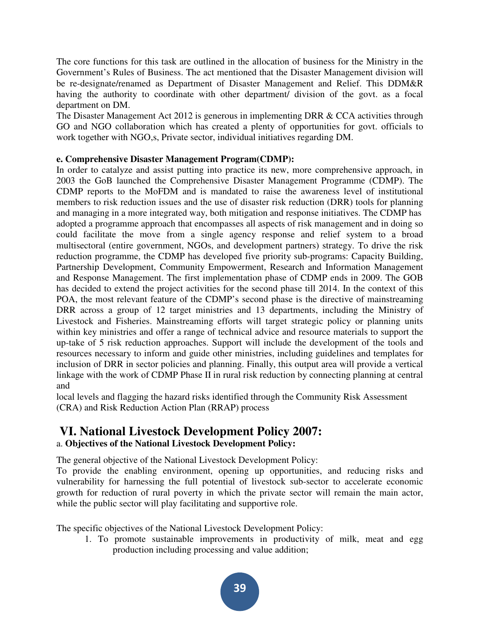The core functions for this task are outlined in the allocation of business for the Ministry in the Government's Rules of Business. The act mentioned that the Disaster Management division will be re-designate/renamed as Department of Disaster Management and Relief. This DDM&R having the authority to coordinate with other department/ division of the govt. as a focal department on DM.

The Disaster Management Act 2012 is generous in implementing DRR & CCA activities through GO and NGO collaboration which has created a plenty of opportunities for govt. officials to work together with NGO,s, Private sector, individual initiatives regarding DM.

#### **e. Comprehensive Disaster Management Program(CDMP):**

In order to catalyze and assist putting into practice its new, more comprehensive approach, in 2003 the GoB launched the Comprehensive Disaster Management Programme (CDMP). The CDMP reports to the MoFDM and is mandated to raise the awareness level of institutional members to risk reduction issues and the use of disaster risk reduction (DRR) tools for planning and managing in a more integrated way, both mitigation and response initiatives. The CDMP has adopted a programme approach that encompasses all aspects of risk management and in doing so could facilitate the move from a single agency response and relief system to a broad multisectoral (entire government, NGOs, and development partners) strategy. To drive the risk reduction programme, the CDMP has developed five priority sub-programs: Capacity Building, Partnership Development, Community Empowerment, Research and Information Management and Response Management. The first implementation phase of CDMP ends in 2009. The GOB has decided to extend the project activities for the second phase till 2014. In the context of this POA, the most relevant feature of the CDMP's second phase is the directive of mainstreaming DRR across a group of 12 target ministries and 13 departments, including the Ministry of Livestock and Fisheries. Mainstreaming efforts will target strategic policy or planning units within key ministries and offer a range of technical advice and resource materials to support the up-take of 5 risk reduction approaches. Support will include the development of the tools and resources necessary to inform and guide other ministries, including guidelines and templates for inclusion of DRR in sector policies and planning. Finally, this output area will provide a vertical linkage with the work of CDMP Phase II in rural risk reduction by connecting planning at central and

local levels and flagging the hazard risks identified through the Community Risk Assessment (CRA) and Risk Reduction Action Plan (RRAP) process

## **VI. National Livestock Development Policy 2007:**

## a. **Objectives of the National Livestock Development Policy:**

The general objective of the National Livestock Development Policy:

To provide the enabling environment, opening up opportunities, and reducing risks and vulnerability for harnessing the full potential of livestock sub-sector to accelerate economic growth for reduction of rural poverty in which the private sector will remain the main actor, while the public sector will play facilitating and supportive role.

The specific objectives of the National Livestock Development Policy:

1. To promote sustainable improvements in productivity of milk, meat and egg production including processing and value addition;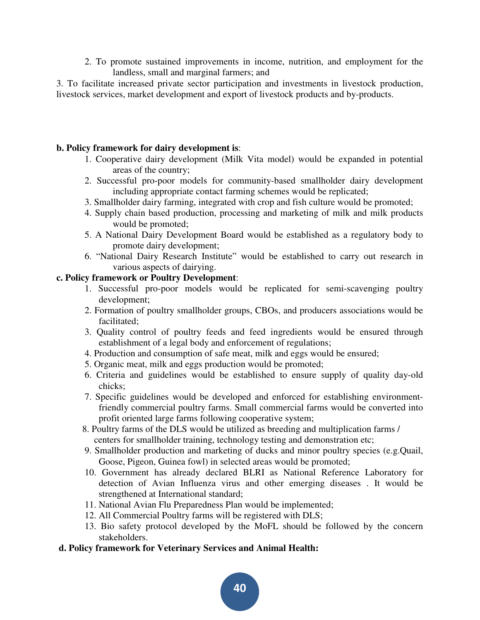2. To promote sustained improvements in income, nutrition, and employment for the landless, small and marginal farmers; and

3. To facilitate increased private sector participation and investments in livestock production, livestock services, market development and export of livestock products and by-products.

#### **b. Policy framework for dairy development is**:

- 1. Cooperative dairy development (Milk Vita model) would be expanded in potential areas of the country;
- 2. Successful pro-poor models for community-based smallholder dairy development including appropriate contact farming schemes would be replicated;
- 3. Smallholder dairy farming, integrated with crop and fish culture would be promoted;
- 4. Supply chain based production, processing and marketing of milk and milk products would be promoted;
- 5. A National Dairy Development Board would be established as a regulatory body to promote dairy development;
- 6. "National Dairy Research Institute" would be established to carry out research in various aspects of dairying.

## **c. Policy framework or Poultry Development**:

- 1. Successful pro-poor models would be replicated for semi-scavenging poultry development;
- 2. Formation of poultry smallholder groups, CBOs, and producers associations would be facilitated;
- 3. Quality control of poultry feeds and feed ingredients would be ensured through establishment of a legal body and enforcement of regulations;
- 4. Production and consumption of safe meat, milk and eggs would be ensured;
- 5. Organic meat, milk and eggs production would be promoted;
- 6. Criteria and guidelines would be established to ensure supply of quality day-old chicks;
- 7. Specific guidelines would be developed and enforced for establishing environmentfriendly commercial poultry farms. Small commercial farms would be converted into profit oriented large farms following cooperative system;
- 8. Poultry farms of the DLS would be utilized as breeding and multiplication farms / centers for smallholder training, technology testing and demonstration etc;
- 9. Smallholder production and marketing of ducks and minor poultry species (e.g.Quail, Goose, Pigeon, Guinea fowl) in selected areas would be promoted;
- 10. Government has already declared BLRI as National Reference Laboratory for detection of Avian Influenza virus and other emerging diseases . It would be strengthened at International standard;
- 11. National Avian Flu Preparedness Plan would be implemented;
- 12. All Commercial Poultry farms will be registered with DLS;
- 13. Bio safety protocol developed by the MoFL should be followed by the concern stakeholders.

## **d. Policy framework for Veterinary Services and Animal Health:**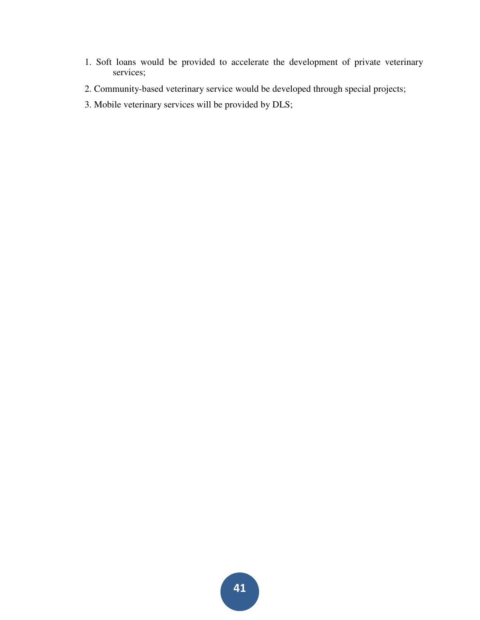- 1. Soft loans would be provided to accelerate the development of private veterinary services;
- 2. Community-based veterinary service would be developed through special projects;
- 3. Mobile veterinary services will be provided by DLS;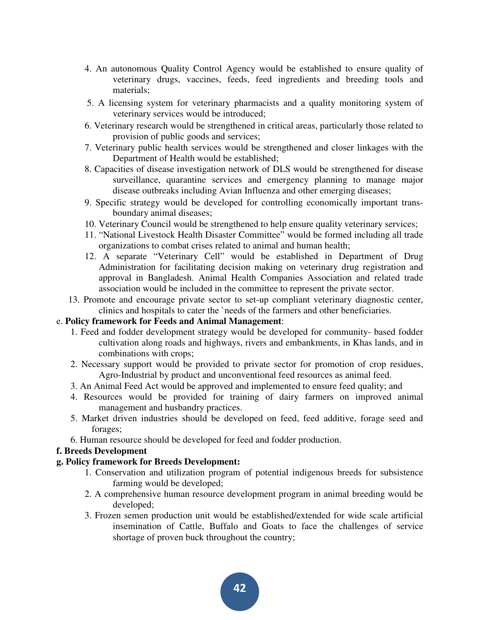- 4. An autonomous Quality Control Agency would be established to ensure quality of veterinary drugs, vaccines, feeds, feed ingredients and breeding tools and materials;
- 5. A licensing system for veterinary pharmacists and a quality monitoring system of veterinary services would be introduced;
- 6. Veterinary research would be strengthened in critical areas, particularly those related to provision of public goods and services;
- 7. Veterinary public health services would be strengthened and closer linkages with the Department of Health would be established;
- 8. Capacities of disease investigation network of DLS would be strengthened for disease surveillance, quarantine services and emergency planning to manage major disease outbreaks including Avian Influenza and other emerging diseases;
- 9. Specific strategy would be developed for controlling economically important transboundary animal diseases;
- 10. Veterinary Council would be strengthened to help ensure quality veterinary services;
- 11. "National Livestock Health Disaster Committee" would be formed including all trade organizations to combat crises related to animal and human health;
- 12. A separate "Veterinary Cell" would be established in Department of Drug Administration for facilitating decision making on veterinary drug registration and approval in Bangladesh. Animal Health Companies Association and related trade association would be included in the committee to represent the private sector.
- 13. Promote and encourage private sector to set-up compliant veterinary diagnostic center, clinics and hospitals to cater the `needs of the farmers and other beneficiaries.

#### e. **Policy framework for Feeds and Animal Management**:

- 1. Feed and fodder development strategy would be developed for community- based fodder cultivation along roads and highways, rivers and embankments, in Khas lands, and in combinations with crops;
- 2. Necessary support would be provided to private sector for promotion of crop residues, Agro-Industrial by product and unconventional feed resources as animal feed.
- 3. An Animal Feed Act would be approved and implemented to ensure feed quality; and
- 4. Resources would be provided for training of dairy farmers on improved animal management and husbandry practices.
- 5. Market driven industries should be developed on feed, feed additive, forage seed and forages;
- 6. Human resource should be developed for feed and fodder production.

## **f. Breeds Development**

## **g. Policy framework for Breeds Development:**

- 1. Conservation and utilization program of potential indigenous breeds for subsistence farming would be developed;
- 2. A comprehensive human resource development program in animal breeding would be developed;
- 3. Frozen semen production unit would be established/extended for wide scale artificial insemination of Cattle, Buffalo and Goats to face the challenges of service shortage of proven buck throughout the country;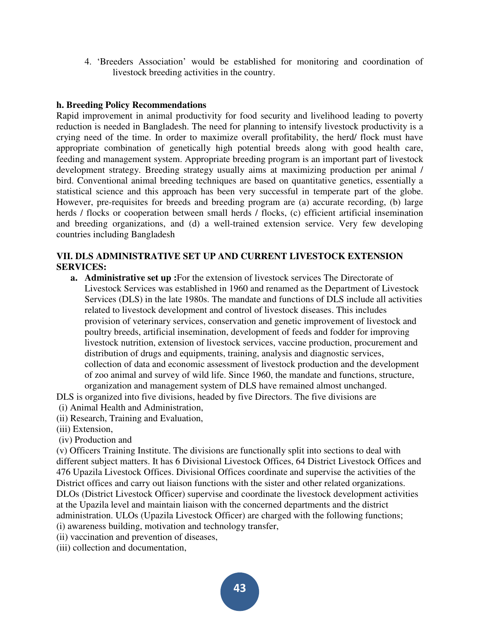4. 'Breeders Association' would be established for monitoring and coordination of livestock breeding activities in the country.

#### **h. Breeding Policy Recommendations**

Rapid improvement in animal productivity for food security and livelihood leading to poverty reduction is needed in Bangladesh. The need for planning to intensify livestock productivity is a crying need of the time. In order to maximize overall profitability, the herd/ flock must have appropriate combination of genetically high potential breeds along with good health care, feeding and management system. Appropriate breeding program is an important part of livestock development strategy. Breeding strategy usually aims at maximizing production per animal / bird. Conventional animal breeding techniques are based on quantitative genetics, essentially a statistical science and this approach has been very successful in temperate part of the globe. However, pre-requisites for breeds and breeding program are (a) accurate recording, (b) large herds / flocks or cooperation between small herds / flocks, (c) efficient artificial insemination and breeding organizations, and (d) a well-trained extension service. Very few developing countries including Bangladesh

#### **VII. DLS ADMINISTRATIVE SET UP AND CURRENT LIVESTOCK EXTENSION SERVICES:**

**a. Administrative set up :**For the extension of livestock services The Directorate of Livestock Services was established in 1960 and renamed as the Department of Livestock Services (DLS) in the late 1980s. The mandate and functions of DLS include all activities related to livestock development and control of livestock diseases. This includes provision of veterinary services, conservation and genetic improvement of livestock and poultry breeds, artificial insemination, development of feeds and fodder for improving livestock nutrition, extension of livestock services, vaccine production, procurement and distribution of drugs and equipments, training, analysis and diagnostic services, collection of data and economic assessment of livestock production and the development of zoo animal and survey of wild life. Since 1960, the mandate and functions, structure, organization and management system of DLS have remained almost unchanged.

DLS is organized into five divisions, headed by five Directors. The five divisions are

- (i) Animal Health and Administration,
- (ii) Research, Training and Evaluation,
- (iii) Extension,
- (iv) Production and

(v) Officers Training Institute. The divisions are functionally split into sections to deal with different subject matters. It has 6 Divisional Livestock Offices, 64 District Livestock Offices and 476 Upazila Livestock Offices. Divisional Offices coordinate and supervise the activities of the District offices and carry out liaison functions with the sister and other related organizations. DLOs (District Livestock Officer) supervise and coordinate the livestock development activities at the Upazila level and maintain liaison with the concerned departments and the district administration. ULOs (Upazila Livestock Officer) are charged with the following functions; (i) awareness building, motivation and technology transfer,

(ii) vaccination and prevention of diseases,

(iii) collection and documentation,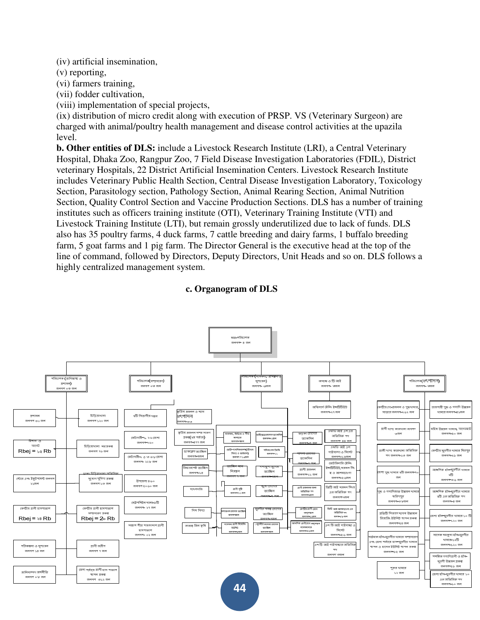(iv) artificial insemination,

(v) reporting,

(vi) farmers training,

(vii) fodder cultivation,

(viii) implementation of special projects,

(ix) distribution of micro credit along with execution of PRSP. VS (Veterinary Surgeon) are charged with animal/poultry health management and disease control activities at the upazila level.

**b. Other entities of DLS:** include a Livestock Research Institute (LRI), a Central Veterinary Hospital, Dhaka Zoo, Rangpur Zoo, 7 Field Disease Investigation Laboratories (FDIL), District veterinary Hospitals, 22 District Artificial Insemination Centers. Livestock Research Institute includes Veterinary Public Health Section, Central Disease Investigation Laboratory, Toxicology Section, Parasitology section, Pathology Section, Animal Rearing Section, Animal Nutrition Section, Quality Control Section and Vaccine Production Sections. DLS has a number of training institutes such as officers training institute (OTI), Veterinary Training Institute (VTI) and Livestock Training Institute (LTI), but remain grossly underutilized due to lack of funds. DLS also has 35 poultry farms, 4 duck farms, 7 cattle breeding and dairy farms, 1 buffalo breeding farm, 5 goat farms and 1 pig farm. The Director General is the executive head at the top of the line of command, followed by Directors, Deputy Directors, Unit Heads and so on. DLS follows a highly centralized management system.

#### **c. Organogram of DLS**

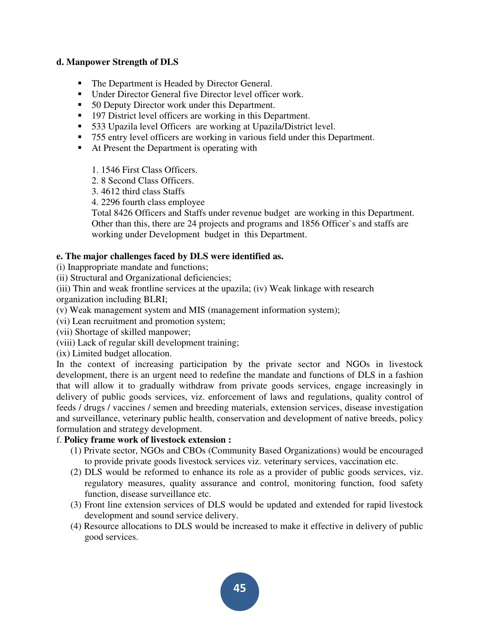#### **d. Manpower Strength of DLS**

- The Department is Headed by Director General.
- Under Director General five Director level officer work.
- 50 Deputy Director work under this Department.
- **197 District level officers are working in this Department.**
- 533 Upazila level Officers are working at Upazila/District level.
- 755 entry level officers are working in various field under this Department.
- At Present the Department is operating with
	- 1. 1546 First Class Officers.
	- 2. 8 Second Class Officers.
	- 3. 4612 third class Staffs
	- 4. 2296 fourth class employee

Total 8426 Officers and Staffs under revenue budget are working in this Department. Other than this, there are 24 projects and programs and 1856 Officer`s and staffs are working under Development budget in this Department.

#### **e. The major challenges faced by DLS were identified as.**

(i) Inappropriate mandate and functions;

(ii) Structural and Organizational deficiencies;

(iii) Thin and weak frontline services at the upazila; (iv) Weak linkage with research organization including BLRI;

(v) Weak management system and MIS (management information system);

(vi) Lean recruitment and promotion system;

(vii) Shortage of skilled manpower;

(viii) Lack of regular skill development training;

(ix) Limited budget allocation.

In the context of increasing participation by the private sector and NGOs in livestock development, there is an urgent need to redefine the mandate and functions of DLS in a fashion that will allow it to gradually withdraw from private goods services, engage increasingly in delivery of public goods services, viz. enforcement of laws and regulations, quality control of feeds / drugs / vaccines / semen and breeding materials, extension services, disease investigation and surveillance, veterinary public health, conservation and development of native breeds, policy formulation and strategy development.

## f. **Policy frame work of livestock extension :**

- (1) Private sector, NGOs and CBOs (Community Based Organizations) would be encouraged to provide private goods livestock services viz. veterinary services, vaccination etc.
- (2) DLS would be reformed to enhance its role as a provider of public goods services, viz. regulatory measures, quality assurance and control, monitoring function, food safety function, disease surveillance etc.
- (3) Front line extension services of DLS would be updated and extended for rapid livestock development and sound service delivery.
- (4) Resource allocations to DLS would be increased to make it effective in delivery of public good services.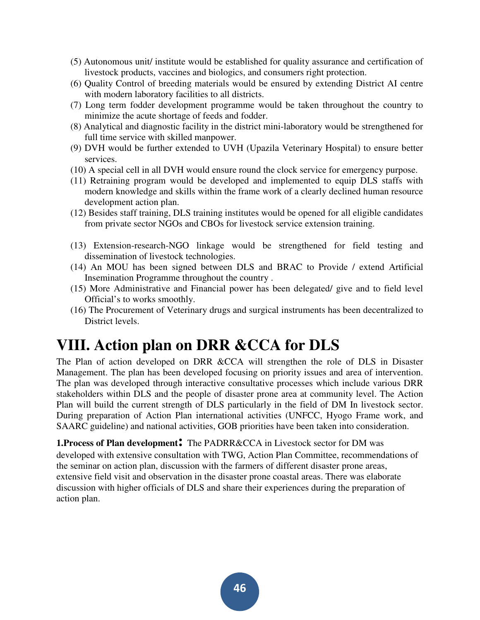- (5) Autonomous unit/ institute would be established for quality assurance and certification of livestock products, vaccines and biologics, and consumers right protection.
- (6) Quality Control of breeding materials would be ensured by extending District AI centre with modern laboratory facilities to all districts.
- (7) Long term fodder development programme would be taken throughout the country to minimize the acute shortage of feeds and fodder.
- (8) Analytical and diagnostic facility in the district mini-laboratory would be strengthened for full time service with skilled manpower.
- (9) DVH would be further extended to UVH (Upazila Veterinary Hospital) to ensure better services.
- (10) A special cell in all DVH would ensure round the clock service for emergency purpose.
- (11) Retraining program would be developed and implemented to equip DLS staffs with modern knowledge and skills within the frame work of a clearly declined human resource development action plan.
- (12) Besides staff training, DLS training institutes would be opened for all eligible candidates from private sector NGOs and CBOs for livestock service extension training.
- (13) Extension-research-NGO linkage would be strengthened for field testing and dissemination of livestock technologies.
- (14) An MOU has been signed between DLS and BRAC to Provide / extend Artificial Insemination Programme throughout the country .
- (15) More Administrative and Financial power has been delegated/ give and to field level Official's to works smoothly.
- (16) The Procurement of Veterinary drugs and surgical instruments has been decentralized to District levels.

# **VIII. Action plan on DRR &CCA for DLS**

The Plan of action developed on DRR &CCA will strengthen the role of DLS in Disaster Management. The plan has been developed focusing on priority issues and area of intervention. The plan was developed through interactive consultative processes which include various DRR stakeholders within DLS and the people of disaster prone area at community level. The Action Plan will build the current strength of DLS particularly in the field of DM In livestock sector. During preparation of Action Plan international activities (UNFCC, Hyogo Frame work, and SAARC guideline) and national activities, GOB priorities have been taken into consideration.

**1.Process of Plan development:** The PADRR&CCA in Livestock sector for DM was developed with extensive consultation with TWG, Action Plan Committee, recommendations of the seminar on action plan, discussion with the farmers of different disaster prone areas, extensive field visit and observation in the disaster prone coastal areas. There was elaborate discussion with higher officials of DLS and share their experiences during the preparation of action plan.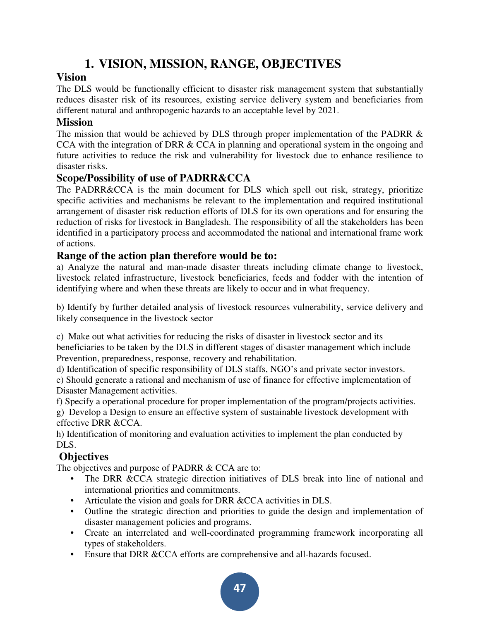# **1. VISION, MISSION, RANGE, OBJECTIVES**

## **Vision**

The DLS would be functionally efficient to disaster risk management system that substantially reduces disaster risk of its resources, existing service delivery system and beneficiaries from different natural and anthropogenic hazards to an acceptable level by 2021.

## **Mission**

The mission that would be achieved by DLS through proper implementation of the PADRR & CCA with the integration of DRR & CCA in planning and operational system in the ongoing and future activities to reduce the risk and vulnerability for livestock due to enhance resilience to disaster risks.

## **Scope/Possibility of use of PADRR&CCA**

The PADRR&CCA is the main document for DLS which spell out risk, strategy, prioritize specific activities and mechanisms be relevant to the implementation and required institutional arrangement of disaster risk reduction efforts of DLS for its own operations and for ensuring the reduction of risks for livestock in Bangladesh. The responsibility of all the stakeholders has been identified in a participatory process and accommodated the national and international frame work of actions.

## **Range of the action plan therefore would be to:**

a) Analyze the natural and man-made disaster threats including climate change to livestock, livestock related infrastructure, livestock beneficiaries, feeds and fodder with the intention of identifying where and when these threats are likely to occur and in what frequency.

b) Identify by further detailed analysis of livestock resources vulnerability, service delivery and likely consequence in the livestock sector

c) Make out what activities for reducing the risks of disaster in livestock sector and its beneficiaries to be taken by the DLS in different stages of disaster management which include Prevention, preparedness, response, recovery and rehabilitation.

d) Identification of specific responsibility of DLS staffs, NGO's and private sector investors.

e) Should generate a rational and mechanism of use of finance for effective implementation of Disaster Management activities.

f) Specify a operational procedure for proper implementation of the program/projects activities. g) Develop a Design to ensure an effective system of sustainable livestock development with

effective DRR &CCA.

h) Identification of monitoring and evaluation activities to implement the plan conducted by DLS.

## **Objectives**

The objectives and purpose of PADRR & CCA are to:

- The DRR &CCA strategic direction initiatives of DLS break into line of national and international priorities and commitments.
- Articulate the vision and goals for DRR &CCA activities in DLS.
- Outline the strategic direction and priorities to guide the design and implementation of disaster management policies and programs.
- Create an interrelated and well-coordinated programming framework incorporating all types of stakeholders.
- Ensure that DRR &CCA efforts are comprehensive and all-hazards focused.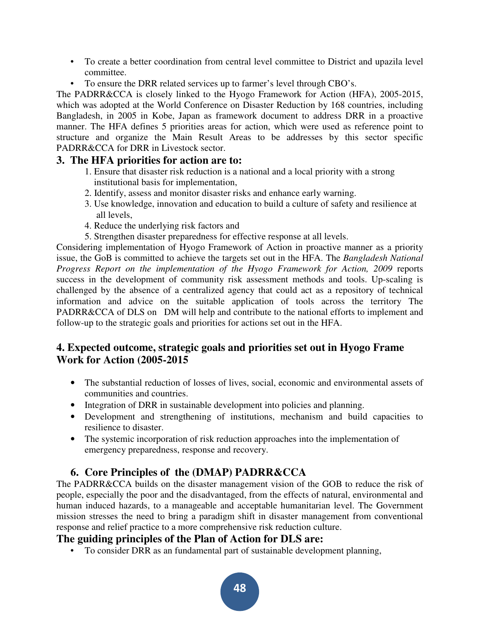- To create a better coordination from central level committee to District and upazila level committee.
- To ensure the DRR related services up to farmer's level through CBO's.

The PADRR&CCA is closely linked to the Hyogo Framework for Action (HFA), 2005-2015, which was adopted at the World Conference on Disaster Reduction by 168 countries, including Bangladesh, in 2005 in Kobe, Japan as framework document to address DRR in a proactive manner. The HFA defines 5 priorities areas for action, which were used as reference point to structure and organize the Main Result Areas to be addresses by this sector specific PADRR&CCA for DRR in Livestock sector.

## **3. The HFA priorities for action are to:**

- 1. Ensure that disaster risk reduction is a national and a local priority with a strong institutional basis for implementation,
- 2. Identify, assess and monitor disaster risks and enhance early warning.
- 3. Use knowledge, innovation and education to build a culture of safety and resilience at all levels,
- 4. Reduce the underlying risk factors and
- 5. Strengthen disaster preparedness for effective response at all levels.

Considering implementation of Hyogo Framework of Action in proactive manner as a priority issue, the GoB is committed to achieve the targets set out in the HFA. The *Bangladesh National Progress Report on the implementation of the Hyogo Framework for Action, 2009 reports* success in the development of community risk assessment methods and tools. Up-scaling is challenged by the absence of a centralized agency that could act as a repository of technical information and advice on the suitable application of tools across the territory The PADRR&CCA of DLS on DM will help and contribute to the national efforts to implement and follow-up to the strategic goals and priorities for actions set out in the HFA.

## **4. Expected outcome, strategic goals and priorities set out in Hyogo Frame Work for Action (2005-2015**

- The substantial reduction of losses of lives, social, economic and environmental assets of communities and countries.
- Integration of DRR in sustainable development into policies and planning.
- Development and strengthening of institutions, mechanism and build capacities to resilience to disaster.
- The systemic incorporation of risk reduction approaches into the implementation of emergency preparedness, response and recovery.

## **6. Core Principles of the (DMAP) PADRR&CCA**

The PADRR&CCA builds on the disaster management vision of the GOB to reduce the risk of people, especially the poor and the disadvantaged, from the effects of natural, environmental and human induced hazards, to a manageable and acceptable humanitarian level. The Government mission stresses the need to bring a paradigm shift in disaster management from conventional response and relief practice to a more comprehensive risk reduction culture.

## **The guiding principles of the Plan of Action for DLS are:**

• To consider DRR as an fundamental part of sustainable development planning,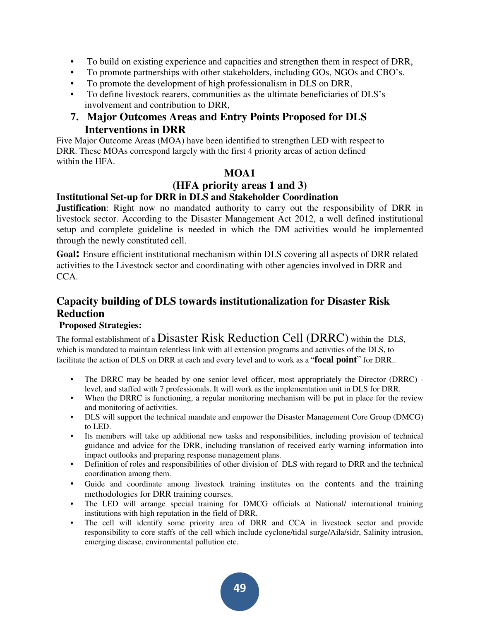- To build on existing experience and capacities and strengthen them in respect of DRR,
- To promote partnerships with other stakeholders, including GOs, NGOs and CBO's.
- To promote the development of high professionalism in DLS on DRR,
- To define livestock rearers, communities as the ultimate beneficiaries of DLS's involvement and contribution to DRR,

## **7. Major Outcomes Areas and Entry Points Proposed for DLS Interventions in DRR**

Five Major Outcome Areas (MOA) have been identified to strengthen LED with respect to DRR. These MOAs correspond largely with the first 4 priority areas of action defined within the HFA.

## **MOA1**

## **(HFA priority areas 1 and 3)**

#### **Institutional Set-up for DRR in DLS and Stakeholder Coordination**

**Justification**: Right now no mandated authority to carry out the responsibility of DRR in livestock sector. According to the Disaster Management Act 2012, a well defined institutional setup and complete guideline is needed in which the DM activities would be implemented through the newly constituted cell.

**Goal:** Ensure efficient institutional mechanism within DLS covering all aspects of DRR related activities to the Livestock sector and coordinating with other agencies involved in DRR and CCA.

## **Capacity building of DLS towards institutionalization for Disaster Risk Reduction**

## **Proposed Strategies:**

The formal establishment of a Disaster Risk Reduction Cell (DRRC) within the DLS, which is mandated to maintain relentless link with all extension programs and activities of the DLS, to facilitate the action of DLS on DRR at each and every level and to work as a "**focal point**" for DRR..

- The DRRC may be headed by one senior level officer, most appropriately the Director (DRRC) level, and staffed with 7 professionals. It will work as the implementation unit in DLS for DRR.
- When the DRRC is functioning, a regular monitoring mechanism will be put in place for the review and monitoring of activities.
- DLS will support the technical mandate and empower the Disaster Management Core Group (DMCG) to LED.
- Its members will take up additional new tasks and responsibilities, including provision of technical guidance and advice for the DRR, including translation of received early warning information into impact outlooks and preparing response management plans.
- Definition of roles and responsibilities of other division of DLS with regard to DRR and the technical coordination among them.
- Guide and coordinate among livestock training institutes on the contents and the training methodologies for DRR training courses.
- The LED will arrange special training for DMCG officials at National/ international training institutions with high reputation in the field of DRR.
- The cell will identify some priority area of DRR and CCA in livestock sector and provide responsibility to core staffs of the cell which include cyclone/tidal surge/Aila/sidr, Salinity intrusion, emerging disease, environmental pollution etc.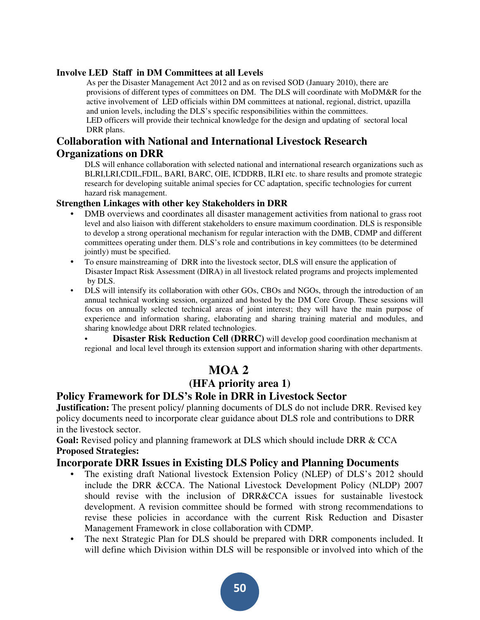#### **Involve LED Staff in DM Committees at all Levels**

As per the Disaster Management Act 2012 and as on revised SOD (January 2010), there are provisions of different types of committees on DM. The DLS will coordinate with MoDM&R for the active involvement of LED officials within DM committees at national, regional, district, upazilla and union levels, including the DLS's specific responsibilities within the committees.

LED officers will provide their technical knowledge for the design and updating of sectoral local DRR plans.

## **Collaboration with National and International Livestock Research Organizations on DRR**

DLS will enhance collaboration with selected national and international research organizations such as BLRI,LRI,CDIL,FDIL, BARI, BARC, OIE, ICDDRB, ILRI etc. to share results and promote strategic research for developing suitable animal species for CC adaptation, specific technologies for current hazard risk management.

#### **Strengthen Linkages with other key Stakeholders in DRR**

- DMB overviews and coordinates all disaster management activities from national to grass root level and also liaison with different stakeholders to ensure maximum coordination. DLS is responsible to develop a strong operational mechanism for regular interaction with the DMB, CDMP and different committees operating under them. DLS's role and contributions in key committees (to be determined jointly) must be specified.
- To ensure mainstreaming of DRR into the livestock sector, DLS will ensure the application of Disaster Impact Risk Assessment (DIRA) in all livestock related programs and projects implemented by DLS.
- DLS will intensify its collaboration with other GOs, CBOs and NGOs, through the introduction of an annual technical working session, organized and hosted by the DM Core Group. These sessions will focus on annually selected technical areas of joint interest; they will have the main purpose of experience and information sharing, elaborating and sharing training material and modules, and sharing knowledge about DRR related technologies.

• **Disaster Risk Reduction Cell (DRRC)** will develop good coordination mechanism at regional and local level through its extension support and information sharing with other departments.

## **MOA 2**

## **(HFA priority area 1)**

#### **Policy Framework for DLS's Role in DRR in Livestock Sector**

**Justification:** The present policy/ planning documents of DLS do not include DRR. Revised key policy documents need to incorporate clear guidance about DLS role and contributions to DRR in the livestock sector.

**Goal:** Revised policy and planning framework at DLS which should include DRR & CCA **Proposed Strategies:** 

#### **Incorporate DRR Issues in Existing DLS Policy and Planning Documents**

- The existing draft National livestock Extension Policy (NLEP) of DLS's 2012 should include the DRR &CCA. The National Livestock Development Policy (NLDP) 2007 should revise with the inclusion of DRR&CCA issues for sustainable livestock development. A revision committee should be formed with strong recommendations to revise these policies in accordance with the current Risk Reduction and Disaster Management Framework in close collaboration with CDMP.
- The next Strategic Plan for DLS should be prepared with DRR components included. It will define which Division within DLS will be responsible or involved into which of the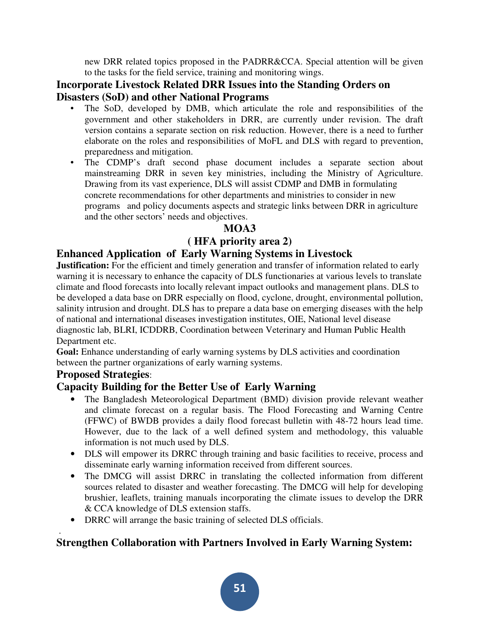new DRR related topics proposed in the PADRR&CCA. Special attention will be given to the tasks for the field service, training and monitoring wings.

## **Incorporate Livestock Related DRR Issues into the Standing Orders on Disasters (SoD) and other National Programs**

- The SoD, developed by DMB, which articulate the role and responsibilities of the government and other stakeholders in DRR, are currently under revision. The draft version contains a separate section on risk reduction. However, there is a need to further elaborate on the roles and responsibilities of MoFL and DLS with regard to prevention, preparedness and mitigation.
- The CDMP's draft second phase document includes a separate section about mainstreaming DRR in seven key ministries, including the Ministry of Agriculture. Drawing from its vast experience, DLS will assist CDMP and DMB in formulating concrete recommendations for other departments and ministries to consider in new programs and policy documents aspects and strategic links between DRR in agriculture and the other sectors' needs and objectives.

## **MOA3**

## **( HFA priority area 2)**

## **Enhanced Application of Early Warning Systems in Livestock**

**Justification:** For the efficient and timely generation and transfer of information related to early warning it is necessary to enhance the capacity of DLS functionaries at various levels to translate climate and flood forecasts into locally relevant impact outlooks and management plans. DLS to be developed a data base on DRR especially on flood, cyclone, drought, environmental pollution, salinity intrusion and drought. DLS has to prepare a data base on emerging diseases with the help of national and international diseases investigation institutes, OIE, National level disease diagnostic lab, BLRI, ICDDRB, Coordination between Veterinary and Human Public Health Department etc.

**Goal:** Enhance understanding of early warning systems by DLS activities and coordination between the partner organizations of early warning systems.

## **Proposed Strategies**:

.

## **Capacity Building for the Better Use of Early Warning**

- The Bangladesh Meteorological Department (BMD) division provide relevant weather and climate forecast on a regular basis. The Flood Forecasting and Warning Centre (FFWC) of BWDB provides a daily flood forecast bulletin with 48-72 hours lead time. However, due to the lack of a well defined system and methodology, this valuable information is not much used by DLS.
- DLS will empower its DRRC through training and basic facilities to receive, process and disseminate early warning information received from different sources.
- The DMCG will assist DRRC in translating the collected information from different sources related to disaster and weather forecasting. The DMCG will help for developing brushier, leaflets, training manuals incorporating the climate issues to develop the DRR & CCA knowledge of DLS extension staffs.
- DRRC will arrange the basic training of selected DLS officials.

## **Strengthen Collaboration with Partners Involved in Early Warning System:**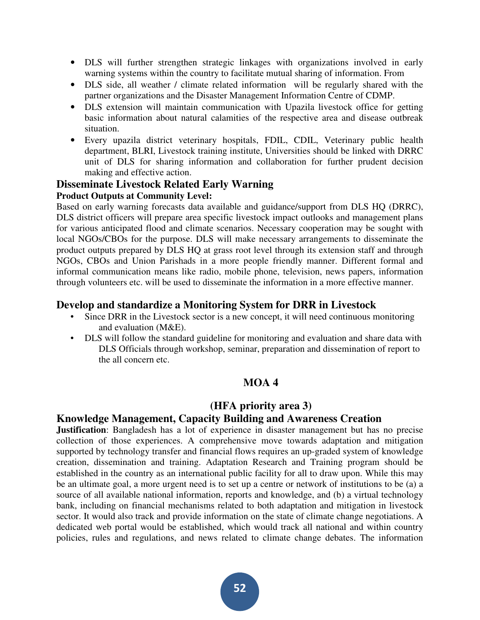- DLS will further strengthen strategic linkages with organizations involved in early warning systems within the country to facilitate mutual sharing of information. From
- DLS side, all weather / climate related information will be regularly shared with the partner organizations and the Disaster Management Information Centre of CDMP.
- DLS extension will maintain communication with Upazila livestock office for getting basic information about natural calamities of the respective area and disease outbreak situation.
- Every upazila district veterinary hospitals, FDIL, CDIL, Veterinary public health department, BLRI, Livestock training institute, Universities should be linked with DRRC unit of DLS for sharing information and collaboration for further prudent decision making and effective action.

# **Disseminate Livestock Related Early Warning**

## **Product Outputs at Community Level:**

Based on early warning forecasts data available and guidance/support from DLS HQ (DRRC), DLS district officers will prepare area specific livestock impact outlooks and management plans for various anticipated flood and climate scenarios. Necessary cooperation may be sought with local NGOs/CBOs for the purpose. DLS will make necessary arrangements to disseminate the product outputs prepared by DLS HQ at grass root level through its extension staff and through NGOs, CBOs and Union Parishads in a more people friendly manner. Different formal and informal communication means like radio, mobile phone, television, news papers, information through volunteers etc. will be used to disseminate the information in a more effective manner.

## **Develop and standardize a Monitoring System for DRR in Livestock**

- Since DRR in the Livestock sector is a new concept, it will need continuous monitoring and evaluation (M&E).
- DLS will follow the standard guideline for monitoring and evaluation and share data with DLS Officials through workshop, seminar, preparation and dissemination of report to the all concern etc.

## **MOA 4**

## **(HFA priority area 3)**

## **Knowledge Management, Capacity Building and Awareness Creation**

**Justification**: Bangladesh has a lot of experience in disaster management but has no precise collection of those experiences. A comprehensive move towards adaptation and mitigation supported by technology transfer and financial flows requires an up-graded system of knowledge creation, dissemination and training. Adaptation Research and Training program should be established in the country as an international public facility for all to draw upon. While this may be an ultimate goal, a more urgent need is to set up a centre or network of institutions to be (a) a source of all available national information, reports and knowledge, and (b) a virtual technology bank, including on financial mechanisms related to both adaptation and mitigation in livestock sector. It would also track and provide information on the state of climate change negotiations. A dedicated web portal would be established, which would track all national and within country policies, rules and regulations, and news related to climate change debates. The information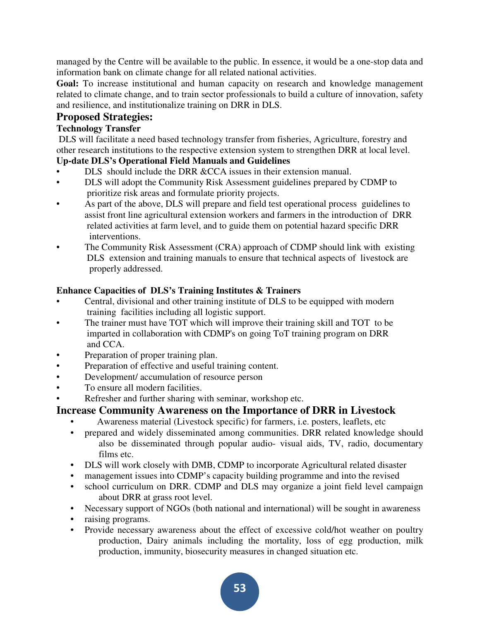managed by the Centre will be available to the public. In essence, it would be a one-stop data and information bank on climate change for all related national activities.

**Goal:** To increase institutional and human capacity on research and knowledge management related to climate change, and to train sector professionals to build a culture of innovation, safety and resilience, and institutionalize training on DRR in DLS.

## **Proposed Strategies:**

## **Technology Transfer**

 DLS will facilitate a need based technology transfer from fisheries, Agriculture, forestry and other research institutions to the respective extension system to strengthen DRR at local level.

## **Up-date DLS's Operational Field Manuals and Guidelines**

- DLS should include the DRR &CCA issues in their extension manual.
- DLS will adopt the Community Risk Assessment guidelines prepared by CDMP to prioritize risk areas and formulate priority projects.
- As part of the above, DLS will prepare and field test operational process guidelines to assist front line agricultural extension workers and farmers in the introduction of DRR related activities at farm level, and to guide them on potential hazard specific DRR interventions.
- The Community Risk Assessment (CRA) approach of CDMP should link with existing DLS extension and training manuals to ensure that technical aspects of livestock are properly addressed.

## **Enhance Capacities of DLS's Training Institutes & Trainers**

- Central, divisional and other training institute of DLS to be equipped with modern training facilities including all logistic support.
- The trainer must have TOT which will improve their training skill and TOT to be imparted in collaboration with CDMP's on going ToT training program on DRR and CCA.
- Preparation of proper training plan.
- Preparation of effective and useful training content.
- Development/ accumulation of resource person
- To ensure all modern facilities.
- Refresher and further sharing with seminar, workshop etc.

## **Increase Community Awareness on the Importance of DRR in Livestock**

- Awareness material (Livestock specific) for farmers, i.e. posters, leaflets, etc
- prepared and widely disseminated among communities. DRR related knowledge should also be disseminated through popular audio- visual aids, TV, radio, documentary films etc.
- DLS will work closely with DMB, CDMP to incorporate Agricultural related disaster
- management issues into CDMP's capacity building programme and into the revised
- school curriculum on DRR. CDMP and DLS may organize a joint field level campaign about DRR at grass root level.
- Necessary support of NGOs (both national and international) will be sought in awareness
- raising programs.
- Provide necessary awareness about the effect of excessive cold/hot weather on poultry production, Dairy animals including the mortality, loss of egg production, milk production, immunity, biosecurity measures in changed situation etc.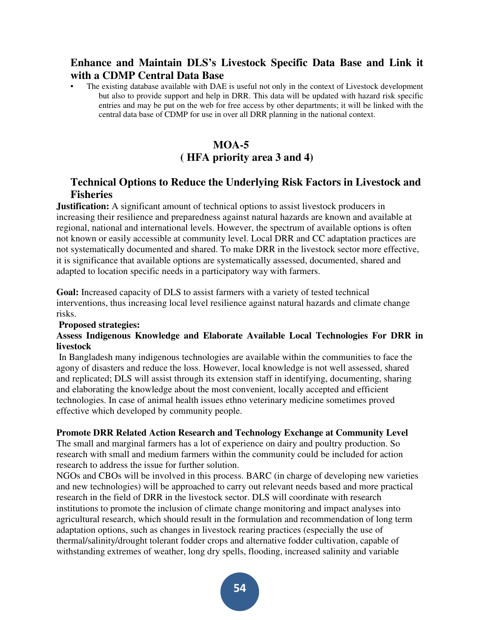## **Enhance and Maintain DLS's Livestock Specific Data Base and Link it with a CDMP Central Data Base**

• The existing database available with DAE is useful not only in the context of Livestock development but also to provide support and help in DRR. This data will be updated with hazard risk specific entries and may be put on the web for free access by other departments; it will be linked with the central data base of CDMP for use in over all DRR planning in the national context.

## **MOA-5 ( HFA priority area 3 and 4)**

## **Technical Options to Reduce the Underlying Risk Factors in Livestock and Fisheries**

**Justification:** A significant amount of technical options to assist livestock producers in increasing their resilience and preparedness against natural hazards are known and available at regional, national and international levels. However, the spectrum of available options is often not known or easily accessible at community level. Local DRR and CC adaptation practices are not systematically documented and shared. To make DRR in the livestock sector more effective, it is significance that available options are systematically assessed, documented, shared and adapted to location specific needs in a participatory way with farmers.

**Goal:** Increased capacity of DLS to assist farmers with a variety of tested technical interventions, thus increasing local level resilience against natural hazards and climate change risks.

#### **Proposed strategies:**

#### **Assess Indigenous Knowledge and Elaborate Available Local Technologies For DRR in livestock**

 In Bangladesh many indigenous technologies are available within the communities to face the agony of disasters and reduce the loss. However, local knowledge is not well assessed, shared and replicated; DLS will assist through its extension staff in identifying, documenting, sharing and elaborating the knowledge about the most convenient, locally accepted and efficient technologies. In case of animal health issues ethno veterinary medicine sometimes proved effective which developed by community people.

#### **Promote DRR Related Action Research and Technology Exchange at Community Level**

The small and marginal farmers has a lot of experience on dairy and poultry production. So research with small and medium farmers within the community could be included for action research to address the issue for further solution.

NGOs and CBOs will be involved in this process. BARC (in charge of developing new varieties and new technologies) will be approached to carry out relevant needs based and more practical research in the field of DRR in the livestock sector. DLS will coordinate with research institutions to promote the inclusion of climate change monitoring and impact analyses into agricultural research, which should result in the formulation and recommendation of long term adaptation options, such as changes in livestock rearing practices (especially the use of thermal/salinity/drought tolerant fodder crops and alternative fodder cultivation, capable of withstanding extremes of weather, long dry spells, flooding, increased salinity and variable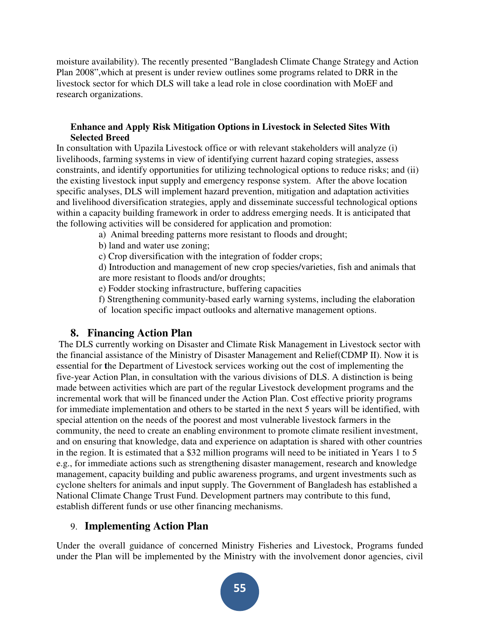moisture availability). The recently presented "Bangladesh Climate Change Strategy and Action Plan 2008",which at present is under review outlines some programs related to DRR in the livestock sector for which DLS will take a lead role in close coordination with MoEF and research organizations.

#### **Enhance and Apply Risk Mitigation Options in Livestock in Selected Sites With Selected Breed**

In consultation with Upazila Livestock office or with relevant stakeholders will analyze (i) livelihoods, farming systems in view of identifying current hazard coping strategies, assess constraints, and identify opportunities for utilizing technological options to reduce risks; and (ii) the existing livestock input supply and emergency response system. After the above location specific analyses, DLS will implement hazard prevention, mitigation and adaptation activities and livelihood diversification strategies, apply and disseminate successful technological options within a capacity building framework in order to address emerging needs. It is anticipated that the following activities will be considered for application and promotion:

- a) Animal breeding patterns more resistant to floods and drought;
- b) land and water use zoning;
- c) Crop diversification with the integration of fodder crops;

d) Introduction and management of new crop species/varieties, fish and animals that are more resistant to floods and/or droughts;

e) Fodder stocking infrastructure, buffering capacities

- f) Strengthening community-based early warning systems, including the elaboration
- of location specific impact outlooks and alternative management options.

## **8. Financing Action Plan**

 The DLS currently working on Disaster and Climate Risk Management in Livestock sector with the financial assistance of the Ministry of Disaster Management and Relief(CDMP II). Now it is essential for **t**he Department of Livestock services working out the cost of implementing the five-year Action Plan, in consultation with the various divisions of DLS. A distinction is being made between activities which are part of the regular Livestock development programs and the incremental work that will be financed under the Action Plan. Cost effective priority programs for immediate implementation and others to be started in the next 5 years will be identified, with special attention on the needs of the poorest and most vulnerable livestock farmers in the community, the need to create an enabling environment to promote climate resilient investment, and on ensuring that knowledge, data and experience on adaptation is shared with other countries in the region. It is estimated that a \$32 million programs will need to be initiated in Years 1 to 5 e.g., for immediate actions such as strengthening disaster management, research and knowledge management, capacity building and public awareness programs, and urgent investments such as cyclone shelters for animals and input supply. The Government of Bangladesh has established a National Climate Change Trust Fund. Development partners may contribute to this fund, establish different funds or use other financing mechanisms.

## 9. **Implementing Action Plan**

Under the overall guidance of concerned Ministry Fisheries and Livestock, Programs funded under the Plan will be implemented by the Ministry with the involvement donor agencies, civil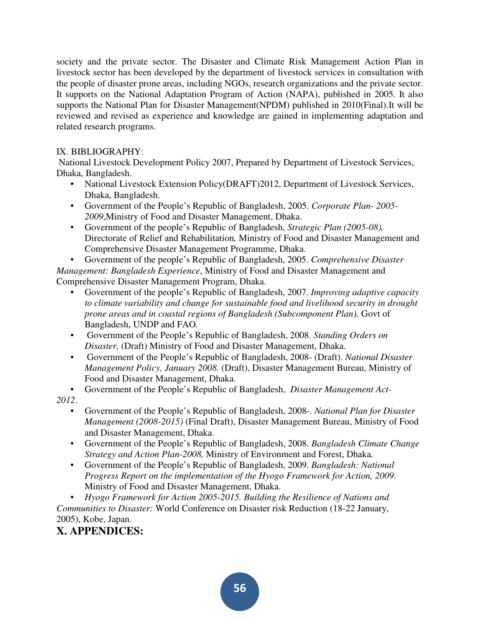society and the private sector. The Disaster and Climate Risk Management Action Plan in livestock sector has been developed by the department of livestock services in consultation with the people of disaster prone areas, including NGOs, research organizations and the private sector. It supports on the National Adaptation Program of Action (NAPA), published in 2005. It also supports the National Plan for Disaster Management(NPDM) published in 2010(Final).It will be reviewed and revised as experience and knowledge are gained in implementing adaptation and related research programs.

## IX. BIBLIOGRAPHY:

 National Livestock Development Policy 2007, Prepared by Department of Livestock Services, Dhaka, Bangladesh.

- National Livestock Extension Policy(DRAFT)2012, Department of Livestock Services, Dhaka, Bangladesh.
- Government of the People's Republic of Bangladesh, 2005. *Corporate Plan- 2005- 2009*,Ministry of Food and Disaster Management, Dhaka.
- Government of the people's Republic of Bangladesh, *Strategic Plan (2005-08),*  Directorate of Relief and Rehabilitation*,* Ministry of Food and Disaster Management and Comprehensive Disaster Management Programme, Dhaka.

• Government of the people's Republic of Bangladesh, 2005. *Comprehensive Disaster Management: Bangladesh Experience*, Ministry of Food and Disaster Management and Comprehensive Disaster Management Program, Dhaka.

- Government of the people's Republic of Bangladesh, 2007. *Improving adaptive capacity to climate variability and change for sustainable food and livelihood security in drought prone areas and in coastal regions of Bangladesh (Subcomponent Plan),* Govt of Bangladesh, UNDP and FAO*.*
- Government of the People's Republic of Bangladesh, 2008. *Standing Orders on Disaster,* (Draft) Ministry of Food and Disaster Management, Dhaka.
- Government of the People's Republic of Bangladesh, 2008- (Draft). *National Disaster Management Policy, January 2008.* (Draft), Disaster Management Bureau, Ministry of Food and Disaster Management, Dhaka.

• Government of the People's Republic of Bangladesh, *Disaster Management Act-*

*2012*.

- Government of the People's Republic of Bangladesh, 2008-. *National Plan for Disaster Management (2008-2015)* (Final Draft), Disaster Management Bureau, Ministry of Food and Disaster Management, Dhaka.
- Government of the People's Republic of Bangladesh, 2008. *Bangladesh Climate Change Strategy and Action Plan-2008,* Ministry of Environment and Forest, Dhaka*.*
- Government of the People's Republic of Bangladesh, 2009. *Bangladesh: National Progress Report on the implementation of the Hyogo Framework for Action, 2009*. Ministry of Food and Disaster Management, Dhaka.

• *Hyogo Framework for Action 2005-2015. Building the Resilience of Nations and Communities to Disaster:* World Conference on Disaster risk Reduction (18-22 January, 2005), Kobe, Japan.

## **X. APPENDICES:**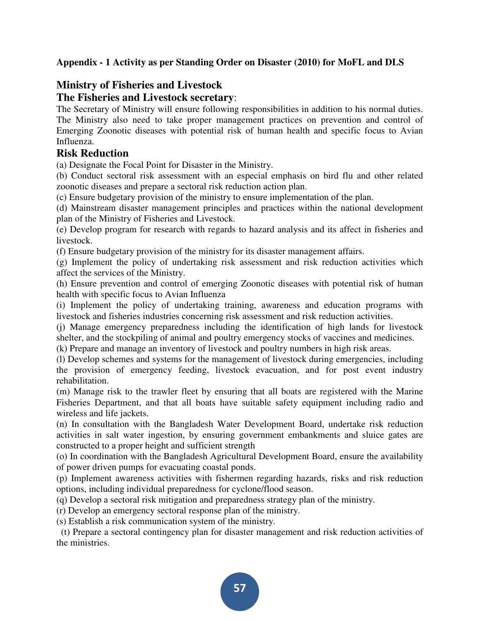## **Appendix - 1 Activity as per Standing Order on Disaster (2010) for MoFL and DLS**

## **Ministry of Fisheries and Livestock**

## **The Fisheries and Livestock secretary**:

The Secretary of Ministry will ensure following responsibilities in addition to his normal duties. The Ministry also need to take proper management practices on prevention and control of Emerging Zoonotic diseases with potential risk of human health and specific focus to Avian Influenza.

## **Risk Reduction**

(a) Designate the Focal Point for Disaster in the Ministry.

(b) Conduct sectoral risk assessment with an especial emphasis on bird flu and other related zoonotic diseases and prepare a sectoral risk reduction action plan.

(c) Ensure budgetary provision of the ministry to ensure implementation of the plan.

(d) Mainstream disaster management principles and practices within the national development plan of the Ministry of Fisheries and Livestock.

(e) Develop program for research with regards to hazard analysis and its affect in fisheries and livestock.

(f) Ensure budgetary provision of the ministry for its disaster management affairs.

(g) Implement the policy of undertaking risk assessment and risk reduction activities which affect the services of the Ministry.

(h) Ensure prevention and control of emerging Zoonotic diseases with potential risk of human health with specific focus to Avian Influenza

(i) Implement the policy of undertaking training, awareness and education programs with livestock and fisheries industries concerning risk assessment and risk reduction activities.

(j) Manage emergency preparedness including the identification of high lands for livestock shelter, and the stockpiling of animal and poultry emergency stocks of vaccines and medicines.

(k) Prepare and manage an inventory of livestock and poultry numbers in high risk areas.

(l) Develop schemes and systems for the management of livestock during emergencies, including the provision of emergency feeding, livestock evacuation, and for post event industry rehabilitation.

(m) Manage risk to the trawler fleet by ensuring that all boats are registered with the Marine Fisheries Department, and that all boats have suitable safety equipment including radio and wireless and life jackets.

(n) In consultation with the Bangladesh Water Development Board, undertake risk reduction activities in salt water ingestion, by ensuring government embankments and sluice gates are constructed to a proper height and sufficient strength

(o) In coordination with the Bangladesh Agricultural Development Board, ensure the availability of power driven pumps for evacuating coastal ponds.

(p) Implement awareness activities with fishermen regarding hazards, risks and risk reduction options, including individual preparedness for cyclone/flood season.

(q) Develop a sectoral risk mitigation and preparedness strategy plan of the ministry.

(r) Develop an emergency sectoral response plan of the ministry.

(s) Establish a risk communication system of the ministry.

 (t) Prepare a sectoral contingency plan for disaster management and risk reduction activities of the ministries.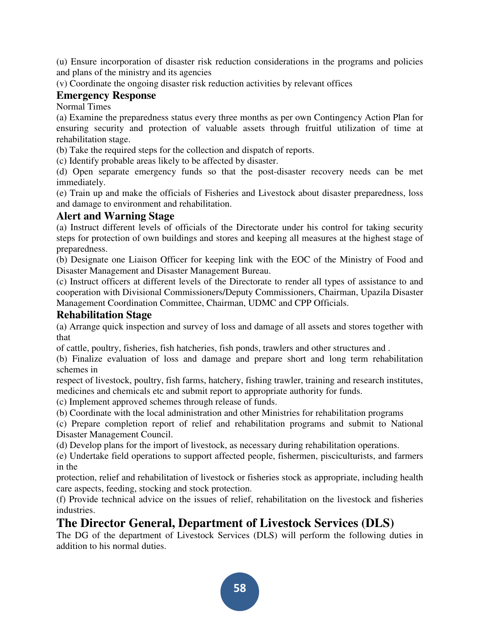(u) Ensure incorporation of disaster risk reduction considerations in the programs and policies and plans of the ministry and its agencies

(v) Coordinate the ongoing disaster risk reduction activities by relevant offices

## **Emergency Response**

Normal Times

(a) Examine the preparedness status every three months as per own Contingency Action Plan for ensuring security and protection of valuable assets through fruitful utilization of time at rehabilitation stage.

(b) Take the required steps for the collection and dispatch of reports.

(c) Identify probable areas likely to be affected by disaster.

(d) Open separate emergency funds so that the post-disaster recovery needs can be met immediately.

(e) Train up and make the officials of Fisheries and Livestock about disaster preparedness, loss and damage to environment and rehabilitation.

## **Alert and Warning Stage**

(a) Instruct different levels of officials of the Directorate under his control for taking security steps for protection of own buildings and stores and keeping all measures at the highest stage of preparedness.

(b) Designate one Liaison Officer for keeping link with the EOC of the Ministry of Food and Disaster Management and Disaster Management Bureau.

(c) Instruct officers at different levels of the Directorate to render all types of assistance to and cooperation with Divisional Commissioners/Deputy Commissioners, Chairman, Upazila Disaster Management Coordination Committee, Chairman, UDMC and CPP Officials.

## **Rehabilitation Stage**

(a) Arrange quick inspection and survey of loss and damage of all assets and stores together with that

of cattle, poultry, fisheries, fish hatcheries, fish ponds, trawlers and other structures and .

(b) Finalize evaluation of loss and damage and prepare short and long term rehabilitation schemes in

respect of livestock, poultry, fish farms, hatchery, fishing trawler, training and research institutes, medicines and chemicals etc and submit report to appropriate authority for funds.

(c) Implement approved schemes through release of funds.

(b) Coordinate with the local administration and other Ministries for rehabilitation programs

(c) Prepare completion report of relief and rehabilitation programs and submit to National Disaster Management Council.

(d) Develop plans for the import of livestock, as necessary during rehabilitation operations.

(e) Undertake field operations to support affected people, fishermen, pisciculturists, and farmers in the

protection, relief and rehabilitation of livestock or fisheries stock as appropriate, including health care aspects, feeding, stocking and stock protection.

(f) Provide technical advice on the issues of relief, rehabilitation on the livestock and fisheries industries.

## **The Director General, Department of Livestock Services (DLS)**

The DG of the department of Livestock Services (DLS) will perform the following duties in addition to his normal duties.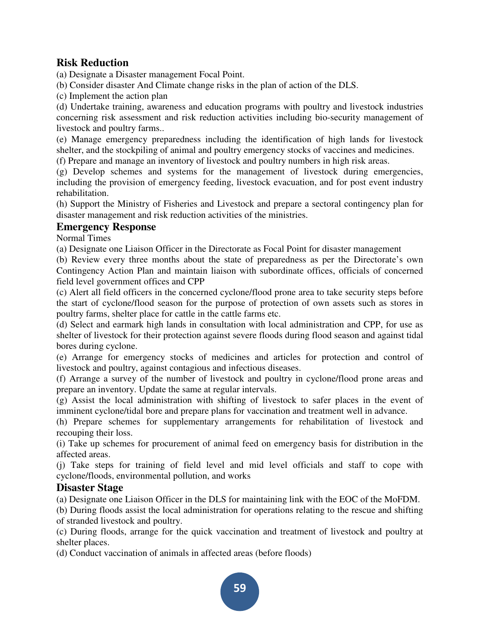## **Risk Reduction**

(a) Designate a Disaster management Focal Point.

(b) Consider disaster And Climate change risks in the plan of action of the DLS.

(c) Implement the action plan

(d) Undertake training, awareness and education programs with poultry and livestock industries concerning risk assessment and risk reduction activities including bio-security management of livestock and poultry farms..

(e) Manage emergency preparedness including the identification of high lands for livestock shelter, and the stockpiling of animal and poultry emergency stocks of vaccines and medicines.

(f) Prepare and manage an inventory of livestock and poultry numbers in high risk areas.

(g) Develop schemes and systems for the management of livestock during emergencies, including the provision of emergency feeding, livestock evacuation, and for post event industry rehabilitation.

(h) Support the Ministry of Fisheries and Livestock and prepare a sectoral contingency plan for disaster management and risk reduction activities of the ministries.

## **Emergency Response**

Normal Times

(a) Designate one Liaison Officer in the Directorate as Focal Point for disaster management

(b) Review every three months about the state of preparedness as per the Directorate's own Contingency Action Plan and maintain liaison with subordinate offices, officials of concerned field level government offices and CPP

(c) Alert all field officers in the concerned cyclone/flood prone area to take security steps before the start of cyclone/flood season for the purpose of protection of own assets such as stores in poultry farms, shelter place for cattle in the cattle farms etc.

(d) Select and earmark high lands in consultation with local administration and CPP, for use as shelter of livestock for their protection against severe floods during flood season and against tidal bores during cyclone.

(e) Arrange for emergency stocks of medicines and articles for protection and control of livestock and poultry, against contagious and infectious diseases.

(f) Arrange a survey of the number of livestock and poultry in cyclone/flood prone areas and prepare an inventory. Update the same at regular intervals.

(g) Assist the local administration with shifting of livestock to safer places in the event of imminent cyclone/tidal bore and prepare plans for vaccination and treatment well in advance.

(h) Prepare schemes for supplementary arrangements for rehabilitation of livestock and recouping their loss.

(i) Take up schemes for procurement of animal feed on emergency basis for distribution in the affected areas.

(j) Take steps for training of field level and mid level officials and staff to cope with cyclone/floods, environmental pollution, and works

## **Disaster Stage**

(a) Designate one Liaison Officer in the DLS for maintaining link with the EOC of the MoFDM.

(b) During floods assist the local administration for operations relating to the rescue and shifting of stranded livestock and poultry.

(c) During floods, arrange for the quick vaccination and treatment of livestock and poultry at shelter places.

(d) Conduct vaccination of animals in affected areas (before floods)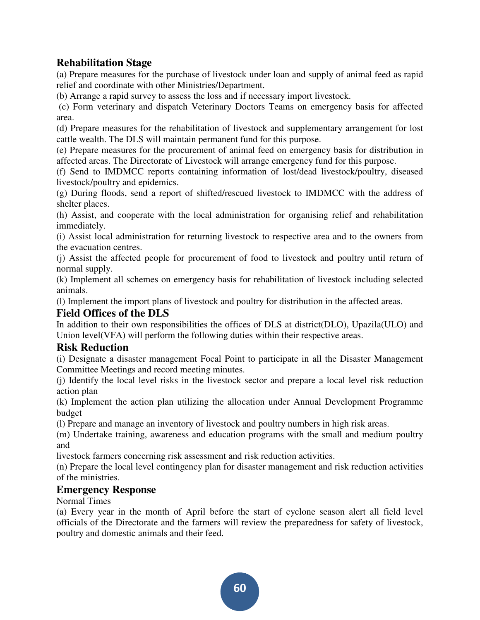## **Rehabilitation Stage**

(a) Prepare measures for the purchase of livestock under loan and supply of animal feed as rapid relief and coordinate with other Ministries/Department.

(b) Arrange a rapid survey to assess the loss and if necessary import livestock.

 (c) Form veterinary and dispatch Veterinary Doctors Teams on emergency basis for affected area.

(d) Prepare measures for the rehabilitation of livestock and supplementary arrangement for lost cattle wealth. The DLS will maintain permanent fund for this purpose.

(e) Prepare measures for the procurement of animal feed on emergency basis for distribution in affected areas. The Directorate of Livestock will arrange emergency fund for this purpose.

(f) Send to IMDMCC reports containing information of lost/dead livestock/poultry, diseased livestock/poultry and epidemics.

(g) During floods, send a report of shifted/rescued livestock to IMDMCC with the address of shelter places.

(h) Assist, and cooperate with the local administration for organising relief and rehabilitation immediately.

(i) Assist local administration for returning livestock to respective area and to the owners from the evacuation centres.

(j) Assist the affected people for procurement of food to livestock and poultry until return of normal supply.

(k) Implement all schemes on emergency basis for rehabilitation of livestock including selected animals.

(l) Implement the import plans of livestock and poultry for distribution in the affected areas.

## **Field Offices of the DLS**

In addition to their own responsibilities the offices of DLS at district(DLO), Upazila(ULO) and Union level(VFA) will perform the following duties within their respective areas.

## **Risk Reduction**

(i) Designate a disaster management Focal Point to participate in all the Disaster Management Committee Meetings and record meeting minutes.

(j) Identify the local level risks in the livestock sector and prepare a local level risk reduction action plan

(k) Implement the action plan utilizing the allocation under Annual Development Programme budget

(l) Prepare and manage an inventory of livestock and poultry numbers in high risk areas.

(m) Undertake training, awareness and education programs with the small and medium poultry and

livestock farmers concerning risk assessment and risk reduction activities.

(n) Prepare the local level contingency plan for disaster management and risk reduction activities of the ministries.

## **Emergency Response**

Normal Times

(a) Every year in the month of April before the start of cyclone season alert all field level officials of the Directorate and the farmers will review the preparedness for safety of livestock, poultry and domestic animals and their feed.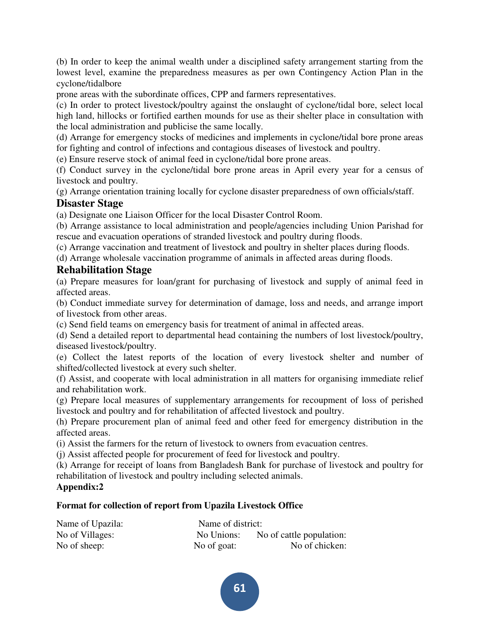(b) In order to keep the animal wealth under a disciplined safety arrangement starting from the lowest level, examine the preparedness measures as per own Contingency Action Plan in the cyclone/tidalbore

prone areas with the subordinate offices, CPP and farmers representatives.

(c) In order to protect livestock/poultry against the onslaught of cyclone/tidal bore, select local high land, hillocks or fortified earthen mounds for use as their shelter place in consultation with the local administration and publicise the same locally.

(d) Arrange for emergency stocks of medicines and implements in cyclone/tidal bore prone areas for fighting and control of infections and contagious diseases of livestock and poultry.

(e) Ensure reserve stock of animal feed in cyclone/tidal bore prone areas.

(f) Conduct survey in the cyclone/tidal bore prone areas in April every year for a census of livestock and poultry.

(g) Arrange orientation training locally for cyclone disaster preparedness of own officials/staff.

## **Disaster Stage**

(a) Designate one Liaison Officer for the local Disaster Control Room.

(b) Arrange assistance to local administration and people/agencies including Union Parishad for rescue and evacuation operations of stranded livestock and poultry during floods.

(c) Arrange vaccination and treatment of livestock and poultry in shelter places during floods.

(d) Arrange wholesale vaccination programme of animals in affected areas during floods.

## **Rehabilitation Stage**

(a) Prepare measures for loan/grant for purchasing of livestock and supply of animal feed in affected areas.

(b) Conduct immediate survey for determination of damage, loss and needs, and arrange import of livestock from other areas.

(c) Send field teams on emergency basis for treatment of animal in affected areas.

(d) Send a detailed report to departmental head containing the numbers of lost livestock/poultry, diseased livestock/poultry.

(e) Collect the latest reports of the location of every livestock shelter and number of shifted/collected livestock at every such shelter.

(f) Assist, and cooperate with local administration in all matters for organising immediate relief and rehabilitation work.

(g) Prepare local measures of supplementary arrangements for recoupment of loss of perished livestock and poultry and for rehabilitation of affected livestock and poultry.

(h) Prepare procurement plan of animal feed and other feed for emergency distribution in the affected areas.

(i) Assist the farmers for the return of livestock to owners from evacuation centres.

(j) Assist affected people for procurement of feed for livestock and poultry.

(k) Arrange for receipt of loans from Bangladesh Bank for purchase of livestock and poultry for rehabilitation of livestock and poultry including selected animals.

## **Appendix:2**

## **Format for collection of report from Upazila Livestock Office**

| Name of Upazila: | Name of district: |                          |
|------------------|-------------------|--------------------------|
| No of Villages:  | No Unions:        | No of cattle population: |
| No of sheep:     | No of goat:       | No of chicken:           |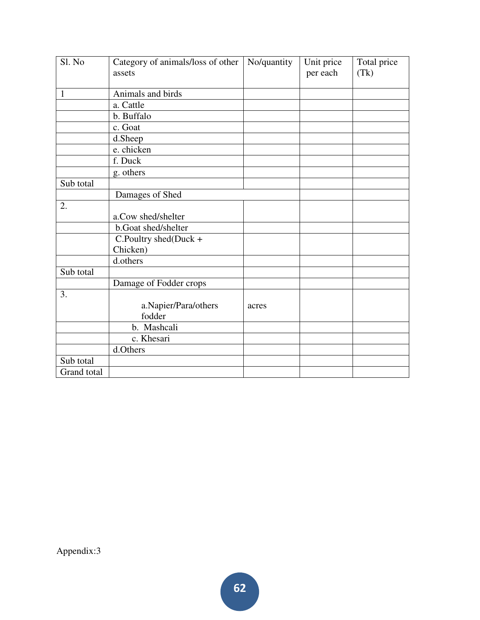| Sl. No      | Category of animals/loss of other<br>assets | No/quantity | Unit price<br>per each | Total price<br>(Tk) |
|-------------|---------------------------------------------|-------------|------------------------|---------------------|
| 1           | Animals and birds                           |             |                        |                     |
|             | a. Cattle                                   |             |                        |                     |
|             | b. Buffalo                                  |             |                        |                     |
|             | c. Goat                                     |             |                        |                     |
|             | d.Sheep                                     |             |                        |                     |
|             | e. chicken                                  |             |                        |                     |
|             | f. Duck                                     |             |                        |                     |
|             | g. others                                   |             |                        |                     |
| Sub total   |                                             |             |                        |                     |
|             | Damages of Shed                             |             |                        |                     |
| 2.          |                                             |             |                        |                     |
|             | a.Cow shed/shelter                          |             |                        |                     |
|             | b.Goat shed/shelter                         |             |                        |                     |
|             | C.Poultry shed(Duck +                       |             |                        |                     |
|             | Chicken)                                    |             |                        |                     |
|             | d.others                                    |             |                        |                     |
| Sub total   |                                             |             |                        |                     |
|             | Damage of Fodder crops                      |             |                        |                     |
| 3.          |                                             |             |                        |                     |
|             | a.Napier/Para/others                        | acres       |                        |                     |
|             | fodder                                      |             |                        |                     |
|             | b. Mashcali                                 |             |                        |                     |
|             | c. Khesari                                  |             |                        |                     |
|             | d.Others                                    |             |                        |                     |
| Sub total   |                                             |             |                        |                     |
| Grand total |                                             |             |                        |                     |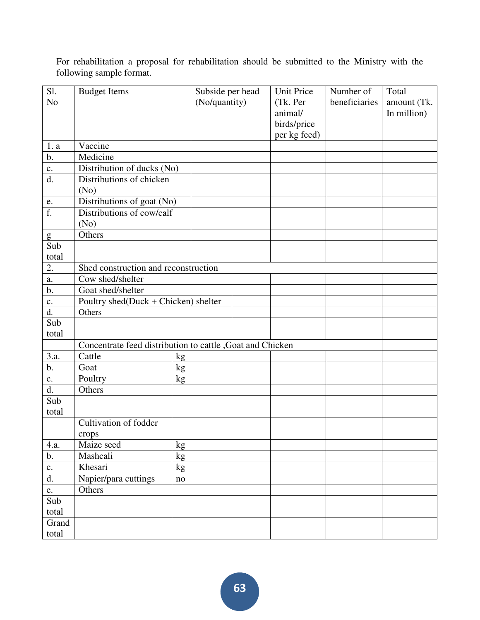For rehabilitation a proposal for rehabilitation should be submitted to the Ministry with the following sample format.

| Sl.                                | <b>Budget Items</b>                                        | Subside per head |  | <b>Unit Price</b> | Number of    | Total         |             |
|------------------------------------|------------------------------------------------------------|------------------|--|-------------------|--------------|---------------|-------------|
| N <sub>o</sub>                     |                                                            |                  |  | (No/quantity)     | (Tk. Per     | beneficiaries | amount (Tk. |
|                                    |                                                            |                  |  |                   | animal/      |               | In million) |
|                                    |                                                            |                  |  |                   | birds/price  |               |             |
|                                    | Vaccine                                                    |                  |  |                   | per kg feed) |               |             |
| 1. a                               | Medicine                                                   |                  |  |                   |              |               |             |
| $\mathbf b$ .                      |                                                            |                  |  |                   |              |               |             |
| $\mathbf{c}$ .<br>$\overline{d}$ . | Distribution of ducks (No)<br>Distributions of chicken     |                  |  |                   |              |               |             |
|                                    | (No)                                                       |                  |  |                   |              |               |             |
|                                    | Distributions of goat (No)                                 |                  |  |                   |              |               |             |
| ${\bf e}.$<br>f.                   | Distributions of cow/calf                                  |                  |  |                   |              |               |             |
|                                    | (No)                                                       |                  |  |                   |              |               |             |
|                                    | Others                                                     |                  |  |                   |              |               |             |
| $\mathbf{g}$<br>Sub                |                                                            |                  |  |                   |              |               |             |
| total                              |                                                            |                  |  |                   |              |               |             |
| 2.                                 | Shed construction and reconstruction                       |                  |  |                   |              |               |             |
| a.                                 | Cow shed/shelter                                           |                  |  |                   |              |               |             |
| $\mathbf{b}$ .                     | Goat shed/shelter                                          |                  |  |                   |              |               |             |
| $\mathbf{c}$ .                     | Poultry shed(Duck + Chicken) shelter                       |                  |  |                   |              |               |             |
| $\overline{d}$ .                   | Others                                                     |                  |  |                   |              |               |             |
| Sub                                |                                                            |                  |  |                   |              |               |             |
| total                              |                                                            |                  |  |                   |              |               |             |
|                                    | Concentrate feed distribution to cattle , Goat and Chicken |                  |  |                   |              |               |             |
| 3.a.                               | Cattle                                                     | kg               |  |                   |              |               |             |
| $\mathbf{b}$ .                     | Goat                                                       | kg               |  |                   |              |               |             |
| $\mathbf{c}$ .                     | Poultry                                                    | <u>kg</u>        |  |                   |              |               |             |
| d.                                 | Others                                                     |                  |  |                   |              |               |             |
| Sub                                |                                                            |                  |  |                   |              |               |             |
| total                              |                                                            |                  |  |                   |              |               |             |
|                                    | Cultivation of fodder                                      |                  |  |                   |              |               |             |
|                                    | crops                                                      |                  |  |                   |              |               |             |
| 4.a.                               | Maize seed                                                 | kg               |  |                   |              |               |             |
| $\mathbf b$ .                      | Mashcali                                                   | kg               |  |                   |              |               |             |
| c.                                 | Khesari                                                    | kg               |  |                   |              |               |             |
| d.                                 | Napier/para cuttings                                       | no               |  |                   |              |               |             |
| e.                                 | Others                                                     |                  |  |                   |              |               |             |
| Sub                                |                                                            |                  |  |                   |              |               |             |
| total                              |                                                            |                  |  |                   |              |               |             |
| Grand                              |                                                            |                  |  |                   |              |               |             |
| total                              |                                                            |                  |  |                   |              |               |             |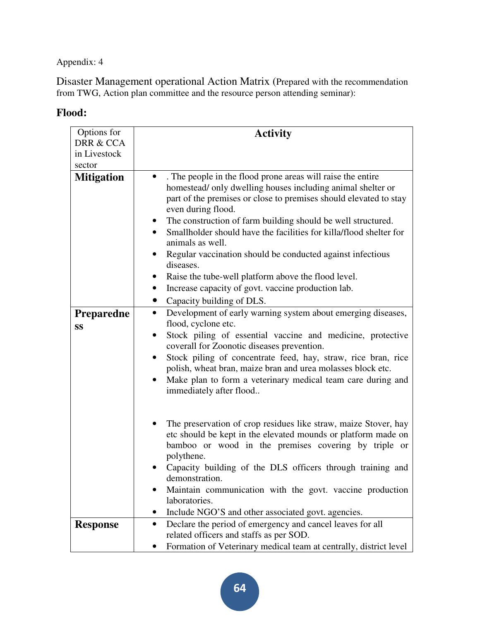## Appendix: 4

Disaster Management operational Action Matrix (Prepared with the recommendation from TWG, Action plan committee and the resource person attending seminar):

## **Flood:**

| Options for                 | <b>Activity</b>                                                                                                                                                                                       |
|-----------------------------|-------------------------------------------------------------------------------------------------------------------------------------------------------------------------------------------------------|
| DRR & CCA                   |                                                                                                                                                                                                       |
| in Livestock                |                                                                                                                                                                                                       |
| sector<br><b>Mitigation</b> | . The people in the flood prone areas will raise the entire                                                                                                                                           |
|                             | homestead/ only dwelling houses including animal shelter or<br>part of the premises or close to premises should elevated to stay<br>even during flood.                                                |
|                             | The construction of farm building should be well structured.<br>$\bullet$                                                                                                                             |
|                             | Smallholder should have the facilities for killa/flood shelter for<br>animals as well.                                                                                                                |
|                             | Regular vaccination should be conducted against infectious<br>٠<br>diseases.                                                                                                                          |
|                             | Raise the tube-well platform above the flood level.<br>$\bullet$                                                                                                                                      |
|                             | Increase capacity of govt. vaccine production lab.<br>$\bullet$                                                                                                                                       |
|                             | Capacity building of DLS.<br>$\bullet$                                                                                                                                                                |
| <b>Preparedne</b>           | Development of early warning system about emerging diseases,<br>$\bullet$                                                                                                                             |
| <b>SS</b>                   | flood, cyclone etc.                                                                                                                                                                                   |
|                             | Stock piling of essential vaccine and medicine, protective<br>$\bullet$<br>coverall for Zoonotic diseases prevention.                                                                                 |
|                             | Stock piling of concentrate feed, hay, straw, rice bran, rice<br>$\bullet$<br>polish, wheat bran, maize bran and urea molasses block etc.                                                             |
|                             | Make plan to form a veterinary medical team care during and<br>٠<br>immediately after flood                                                                                                           |
|                             | The preservation of crop residues like straw, maize Stover, hay<br>$\bullet$<br>etc should be kept in the elevated mounds or platform made on<br>bamboo or wood in the premises covering by triple or |
|                             | polythene.                                                                                                                                                                                            |
|                             | Capacity building of the DLS officers through training and<br>demonstration.                                                                                                                          |
|                             | Maintain communication with the govt. vaccine production<br>laboratories.                                                                                                                             |
|                             | Include NGO'S and other associated govt. agencies.                                                                                                                                                    |
| <b>Response</b>             | Declare the period of emergency and cancel leaves for all<br>$\bullet$                                                                                                                                |
|                             | related officers and staffs as per SOD.<br>Formation of Veterinary medical team at centrally, district level                                                                                          |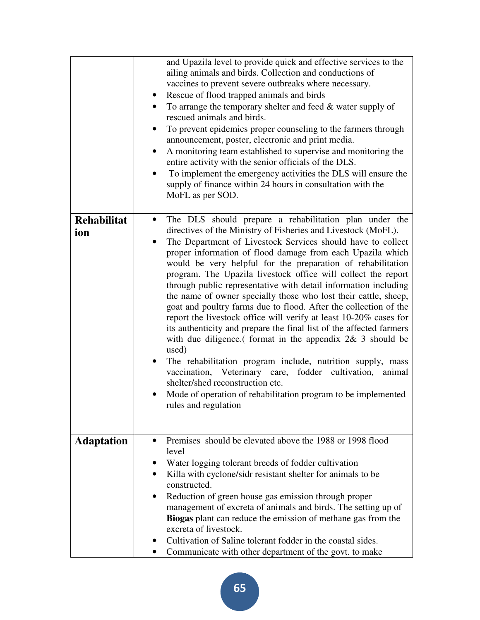|                    | and Upazila level to provide quick and effective services to the<br>ailing animals and birds. Collection and conductions of<br>vaccines to prevent severe outbreaks where necessary.<br>Rescue of flood trapped animals and birds<br>To arrange the temporary shelter and feed $&$ water supply of<br>rescued animals and birds.<br>To prevent epidemics proper counseling to the farmers through<br>announcement, poster, electronic and print media.<br>A monitoring team established to supervise and monitoring the<br>entire activity with the senior officials of the DLS.<br>To implement the emergency activities the DLS will ensure the<br>supply of finance within 24 hours in consultation with the<br>MoFL as per SOD.                                                                                                                                                                                                                                                                                  |
|--------------------|----------------------------------------------------------------------------------------------------------------------------------------------------------------------------------------------------------------------------------------------------------------------------------------------------------------------------------------------------------------------------------------------------------------------------------------------------------------------------------------------------------------------------------------------------------------------------------------------------------------------------------------------------------------------------------------------------------------------------------------------------------------------------------------------------------------------------------------------------------------------------------------------------------------------------------------------------------------------------------------------------------------------|
| <b>Rehabilitat</b> | The DLS should prepare a rehabilitation plan under the<br>$\bullet$                                                                                                                                                                                                                                                                                                                                                                                                                                                                                                                                                                                                                                                                                                                                                                                                                                                                                                                                                  |
| ion                | directives of the Ministry of Fisheries and Livestock (MoFL).<br>The Department of Livestock Services should have to collect<br>proper information of flood damage from each Upazila which<br>would be very helpful for the preparation of rehabilitation<br>program. The Upazila livestock office will collect the report<br>through public representative with detail information including<br>the name of owner specially those who lost their cattle, sheep,<br>goat and poultry farms due to flood. After the collection of the<br>report the livestock office will verify at least 10-20% cases for<br>its authenticity and prepare the final list of the affected farmers<br>with due diligence. (format in the appendix $2\&$ 3 should be<br>used)<br>The rehabilitation program include, nutrition supply, mass<br>vaccination, Veterinary care, fodder cultivation,<br>animal<br>shelter/shed reconstruction etc.<br>Mode of operation of rehabilitation program to be implemented<br>rules and regulation |
| <b>Adaptation</b>  | Premises should be elevated above the 1988 or 1998 flood<br>$\bullet$<br>level                                                                                                                                                                                                                                                                                                                                                                                                                                                                                                                                                                                                                                                                                                                                                                                                                                                                                                                                       |
|                    | Water logging tolerant breeds of fodder cultivation                                                                                                                                                                                                                                                                                                                                                                                                                                                                                                                                                                                                                                                                                                                                                                                                                                                                                                                                                                  |
|                    | Killa with cyclone/sidr resistant shelter for animals to be                                                                                                                                                                                                                                                                                                                                                                                                                                                                                                                                                                                                                                                                                                                                                                                                                                                                                                                                                          |
|                    | constructed.<br>Reduction of green house gas emission through proper                                                                                                                                                                                                                                                                                                                                                                                                                                                                                                                                                                                                                                                                                                                                                                                                                                                                                                                                                 |
|                    | management of excreta of animals and birds. The setting up of<br><b>Biogas</b> plant can reduce the emission of methane gas from the<br>excreta of livestock.                                                                                                                                                                                                                                                                                                                                                                                                                                                                                                                                                                                                                                                                                                                                                                                                                                                        |
|                    | Cultivation of Saline tolerant fodder in the coastal sides.                                                                                                                                                                                                                                                                                                                                                                                                                                                                                                                                                                                                                                                                                                                                                                                                                                                                                                                                                          |
|                    | Communicate with other department of the govt. to make                                                                                                                                                                                                                                                                                                                                                                                                                                                                                                                                                                                                                                                                                                                                                                                                                                                                                                                                                               |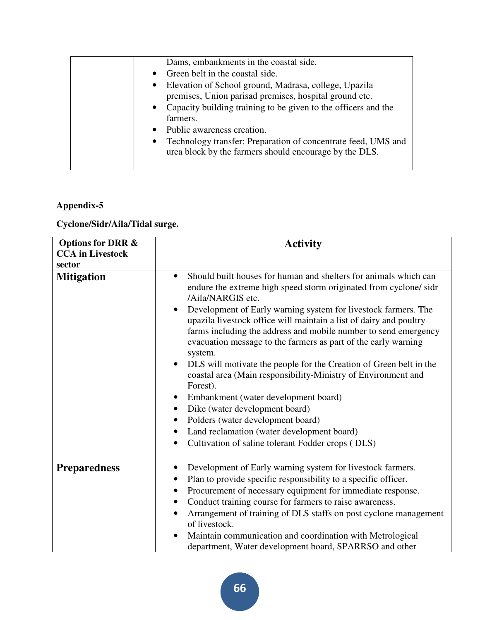| Dams, embankments in the coastal side.                                                                                               |
|--------------------------------------------------------------------------------------------------------------------------------------|
| Green belt in the coastal side.<br>$\bullet$                                                                                         |
| Elevation of School ground, Madrasa, college, Upazila<br>$\bullet$                                                                   |
| premises, Union parisad premises, hospital ground etc.                                                                               |
| Capacity building training to be given to the officers and the<br>$\bullet$                                                          |
| farmers.                                                                                                                             |
| Public awareness creation.<br>$\bullet$                                                                                              |
| Technology transfer: Preparation of concentrate feed, UMS and<br>$\bullet$<br>urea block by the farmers should encourage by the DLS. |
|                                                                                                                                      |

# **Appendix-5**

**Cyclone/Sidr/Aila/Tidal surge.** 

| <b>Options for DRR &amp;</b><br><b>CCA</b> in Livestock | <b>Activity</b>                                                                                                                                                                                                                                                                        |
|---------------------------------------------------------|----------------------------------------------------------------------------------------------------------------------------------------------------------------------------------------------------------------------------------------------------------------------------------------|
| sector                                                  |                                                                                                                                                                                                                                                                                        |
| <b>Mitigation</b>                                       | Should built houses for human and shelters for animals which can<br>$\bullet$<br>endure the extreme high speed storm originated from cyclone/ sidr<br>/Aila/NARGIS etc.                                                                                                                |
|                                                         | Development of Early warning system for livestock farmers. The<br>$\bullet$<br>upazila livestock office will maintain a list of dairy and poultry<br>farms including the address and mobile number to send emergency<br>evacuation message to the farmers as part of the early warning |
|                                                         | system.                                                                                                                                                                                                                                                                                |
|                                                         | DLS will motivate the people for the Creation of Green belt in the                                                                                                                                                                                                                     |
|                                                         | coastal area (Main responsibility-Ministry of Environment and                                                                                                                                                                                                                          |
|                                                         | Forest).                                                                                                                                                                                                                                                                               |
|                                                         | Embankment (water development board)                                                                                                                                                                                                                                                   |
|                                                         | Dike (water development board)<br>$\bullet$                                                                                                                                                                                                                                            |
|                                                         | Polders (water development board)<br>٠                                                                                                                                                                                                                                                 |
|                                                         | Land reclamation (water development board)<br>٠                                                                                                                                                                                                                                        |
|                                                         | Cultivation of saline tolerant Fodder crops (DLS)<br>$\bullet$                                                                                                                                                                                                                         |
| <b>Preparedness</b>                                     | Development of Early warning system for livestock farmers.<br>$\bullet$                                                                                                                                                                                                                |
|                                                         | Plan to provide specific responsibility to a specific officer.<br>$\bullet$                                                                                                                                                                                                            |
|                                                         | Procurement of necessary equipment for immediate response.                                                                                                                                                                                                                             |
|                                                         | Conduct training course for farmers to raise awareness.                                                                                                                                                                                                                                |
|                                                         | Arrangement of training of DLS staffs on post cyclone management<br>of livestock.                                                                                                                                                                                                      |
|                                                         | Maintain communication and coordination with Metrological<br>department, Water development board, SPARRSO and other                                                                                                                                                                    |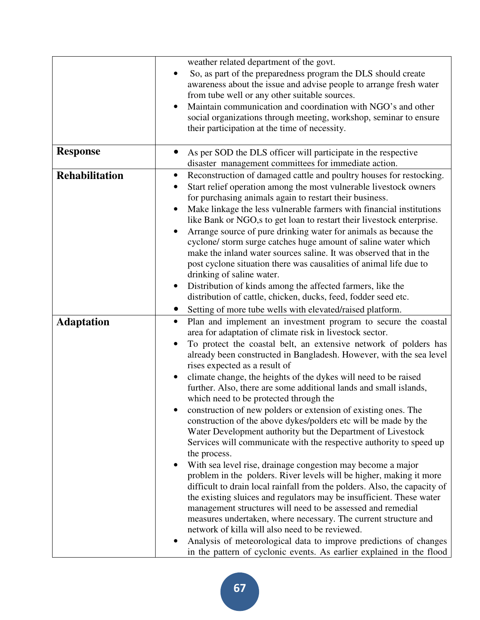|                       | weather related department of the govt.                                          |
|-----------------------|----------------------------------------------------------------------------------|
|                       | So, as part of the preparedness program the DLS should create                    |
|                       | awareness about the issue and advise people to arrange fresh water               |
|                       |                                                                                  |
|                       | from tube well or any other suitable sources.                                    |
|                       | Maintain communication and coordination with NGO's and other                     |
|                       | social organizations through meeting, workshop, seminar to ensure                |
|                       | their participation at the time of necessity.                                    |
|                       |                                                                                  |
| <b>Response</b>       | As per SOD the DLS officer will participate in the respective<br>$\bullet$       |
|                       | disaster management committees for immediate action.                             |
| <b>Rehabilitation</b> | Reconstruction of damaged cattle and poultry houses for restocking.<br>$\bullet$ |
|                       |                                                                                  |
|                       | Start relief operation among the most vulnerable livestock owners                |
|                       | for purchasing animals again to restart their business.                          |
|                       | Make linkage the less vulnerable farmers with financial institutions             |
|                       | like Bank or NGO, s to get loan to restart their livestock enterprise.           |
|                       | Arrange source of pure drinking water for animals as because the                 |
|                       | cyclone/ storm surge catches huge amount of saline water which                   |
|                       | make the inland water sources saline. It was observed that in the                |
|                       | post cyclone situation there was causalities of animal life due to               |
|                       | drinking of saline water.                                                        |
|                       | Distribution of kinds among the affected farmers, like the                       |
|                       | distribution of cattle, chicken, ducks, feed, fodder seed etc.                   |
|                       |                                                                                  |
|                       | Setting of more tube wells with elevated/raised platform.                        |
| <b>Adaptation</b>     | Plan and implement an investment program to secure the coastal<br>$\bullet$      |
|                       | area for adaptation of climate risk in livestock sector.                         |
|                       | To protect the coastal belt, an extensive network of polders has                 |
|                       | already been constructed in Bangladesh. However, with the sea level              |
|                       | rises expected as a result of                                                    |
|                       | climate change, the heights of the dykes will need to be raised                  |
|                       | further. Also, there are some additional lands and small islands,                |
|                       | which need to be protected through the                                           |
|                       | construction of new polders or extension of existing ones. The                   |
|                       | construction of the above dykes/polders etc will be made by the                  |
|                       | Water Development authority but the Department of Livestock                      |
|                       | Services will communicate with the respective authority to speed up              |
|                       | the process.                                                                     |
|                       | With sea level rise, drainage congestion may become a major                      |
|                       | problem in the polders. River levels will be higher, making it more              |
|                       | difficult to drain local rainfall from the polders. Also, the capacity of        |
|                       |                                                                                  |
|                       | the existing sluices and regulators may be insufficient. These water             |
|                       | management structures will need to be assessed and remedial                      |
|                       | measures undertaken, where necessary. The current structure and                  |
|                       | network of killa will also need to be reviewed.                                  |
|                       | Analysis of meteorological data to improve predictions of changes                |
|                       | in the pattern of cyclonic events. As earlier explained in the flood             |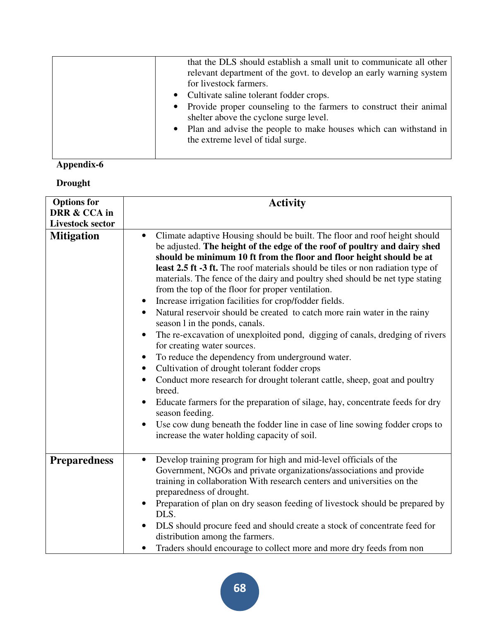| that the DLS should establish a small unit to communicate all other<br>relevant department of the govt. to develop an early warning system<br>for livestock farmers.<br>• Cultivate saline tolerant fodder crops.<br>• Provide proper counseling to the farmers to construct their animal<br>shelter above the cyclone surge level.<br>• Plan and advise the people to make houses which can withstand in<br>the extreme level of tidal surge. |
|------------------------------------------------------------------------------------------------------------------------------------------------------------------------------------------------------------------------------------------------------------------------------------------------------------------------------------------------------------------------------------------------------------------------------------------------|
|------------------------------------------------------------------------------------------------------------------------------------------------------------------------------------------------------------------------------------------------------------------------------------------------------------------------------------------------------------------------------------------------------------------------------------------------|

# **Appendix-6**

**Drought** 

| <b>Options</b> for      | <b>Activity</b>                                                                                                                                                                                                                                                                                                                                                                                                                                                                                                                                                                                                                                                                                                                                                                                                                                                                                                                                                                                                                                                                                                                                                                                                        |
|-------------------------|------------------------------------------------------------------------------------------------------------------------------------------------------------------------------------------------------------------------------------------------------------------------------------------------------------------------------------------------------------------------------------------------------------------------------------------------------------------------------------------------------------------------------------------------------------------------------------------------------------------------------------------------------------------------------------------------------------------------------------------------------------------------------------------------------------------------------------------------------------------------------------------------------------------------------------------------------------------------------------------------------------------------------------------------------------------------------------------------------------------------------------------------------------------------------------------------------------------------|
| DRR & CCA in            |                                                                                                                                                                                                                                                                                                                                                                                                                                                                                                                                                                                                                                                                                                                                                                                                                                                                                                                                                                                                                                                                                                                                                                                                                        |
| <b>Livestock sector</b> |                                                                                                                                                                                                                                                                                                                                                                                                                                                                                                                                                                                                                                                                                                                                                                                                                                                                                                                                                                                                                                                                                                                                                                                                                        |
| <b>Mitigation</b>       | Climate adaptive Housing should be built. The floor and roof height should<br>be adjusted. The height of the edge of the roof of poultry and dairy shed<br>should be minimum 10 ft from the floor and floor height should be at<br>least 2.5 ft -3 ft. The roof materials should be tiles or non radiation type of<br>materials. The fence of the dairy and poultry shed should be net type stating<br>from the top of the floor for proper ventilation.<br>Increase irrigation facilities for crop/fodder fields.<br>Natural reservoir should be created to catch more rain water in the rainy<br>season 1 in the ponds, canals.<br>The re-excavation of unexploited pond, digging of canals, dredging of rivers<br>for creating water sources.<br>To reduce the dependency from underground water.<br>$\bullet$<br>Cultivation of drought tolerant fodder crops<br>$\bullet$<br>Conduct more research for drought tolerant cattle, sheep, goat and poultry<br>$\bullet$<br>breed.<br>Educate farmers for the preparation of silage, hay, concentrate feeds for dry<br>season feeding.<br>Use cow dung beneath the fodder line in case of line sowing fodder crops to<br>increase the water holding capacity of soil. |
| <b>Preparedness</b>     | Develop training program for high and mid-level officials of the<br>$\bullet$<br>Government, NGOs and private organizations/associations and provide<br>training in collaboration With research centers and universities on the<br>preparedness of drought.<br>Preparation of plan on dry season feeding of livestock should be prepared by<br>DLS.<br>DLS should procure feed and should create a stock of concentrate feed for<br>distribution among the farmers.<br>Traders should encourage to collect more and more dry feeds from non<br>$\bullet$                                                                                                                                                                                                                                                                                                                                                                                                                                                                                                                                                                                                                                                               |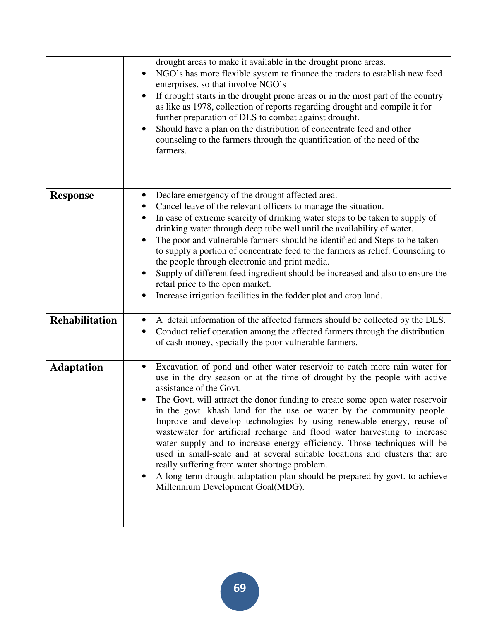|                       | drought areas to make it available in the drought prone areas.<br>NGO's has more flexible system to finance the traders to establish new feed<br>enterprises, so that involve NGO's<br>If drought starts in the drought prone areas or in the most part of the country<br>$\bullet$<br>as like as 1978, collection of reports regarding drought and compile it for<br>further preparation of DLS to combat against drought.<br>Should have a plan on the distribution of concentrate feed and other<br>counseling to the farmers through the quantification of the need of the<br>farmers.                                                                                                                                                                                                                                     |
|-----------------------|--------------------------------------------------------------------------------------------------------------------------------------------------------------------------------------------------------------------------------------------------------------------------------------------------------------------------------------------------------------------------------------------------------------------------------------------------------------------------------------------------------------------------------------------------------------------------------------------------------------------------------------------------------------------------------------------------------------------------------------------------------------------------------------------------------------------------------|
| <b>Response</b>       | Declare emergency of the drought affected area.<br>Cancel leave of the relevant officers to manage the situation.<br>In case of extreme scarcity of drinking water steps to be taken to supply of<br>$\bullet$<br>drinking water through deep tube well until the availability of water.<br>The poor and vulnerable farmers should be identified and Steps to be taken<br>to supply a portion of concentrate feed to the farmers as relief. Counseling to<br>the people through electronic and print media.<br>Supply of different feed ingredient should be increased and also to ensure the<br>retail price to the open market.<br>Increase irrigation facilities in the fodder plot and crop land.                                                                                                                          |
| <b>Rehabilitation</b> | A detail information of the affected farmers should be collected by the DLS.<br>Conduct relief operation among the affected farmers through the distribution<br>of cash money, specially the poor vulnerable farmers.                                                                                                                                                                                                                                                                                                                                                                                                                                                                                                                                                                                                          |
| <b>Adaptation</b>     | Excavation of pond and other water reservoir to catch more rain water for<br>use in the dry season or at the time of drought by the people with active<br>assistance of the Govt.<br>The Govt. will attract the donor funding to create some open water reservoir<br>in the govt. khash land for the use oe water by the community people.<br>Improve and develop technologies by using renewable energy, reuse of<br>wastewater for artificial recharge and flood water harvesting to increase<br>water supply and to increase energy efficiency. Those techniques will be<br>used in small-scale and at several suitable locations and clusters that are<br>really suffering from water shortage problem.<br>A long term drought adaptation plan should be prepared by govt. to achieve<br>Millennium Development Goal(MDG). |